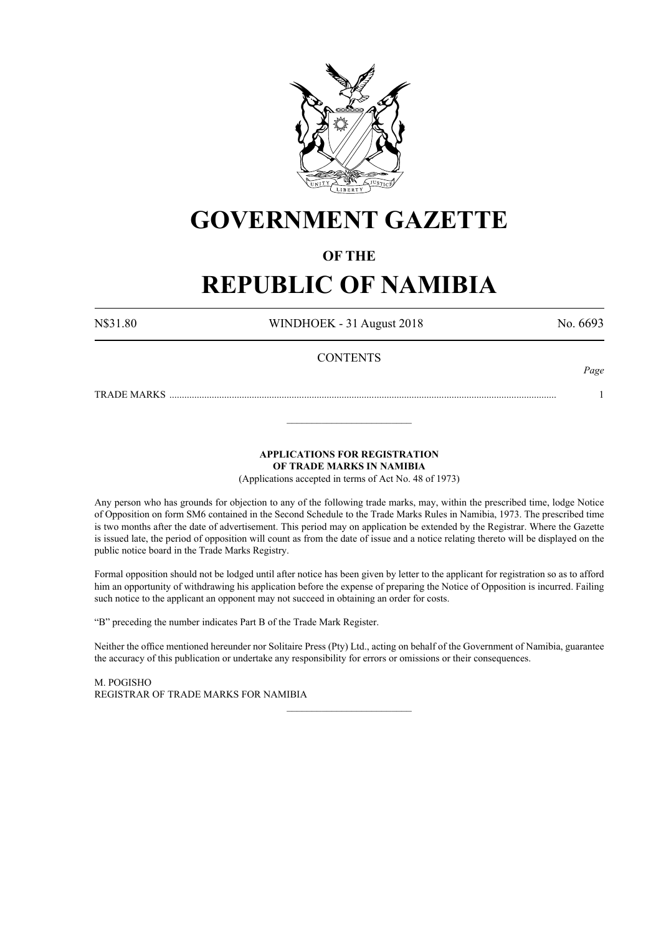

# **GOVERNMENT GAZETTE**

## **OF THE**

# **REPUBLIC OF NAMIBIA**

N\$31.80 WINDHOEK - 31 August 2018 No. 6693

*Page*

## **CONTENTS**

TRADE MARKS ........................................................................................................................................................... 1

**APPLICATIONS FOR REGISTRATION OF TRADE MARKS IN NAMIBIA**

\_\_\_\_\_\_\_\_\_\_\_\_\_\_\_\_\_\_\_\_\_\_\_\_\_

(Applications accepted in terms of Act No. 48 of 1973)

Any person who has grounds for objection to any of the following trade marks, may, within the prescribed time, lodge Notice of Opposition on form SM6 contained in the Second Schedule to the Trade Marks Rules in Namibia, 1973. The prescribed time is two months after the date of advertisement. This period may on application be extended by the Registrar. Where the Gazette is issued late, the period of opposition will count as from the date of issue and a notice relating thereto will be displayed on the public notice board in the Trade Marks Registry.

Formal opposition should not be lodged until after notice has been given by letter to the applicant for registration so as to afford him an opportunity of withdrawing his application before the expense of preparing the Notice of Opposition is incurred. Failing such notice to the applicant an opponent may not succeed in obtaining an order for costs.

"B" preceding the number indicates Part B of the Trade Mark Register.

Neither the office mentioned hereunder nor Solitaire Press (Pty) Ltd., acting on behalf of the Government of Namibia, guarantee the accuracy of this publication or undertake any responsibility for errors or omissions or their consequences.

\_\_\_\_\_\_\_\_\_\_\_\_\_\_\_\_\_\_\_\_\_\_\_\_\_

M. PogIsho REGISTRAR OF TRADE MARKS FOR NAMIBIA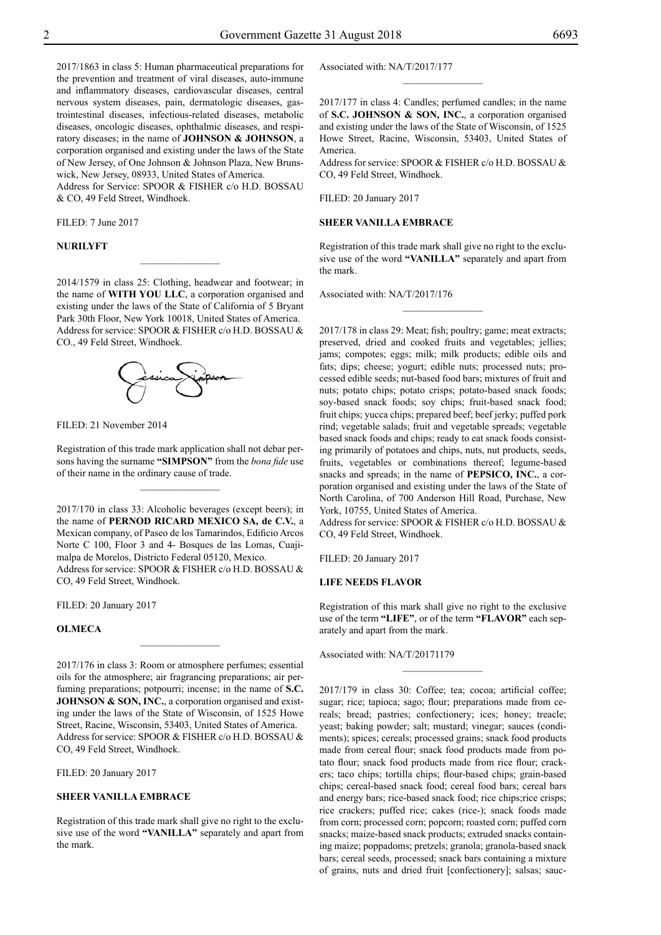2017/1863 in class 5: Human pharmaceutical preparations for the prevention and treatment of viral diseases, auto-immune and inflammatory diseases, cardiovascular diseases, central nervous system diseases, pain, dermatologic diseases, gastrointestinal diseases, infectious-related diseases, metabolic diseases, oncologic diseases, ophthalmic diseases, and respiratory diseases; in the name of **JOHNSON & JOHNSON**, a corporation organised and existing under the laws of the State of New Jersey, of One Johnson & Johnson Plaza, New Brunswick, New Jersey, 08933, United States of America.

Address for Service: SPOOR & FISHER c/o H.D. BOSSAU & Co, 49 Feld Street, Windhoek.

Filed: 7 June 2017

## **NURILYFT**

2014/1579 in class 25: Clothing, headwear and footwear; in the name of **WITH YOU LLC**, a corporation organised and existing under the laws of the State of California of 5 Bryant Park 30th Floor, New York 10018, United States of America. Address for service: SPOOR & FISHER c/o H.D. BOSSAU & Co., 49 Feld Street, Windhoek.

 $\frac{1}{2}$ 



Filed: 21 November 2014

Registration of this trade mark application shall not debar persons having the surname **"SIMPSON"** from the *bona fide* use of their name in the ordinary cause of trade.

 $\overline{\phantom{a}}$  , where  $\overline{\phantom{a}}$ 

2017/170 in class 33: Alcoholic beverages (except beers); in the name of **PERNOD RICARD MEXICO SA, de C.V.**, a Mexican company, of Paseo de los Tamarindos, Edificio Arcos Norte C 100, Floor 3 and 4- Bosques de las Lomas, Cuajimalpa de Morelos, Districto Federal 05120, Mexico. Address for service: SPOOR & FISHER c/o H.D. BOSSAU & Co, 49 Feld Street, Windhoek.

Filed: 20 January 2017

## **OLMECA**

2017/176 in class 3: Room or atmosphere perfumes; essential oils for the atmosphere; air fragrancing preparations; air perfuming preparations; potpourri; incense; in the name of **S.C. JOHNSON & SON, INC.**, a corporation organised and existing under the laws of the State of Wisconsin, of 1525 Howe Street, Racine, Wisconsin, 53403, United States of America. Address for service: SPOOR & FISHER c/o H.D. BOSSAU & CO, 49 Feld Street, Windhoek.

 $\frac{1}{2}$ 

Filed: 20 January 2017

## **SHEER VANILLA EMBRACE**

Registration of this trade mark shall give no right to the exclusive use of the word **"VANILLA"** separately and apart from the mark.

Associated with: NA/T/2017/177

2017/177 in class 4: Candles; perfumed candles; in the name of **S.C. JOHNSON & SON, INC.**, a corporation organised and existing under the laws of the State of Wisconsin, of 1525 Howe Street, Racine, Wisconsin, 53403, United States of America.

 $\frac{1}{2}$ 

Address for service: SPOOR & FISHER c/o H.D. BOSSAU & Co, 49 Feld Street, Windhoek.

FILED: 20 January 2017

#### **SHEER VANILLA EMBRACE**

Registration of this trade mark shall give no right to the exclusive use of the word **"VANILLA"** separately and apart from the mark.

 $\frac{1}{2}$ 

Associated with: NA/T/2017/176

2017/178 in class 29: Meat; fish; poultry; game; meat extracts; preserved, dried and cooked fruits and vegetables; jellies; jams; compotes; eggs; milk; milk products; edible oils and fats; dips; cheese; yogurt; edible nuts; processed nuts; processed edible seeds; nut-based food bars; mixtures of fruit and nuts; potato chips; potato crisps; potato-based snack foods; soy-based snack foods; soy chips; fruit-based snack food; fruit chips; yucca chips; prepared beef; beef jerky; puffed pork rind; vegetable salads; fruit and vegetable spreads; vegetable based snack foods and chips; ready to eat snack foods consisting primarily of potatoes and chips, nuts, nut products, seeds, fruits, vegetables or combinations thereof; legume-based snacks and spreads; in the name of **PEPSICO, INC.**, a corporation organised and existing under the laws of the State of North Carolina, of 700 Anderson Hill Road, Purchase, New York, 10755, United States of America.

Address for service: SPOOR & FISHER c/o H.D. BOSSAU & Co, 49 Feld Street, Windhoek.

FILED: 20 January 2017

#### **LIFE NEEDS FLAVOR**

Registration of this mark shall give no right to the exclusive use of the term **"LIFE"**, or of the term **"FLAVOR"** each separately and apart from the mark.

 $\frac{1}{2}$ 

Associated with: NA/T/20171179

2017/179 in class 30: Coffee; tea; cocoa; artificial coffee; sugar; rice; tapioca; sago; flour; preparations made from cereals; bread; pastries; confectionery; ices; honey; treacle; yeast; baking powder; salt; mustard; vinegar; sauces (condiments); spices; cereals; processed grains; snack food products made from cereal flour; snack food products made from potato flour; snack food products made from rice flour; crackers; taco chips; tortilla chips; flour-based chips; grain-based chips; cereal-based snack food; cereal food bars; cereal bars and energy bars; rice-based snack food; rice chips;rice crisps; rice crackers; puffed rice; cakes (rice-); snack foods made from corn; processed corn; popcorn; roasted corn; puffed corn snacks; maize-based snack products; extruded snacks containing maize; poppadoms; pretzels; granola; granola-based snack bars; cereal seeds, processed; snack bars containing a mixture of grains, nuts and dried fruit [confectionery]; salsas; sauc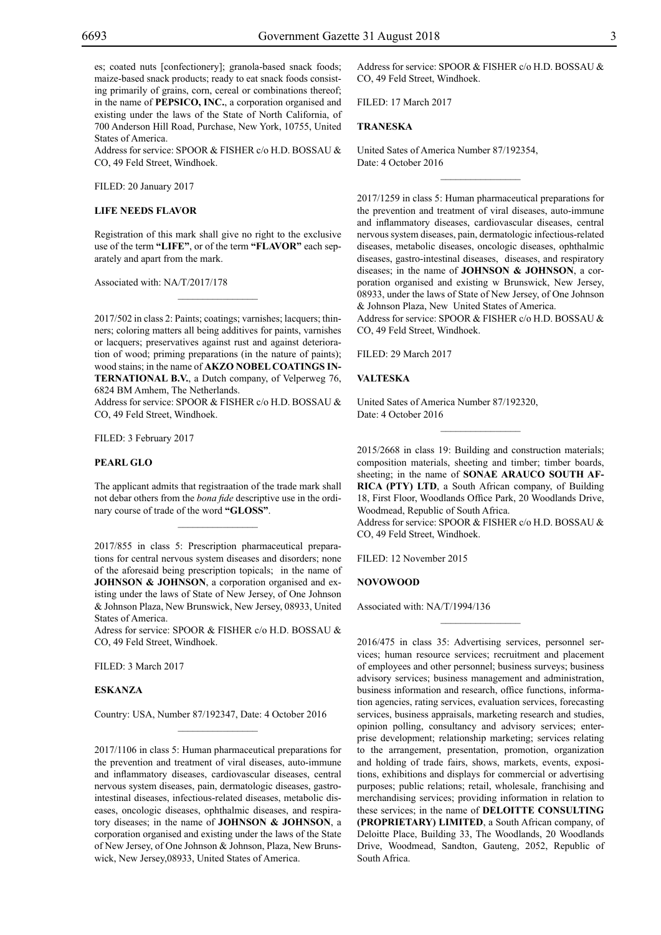es; coated nuts [confectionery]; granola-based snack foods; maize-based snack products; ready to eat snack foods consisting primarily of grains, corn, cereal or combinations thereof; in the name of **PEPSICO, INC.**, a corporation organised and existing under the laws of the State of North California, of 700 Anderson Hill Road, Purchase, New York, 10755, United States of America.

Address for service: SPOOR & FISHER c/o H.D. BOSSAU & CO, 49 Feld Street, Windhoek.

Filed: 20 January 2017

## **LIFE NEEDS FLAVOR**

Registration of this mark shall give no right to the exclusive use of the term **"LIFE"**, or of the term **"FLAVOR"** each separately and apart from the mark.

 $\overline{\phantom{a}}$  , where  $\overline{\phantom{a}}$ 

Associated with: NA/T/2017/178

2017/502 in class 2: Paints; coatings; varnishes; lacquers; thinners; coloring matters all being additives for paints, varnishes or lacquers; preservatives against rust and against deterioration of wood; priming preparations (in the nature of paints); wood stains; in the name of **AKZO NOBEL COATINGS IN-TERNATIONAL B.V.**, a Dutch company, of Velperweg 76, 6824 BM Amhem, The Netherlands.

Address for service: SPOOR & FISHER c/o H.D. BOSSAU & Co, 49 Feld Street, Windhoek.

FILED: 3 February 2017

#### **PEARL GLO**

The applicant admits that registraation of the trade mark shall not debar others from the *bona fide* descriptive use in the ordinary course of trade of the word **"GLOSS"**.

 $\mathcal{L}=\mathcal{L}^{\mathcal{L}}$ 

2017/855 in class 5: Prescription pharmaceutical preparations for central nervous system diseases and disorders; none of the aforesaid being prescription topicals; in the name of **JOHNSON & JOHNSON**, a corporation organised and existing under the laws of State of New Jersey, of One Johnson & Johnson Plaza, New Brunswick, New Jersey, 08933, United States of America.

Adress for service: SPOOR & FISHER c/o H.D. BOSSAU & CO, 49 Feld Street, Windhoek.

FILED: 3 March 2017

#### **ESKANZA**

Country: USA, Number 87/192347, Date: 4 October 2016  $\mathcal{L}=\mathcal{L}^{\mathcal{L}}$ 

2017/1106 in class 5: Human pharmaceutical preparations for the prevention and treatment of viral diseases, auto-immune and inflammatory diseases, cardiovascular diseases, central nervous system diseases, pain, dermatologic diseases, gastrointestinal diseases, infectious-related diseases, metabolic diseases, oncologic diseases, ophthalmic diseases, and respiratory diseases; in the name of **JOHNSON & JOHNSON**, a corporation organised and existing under the laws of the State of New Jersey, of One Johnson & Johnson, Plaza, New Brunswick, New Jersey,08933, United States of America.

Address for service: SPOOR & FISHER c/o H.D. BOSSAU & Co, 49 Feld Street, Windhoek.

Filed: 17 March 2017

#### **TRANESKA**

United Sates of America Number 87/192354, Date: 4 October 2016

2017/1259 in class 5: Human pharmaceutical preparations for the prevention and treatment of viral diseases, auto-immune and inflammatory diseases, cardiovascular diseases, central nervous system diseases, pain, dermatologic infectious-related diseases, metabolic diseases, oncologic diseases, ophthalmic diseases, gastro-intestinal diseases, diseases, and respiratory diseases; in the name of **JOHNSON & JOHNSON**, a corporation organised and existing w Brunswick, New Jersey, 08933, under the laws of State of New Jersey, of One Johnson & Johnson Plaza, New United States of America.

 $\overline{\phantom{a}}$  , we can also the set of  $\overline{\phantom{a}}$ 

Address for service: SPOOR & FISHER c/o H.D. BOSSAU & Co, 49 Feld Street, Windhoek.

Filed: 29 March 2017

**VALTESKA**

United Sates of America Number 87/192320, Date: 4 October 2016

2015/2668 in class 19: Building and construction materials; composition materials, sheeting and timber; timber boards, sheeting; in the name of **SONAE ARAUCO SOUTH AF-RICA (PTY) LTD**, a South African company, of Building 18, First Floor, Woodlands Office Park, 20 Woodlands Drive, Woodmead, Republic of South Africa. Address for service: SPOOR & FISHER c/o H.D. BOSSAU & Co, 49 Feld Street, Windhoek.

 $\overline{\phantom{a}}$  , we can also the set of  $\overline{\phantom{a}}$ 

Filed: 12 November 2015

## **NOVOWOOD**

Associated with: NA/T/1994/136

2016/475 in class 35: Advertising services, personnel services; human resource services; recruitment and placement of employees and other personnel; business surveys; business advisory services; business management and administration, business information and research, office functions, information agencies, rating services, evaluation services, forecasting services, business appraisals, marketing research and studies, opinion polling, consultancy and advisory services; enterprise development; relationship marketing; services relating to the arrangement, presentation, promotion, organization and holding of trade fairs, shows, markets, events, expositions, exhibitions and displays for commercial or advertising purposes; public relations; retail, wholesale, franchising and merchandising services; providing information in relation to these services; in the name of **DELOITTE CONSULTING (PROPRIETARY) LIMITED**, a South African company, of Deloitte Place, Building 33, The Woodlands, 20 Woodlands Drive, Woodmead, Sandton, Gauteng, 2052, Republic of South Africa.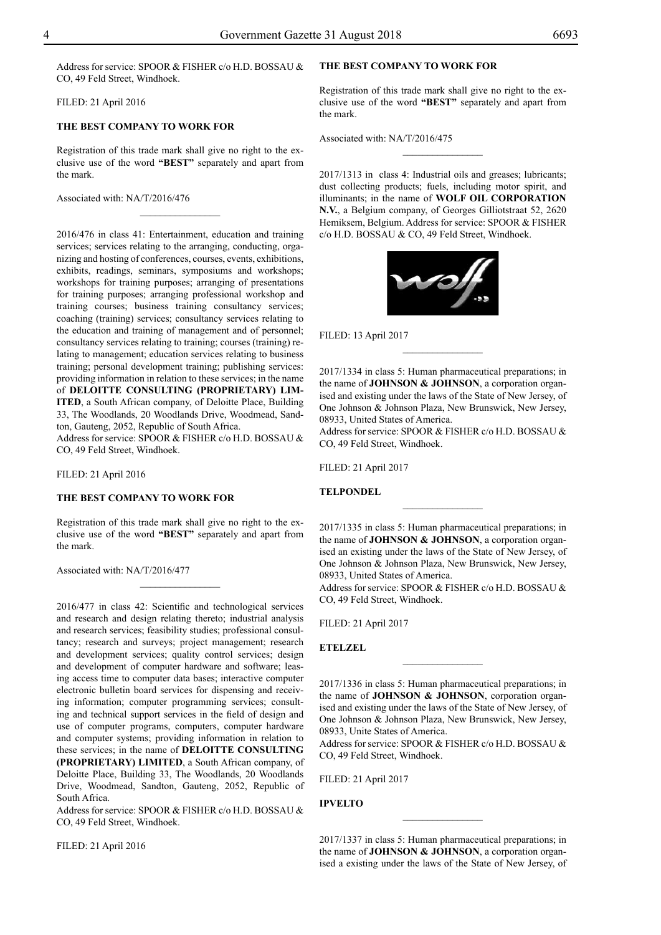Address for service: SPOOR & FISHER c/o H.D. BOSSAU & CO, 49 Feld Street, Windhoek.

Filed: 21 April 2016

## **THE BEST COMPANY TO WORK FOR**

Registration of this trade mark shall give no right to the exclusive use of the word **"BEST"** separately and apart from the mark.

 $\frac{1}{2}$ 

Associated with: NA/T/2016/476

2016/476 in class 41: Entertainment, education and training services; services relating to the arranging, conducting, organizing and hosting of conferences, courses, events, exhibitions, exhibits, readings, seminars, symposiums and workshops; workshops for training purposes; arranging of presentations for training purposes; arranging professional workshop and training courses; business training consultancy services; coaching (training) services; consultancy services relating to the education and training of management and of personnel; consultancy services relating to training; courses (training) relating to management; education services relating to business training; personal development training; publishing services: providing information in relation to these services; in the name of **DELOITTE CONSULTING (PROPRIETARY) LIM-ITED**, a South African company, of Deloitte Place, Building 33, The Woodlands, 20 Woodlands Drive, Woodmead, Sandton, Gauteng, 2052, Republic of South Africa.

Address for service: SPOOR & FISHER c/o H.D. BOSSAU & Co, 49 Feld Street, Windhoek.

Filed: 21 April 2016

#### **THE BEST COMPANY TO WORK FOR**

Registration of this trade mark shall give no right to the exclusive use of the word **"BEST"** separately and apart from the mark.

 $\frac{1}{2}$ 

Associated with: NA/T/2016/477

2016/477 in class 42: Scientific and technological services and research and design relating thereto; industrial analysis and research services; feasibility studies; professional consultancy; research and surveys; project management; research and development services; quality control services; design and development of computer hardware and software; leasing access time to computer data bases; interactive computer electronic bulletin board services for dispensing and receiving information; computer programming services; consulting and technical support services in the field of design and use of computer programs, computers, computer hardware and computer systems; providing information in relation to these services; in the name of **DELOITTE CONSULTING (PROPRIETARY) LIMITED**, a South African company, of Deloitte Place, Building 33, The Woodlands, 20 Woodlands Drive, Woodmead, Sandton, Gauteng, 2052, Republic of South Africa.

Address for service: SPOOR & FISHER c/o H.D. BOSSAU & Co, 49 Feld Street, Windhoek.

Filed: 21 April 2016

## **THE BEST COMPANY TO WORK FOR**

Registration of this trade mark shall give no right to the exclusive use of the word **"BEST"** separately and apart from the mark.

 $\overline{\phantom{a}}$  , where  $\overline{\phantom{a}}$ 

Associated with: NA/T/2016/475

2017/1313 in class 4: Industrial oils and greases; lubricants; dust collecting products; fuels, including motor spirit, and illuminants; in the name of **WOLF OIL CORPORATION N.V.**, a Belgium company, of Georges Gilliotstraat 52, 2620 Hemiksem, Belgium. Address for service: SPOOR & FISHER c/o H.D. BOSSAU & CO, 49 Feld Street, Windhoek.



Filed: 13 April 2017

2017/1334 in class 5: Human pharmaceutical preparations; in the name of **JOHNSON & JOHNSON**, a corporation organised and existing under the laws of the State of New Jersey, of One Johnson & Johnson Plaza, New Brunswick, New Jersey, 08933, United States of America.

 $\overline{\phantom{a}}$  , where  $\overline{\phantom{a}}$ 

Address for service: SPOOR & FISHER c/o H.D. BOSSAU & Co, 49 Feld Street, Windhoek.

Filed: 21 April 2017

## **TELPONDEL**

2017/1335 in class 5: Human pharmaceutical preparations; in the name of **JOHNSON & JOHNSON**, a corporation organised an existing under the laws of the State of New Jersey, of One Johnson & Johnson Plaza, New Brunswick, New Jersey, 08933, United States of America.

 $\frac{1}{2}$ 

Address for service: SPOOR & FISHER c/o H.D. BOSSAU & Co, 49 Feld Street, Windhoek.

Filed: 21 April 2017

**ETELZEL**

2017/1336 in class 5: Human pharmaceutical preparations; in the name of **JOHNSON & JOHNSON**, corporation organised and existing under the laws of the State of New Jersey, of One Johnson & Johnson Plaza, New Brunswick, New Jersey, 08933, Unite States of America.

 $\overline{\phantom{a}}$  , where  $\overline{\phantom{a}}$ 

Address for service: SPOOR & FISHER c/o H.D. BOSSAU & Co, 49 Feld Street, Windhoek.

Filed: 21 April 2017

**IPVELTO**

2017/1337 in class 5: Human pharmaceutical preparations; in the name of **JOHNSON & JOHNSON**, a corporation organised a existing under the laws of the State of New Jersey, of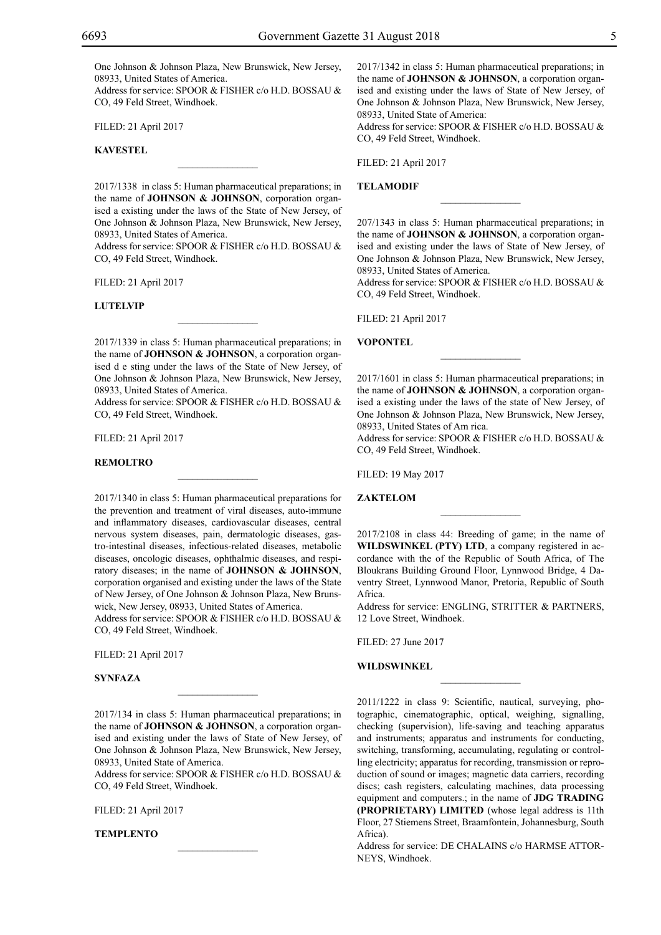One Johnson & Johnson Plaza, New Brunswick, New Jersey, 08933, United States of America.

Address for service: SPOOR & FISHER c/o H.D. BOSSAU & CO, 49 Feld Street, Windhoek.

Filed: 21 April 2017

## **KAVESTEL**

2017/1338 in class 5: Human pharmaceutical preparations; in the name of **JOHNSON & JOHNSON**, corporation organised a existing under the laws of the State of New Jersey, of One Johnson & Johnson Plaza, New Brunswick, New Jersey, 08933, United States of America.

 $\overline{\phantom{a}}$  , where  $\overline{\phantom{a}}$ 

Address for service: SPOOR & FISHER c/o H.D. BOSSAU & Co, 49 Feld Street, Windhoek.

Filed: 21 April 2017

#### **LUTELVIP**

2017/1339 in class 5: Human pharmaceutical preparations; in the name of **JOHNSON & JOHNSON**, a corporation organised d e sting under the laws of the State of New Jersey, of One Johnson & Johnson Plaza, New Brunswick, New Jersey, 08933, United States of America.

 $\mathcal{L}=\mathcal{L}^{\mathcal{L}}$ 

Address for service: SPOOR & FISHER c/o H.D. BOSSAU & Co, 49 Feld Street, Windhoek.

 $\mathcal{L}=\mathcal{L}^{\mathcal{L}}$ 

Filed: 21 April 2017

#### **REMOLTRO**

2017/1340 in class 5: Human pharmaceutical preparations for the prevention and treatment of viral diseases, auto-immune and inflammatory diseases, cardiovascular diseases, central nervous system diseases, pain, dermatologic diseases, gastro-intestinal diseases, infectious-related diseases, metabolic diseases, oncologic diseases, ophthalmic diseases, and respiratory diseases; in the name of **JOHNSON & JOHNSON**, corporation organised and existing under the laws of the State of New Jersey, of One Johnson & Johnson Plaza, New Brunswick, New Jersey, 08933, United States of America.

Address for service: SPOOR & FISHER c/o H.D. BOSSAU & Co, 49 Feld Street, Windhoek.

Filed: 21 April 2017

**SYNFAZA**

2017/134 in class 5: Human pharmaceutical preparations; in the name of **JOHNSON & JOHNSON**, a corporation organised and existing under the laws of State of New Jersey, of One Johnson & Johnson Plaza, New Brunswick, New Jersey, 08933, United State of America.

 $\mathcal{L}=\mathcal{L}^{\mathcal{L}}$ 

Address for service: SPOOR & FISHER c/o H.D. BOSSAU & Co, 49 Feld Street, Windhoek.

 $\mathcal{L}=\mathcal{L}^{\mathcal{L}}$ 

Filed: 21 April 2017

**TEMPLENTO**

2017/1342 in class 5: Human pharmaceutical preparations; in the name of **JOHNSON & JOHNSON**, a corporation organised and existing under the laws of State of New Jersey, of One Johnson & Johnson Plaza, New Brunswick, New Jersey, 08933, United State of America:

Address for service: SPOOR & FISHER c/o H.D. BOSSAU & Co, 49 Feld Street, Windhoek.

Filed: 21 April 2017

## **TELAMODIF**

207/1343 in class 5: Human pharmaceutical preparations; in the name of **JOHNSON & JOHNSON**, a corporation organised and existing under the laws of State of New Jersey, of One Johnson & Johnson Plaza, New Brunswick, New Jersey, 08933, United States of America.

 $\frac{1}{2}$ 

Address for service: SPOOR & FISHER c/o H.D. BOSSAU & Co, 49 Feld Street, Windhoek.

Filed: 21 April 2017

#### **VOPONTEL**

2017/1601 in class 5: Human pharmaceutical preparations; in the name of **JOHNSON & JOHNSON**, a corporation organised a existing under the laws of the state of New Jersey, of One Johnson & Johnson Plaza, New Brunswick, New Jersey, 08933, United States of Am rica.

 $\overline{\phantom{a}}$  , where  $\overline{\phantom{a}}$ 

Address for service: SPOOR & FISHER c/o H.D. BOSSAU & Co, 49 Feld Street, Windhoek.

Filed: 19 May 2017

#### **ZAKTELOM**

2017/2108 in class 44: Breeding of game; in the name of **WILDSWINKEL (PTY) LTD**, a company registered in accordance with the of the Republic of South Africa, of The Bloukrans Building Ground Floor, Lynnwood Bridge, 4 Daventry Street, Lynnwood Manor, Pretoria, Republic of South Africa.

 $\frac{1}{2}$ 

Address for service: ENGLING, STRITTER & PARTNERS, 12 Love Street, Windhoek.

 $\overline{\phantom{a}}$  , where  $\overline{\phantom{a}}$ 

Filed: 27 June 2017

#### **WILDSWINKEL**

2011/1222 in class 9: Scientific, nautical, surveying, photographic, cinematographic, optical, weighing, signalling, checking (supervision), life-saving and teaching apparatus and instruments; apparatus and instruments for conducting, switching, transforming, accumulating, regulating or controlling electricity; apparatus for recording, transmission or reproduction of sound or images; magnetic data carriers, recording discs; cash registers, calculating machines, data processing equipment and computers.; in the name of **JDG TRADING (PROPRIETARY) LIMITED** (whose legal address is 11th Floor, 27 Stiemens Street, Braamfontein, Johannesburg, South Africa).

Address for service: DE CHALAINS c/o HARMSE ATTOR-NEYS, Windhoek.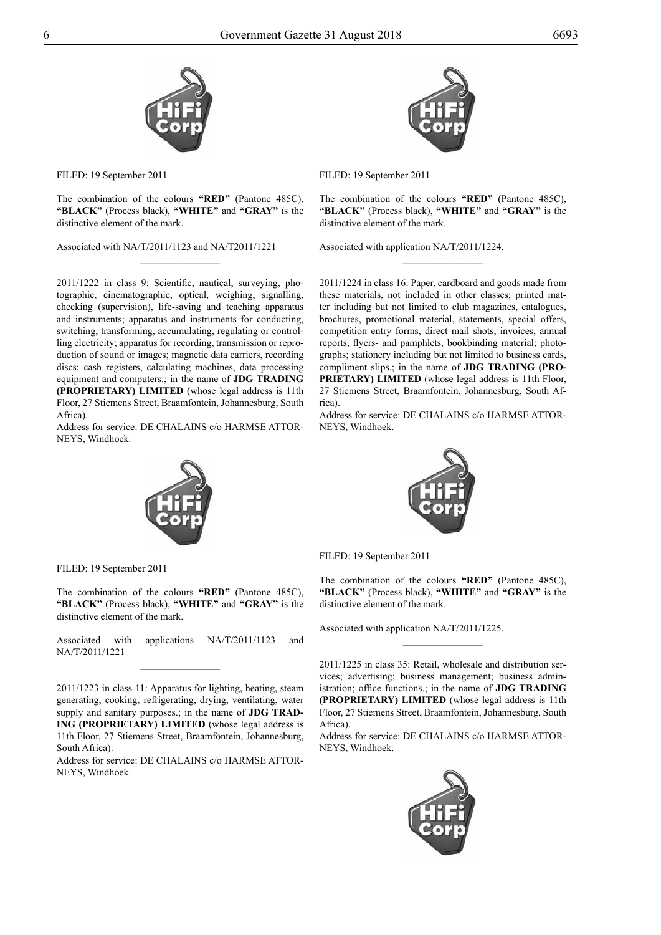



The combination of the colours **"RED"** (Pantone 485C), **"BLACK"** (Process black), **"WHITE"** and **"GRAY"** ïs the distinctive element of the mark.

 $\overline{\phantom{a}}$  , where  $\overline{\phantom{a}}$ 

Associated with NA/T/2011/1123 and NA/T2011/1221

Filed: 19 September 2011

The combination of the colours **"RED"** (Pantone 485C), **"BLACK"** (Process black), **"WHITE"** and **"GRAY"** is the distinctive element of the mark.

 $\overline{\phantom{a}}$  , where  $\overline{\phantom{a}}$ 

2011/1224 in class 16: Paper, cardboard and goods made from these materials, not included in other classes; printed matter including but not limited to club magazines, catalogues, brochures, promotional material, statements, special offers, competition entry forms, direct mail shots, invoices, annual reports, flyers- and pamphlets, bookbinding material; photographs; stationery including but not limited to business cards, compliment slips.; in the name of **JDG TRADING (PRO-PRIETARY) LIMITED** (whose legal address is 11th Floor, 27 Stiemens Street, Braamfontein, Johannesburg, South Af-

Address for service: DE CHALAINS c/o HARMSE ATTOR-

Associated with application NA/T/2011/1224.

2011/1222 in class 9: Scientific, nautical, surveying, photographic, cinematographic, optical, weighing, signalling, checking (supervision), life-saving and teaching apparatus and instruments; apparatus and instruments for conducting, switching, transforming, accumulating, regulating or controlling electricity; apparatus for recording, transmission or reproduction of sound or images; magnetic data carriers, recording discs; cash registers, calculating machines, data processing equipment and computers.; in the name of **JDG TRADING (PROPRIETARY) LIMITED** (whose legal address is 11th Floor, 27 Stiemens Street, Braamfontein, Johannesburg, South Africa).

Address for service: DE CHALAINS c/o HARMSE ATTOR-NEYS, Windhoek.



The combination of the colours **"RED"** (Pantone 485C), **"BLACK"** (Process black), **"WHITE"** and **"GRAY"** is the

Filed: 19 September 2011

rica).

NEYS, Windhoek.

The combination of the colours **"RED"** (Pantone 485C), **"BLACK"** (Process black), **"WHITE"** and **"GRAY"** is the distinctive element of the mark.

 $\frac{1}{2}$ 

Associated with application NA/T/2011/1225.

2011/1225 in class 35: Retail, wholesale and distribution services; advertising; business management; business administration; office functions.; in the name of **JDG TRADING (PROPRIETARY) LIMITED** (whose legal address is 11th Floor, 27 Stiemens Street, Braamfontein, Johannesburg, South Africa).

Address for service: DE CHALAINS c/o HARMSE ATTOR-NEYS, Windhoek.



Associated with applications NA/T/2011/1123 and NA/T/2011/1221  $\frac{1}{2}$ 

FILED: 19 September 2011

distinctive element of the mark.

2011/1223 in class 11: Apparatus for lighting, heating, steam generating, cooking, refrigerating, drying, ventilating, water supply and sanitary purposes.; in the name of **JDG TRAD-ING (PROPRIETARY) LIMITED** (whose legal address is 11th Floor, 27 Stiemens Street, Braamfontein, Johannesburg, South Africa).

Address for service: DE CHALAINS c/o HARMSE ATTOR-NEYS, Windhoek.

Filed: 19 September 2011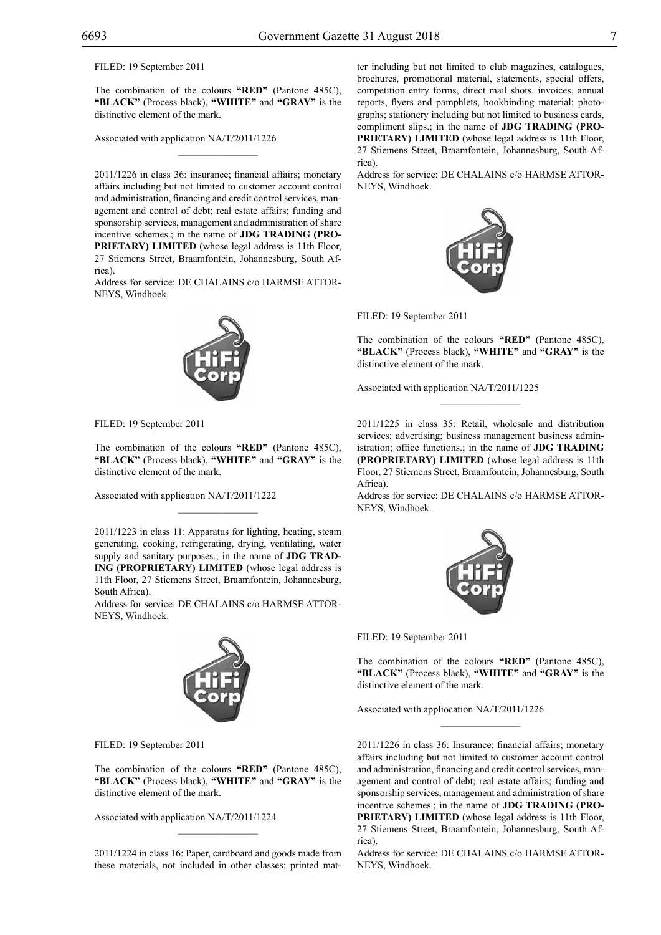Filed: 19 September 2011

The combination of the colours **"RED"** (Pantone 485C), **"BLACK"** (Process black), **"WHITE"** and **"GRAY"** is the distinctive element of the mark.

 $\mathcal{L}=\mathcal{L}^{\mathcal{L}}$ 

Associated with application NA/T/2011/1226

2011/1226 in class 36: insurance; financial affairs; monetary affairs including but not limited to customer account control and administration, financing and credit control services, management and control of debt; real estate affairs; funding and sponsorship services, management and administration of share incentive schemes.; in the name of **JDG TRADING (PRO-PRIETARY) LIMITED** (whose legal address is 11th Floor, 27 Stiemens Street, Braamfontein, Johannesburg, South Africa).

Address for service: DE CHALAINS c/o HARMSE ATTOR-NEYS, Windhoek.



Filed: 19 September 2011

The combination of the colours **"RED"** (Pantone 485C), **"BLACK"** (Process black), **"WHITE"** and **"GRAY"** is the distinctive element of the mark.

Associated with application NA/T/2011/1222

2011/1223 in class 11: Apparatus for lighting, heating, steam generating, cooking, refrigerating, drying, ventilating, water supply and sanitary purposes.; in the name of **JDG TRAD-ING (PROPRIETARY) LIMITED** (whose legal address is 11th Floor, 27 Stiemens Street, Braamfontein, Johannesburg, South Africa).

 $\mathcal{L}=\mathcal{L}^{\mathcal{L}}$ 

Address for service: DE CHALAINS c/o HARMSE ATTOR-NEYS, Windhoek.



Filed: 19 September 2011

The combination of the colours **"RED"** (Pantone 485C), **"BLACK"** (Process black), **"WHITE"** and **"GRAY"** is the distinctive element of the mark.

Associated with application NA/T/2011/1224

2011/1224 in class 16: Paper, cardboard and goods made from these materials, not included in other classes; printed mat-

 $\mathcal{L}=\mathcal{L}^{\mathcal{L}}$ 

ter including but not limited to club magazines, catalogues, brochures, promotional material, statements, special offers, competition entry forms, direct mail shots, invoices, annual reports, flyers and pamphlets, bookbinding material; photographs; stationery including but not limited to business cards, compliment slips.; in the name of **JDG TRADING (PRO-PRIETARY) LIMITED** (whose legal address is 11th Floor, 27 Stiemens Street, Braamfontein, Johannesburg, South Africa).

Address for service: DE CHALAINS c/o HARMSE ATTOR-NEYS, Windhoek.



Filed: 19 September 2011

The combination of the colours **"RED"** (Pantone 485C), **"BLACK"** (Process black), **"WHITE"** and **"GRAY"** is the distinctive element of the mark.

 $\frac{1}{2}$ 

Associated with application NA/T/2011/1225

2011/1225 in class 35: Retail, wholesale and distribution services; advertising; business management business administration; office functions.; in the name of **JDG TRADING (PROPRIETARY) LIMITED** (whose legal address is 11th Floor, 27 Stiemens Street, Braamfontein, Johannesburg, South Africa).

Address for service: DE CHALAINS c/o HARMSE ATTOR-NEYS, Windhoek.



Filed: 19 September 2011

The combination of the colours **"RED"** (Pantone 485C), **"BLACK"** (Process black), **"WHITE"** and **"GRAY"** is the distinctive element of the mark.

 $\frac{1}{2}$ 

Associated with appliocation NA/T/2011/1226

2011/1226 in class 36: Insurance; financial affairs; monetary affairs including but not limited to customer account control and administration, financing and credit control services, management and control of debt; real estate affairs; funding and sponsorship services, management and administration of share incentive schemes.; in the name of **JDG TRADING (PRO-PRIETARY) LIMITED** (whose legal address is 11th Floor, 27 Stiemens Street, Braamfontein, Johannesburg, South Africa).

Address for service: DE CHALAINS c/o HARMSE ATTOR-NEYS, Windhoek.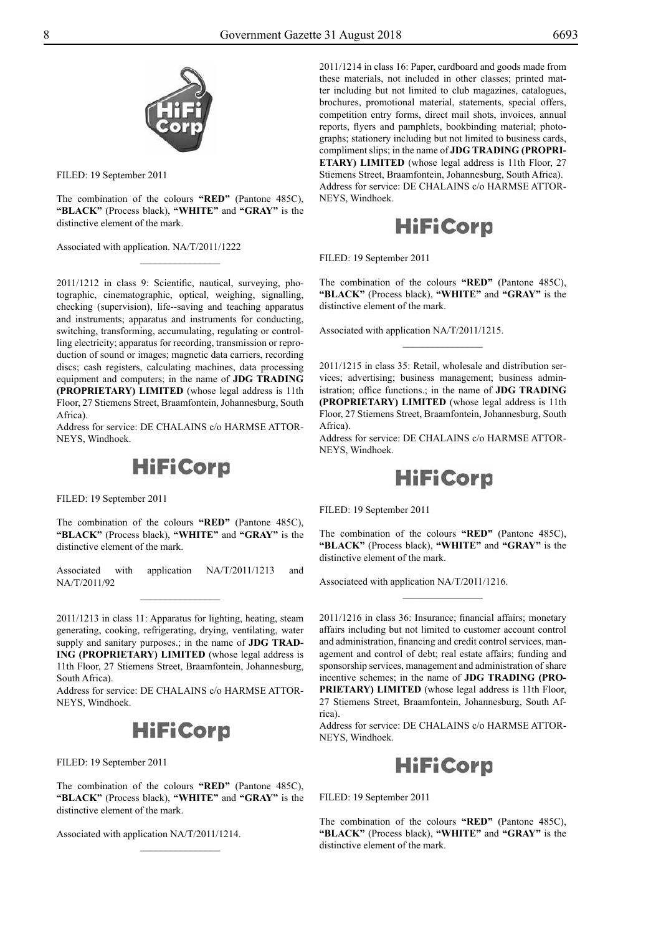

Filed: 19 September 2011

The combination of the colours **"RED"** (Pantone 485C), **"BLACK"** (Process black), **"WHITE"** and **"GRAY"** is the distinctive element of the mark.

 $\overline{\phantom{a}}$  , where  $\overline{\phantom{a}}$ 

Associated with application. NA/T/2011/1222

2011/1212 in class 9: Scientific, nautical, surveying, photographic, cinematographic, optical, weighing, signalling, checking (supervision), life--saving and teaching apparatus and instruments; apparatus and instruments for conducting, switching, transforming, accumulating, regulating or controlling electricity; apparatus for recording, transmission or reproduction of sound or images; magnetic data carriers, recording discs; cash registers, calculating machines, data processing equipment and computers; in the name of **JDG TRADING (PROPRIETARY) LIMITED** (whose legal address is 11th Floor, 27 Stiemens Street, Braamfontein, Johannesburg, South Africa).

Address for service: DE CHALAINS c/o HARMSE ATTOR-NEYS, Windhoek.



Filed: 19 September 2011

The combination of the colours **"RED"** (Pantone 485C), **"BLACK"** (Process black), **"WHITE"** and **"GRAY"** is the distinctive element of the mark.

Associated with application NA/T/2011/1213 and NA/T/2011/92  $\overline{\phantom{a}}$  , where  $\overline{\phantom{a}}$ 

2011/1213 in class 11: Apparatus for lighting, heating, steam generating, cooking, refrigerating, drying, ventilating, water supply and sanitary purposes.; in the name of **JDG TRAD-ING (PROPRIETARY) LIMITED** (whose legal address is 11th Floor, 27 Stiemens Street, Braamfontein, Johannesburg, South Africa).

Address for service: DE CHALAINS c/o HARMSE ATTOR-NEYS, Windhoek.

# **HiFiCorp**

FILED: 19 September 2011

The combination of the colours **"RED"** (Pantone 485C), **"BLACK"** (Process black), **"WHITE"** and **"GRAY"** is the distinctive element of the mark.

 $\frac{1}{2}$ 

Associated with application NA/T/2011/1214.

2011/1214 in class 16: Paper, cardboard and goods made from these materials, not included in other classes; printed matter including but not limited to club magazines, catalogues, brochures, promotional material, statements, special offers, competition entry forms, direct mail shots, invoices, annual reports, flyers and pamphlets, bookbinding material; photographs; stationery including but not limited to business cards, compliment slips; in the name of **JDG TRADING (PROPRI-ETARY) LIMITED** (whose legal address is 11th Floor, 27 Stiemens Street, Braamfontein, Johannesburg, South Africa). Address for service: DE CHALAINS c/o HARMSE ATTOR-NEYS, Windhoek.



Filed: 19 September 2011

The combination of the colours **"RED"** (Pantone 485C), **"BLACK"** (Process black), **"WHITE"** and **"GRAY"** is the distinctive element of the mark.

 $\frac{1}{2}$ 

Associated with application NA/T/2011/1215.

2011/1215 in class 35: Retail, wholesale and distribution services; advertising; business management; business administration; office functions.; in the name of **JDG TRADING (PROPRIETARY) LIMITED** (whose legal address is 11th Floor, 27 Stiemens Street, Braamfontein, Johannesburg, South Africa).

Address for service: DE CHALAINS c/o HARMSE ATTOR-NEYS, Windhoek.

# **HiFiCorp**

Filed: 19 September 2011

The combination of the colours **"RED"** (Pantone 485C), **"BLACK"** (Process black), **"WHITE"** and **"GRAY"** is the distinctive element of the mark.

 $\overline{\phantom{a}}$  , where  $\overline{\phantom{a}}$ 

Associateed with application NA/T/2011/1216.

2011/1216 in class 36: Insurance; financial affairs; monetary affairs including but not limited to customer account control and administration, financing and credit control services, management and control of debt; real estate affairs; funding and sponsorship services, management and administration of share incentive schemes; in the name of **JDG TRADING (PRO-PRIETARY) LIMITED** (whose legal address is 11th Floor, 27 Stiemens Street, Braamfontein, Johannesburg, South Africa).

Address for service: DE CHALAINS c/o HARMSE ATTOR-NEYS, Windhoek.



FILED: 19 September 2011

The combination of the colours **"RED"** (Pantone 485C), **"BLACK"** (Process black), **"WHITE"** and **"GRAY"** is the distinctive element of the mark.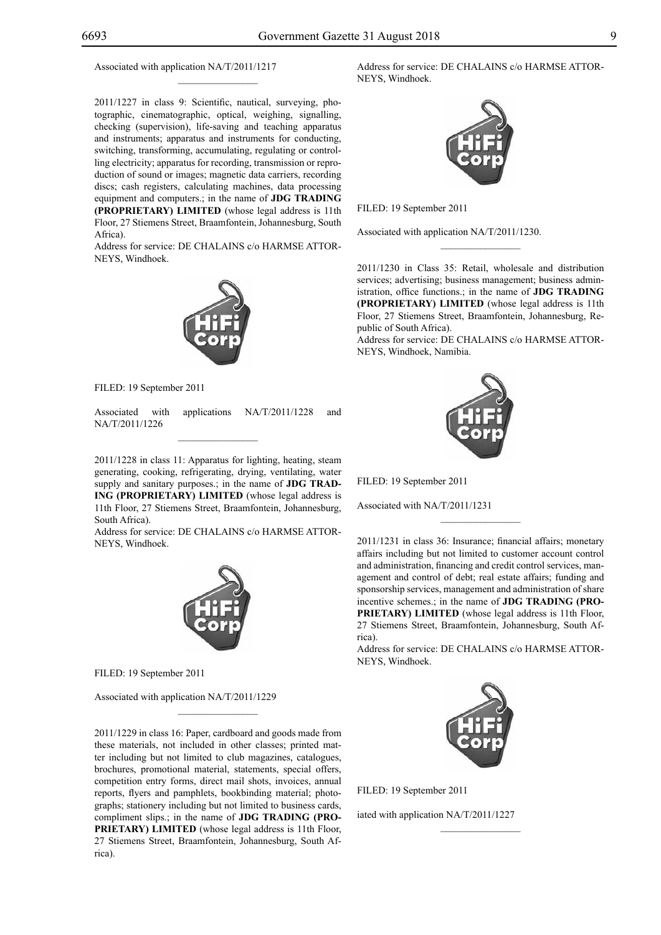## Associated with application NA/T/2011/1217

2011/1227 in class 9: Scientific, nautical, surveying, photographic, cinematographic, optical, weighing, signalling, checking (supervision), life-saving and teaching apparatus and instruments; apparatus and instruments for conducting, switching, transforming, accumulating, regulating or controlling electricity; apparatus for recording, transmission or reproduction of sound or images; magnetic data carriers, recording discs; cash registers, calculating machines, data processing equipment and computers.; in the name of **JDG TRADING (PROPRIETARY) LIMITED** (whose legal address is 11th Floor, 27 Stiemens Street, Braamfontein, Johannesburg, South Africa).

 $\mathcal{L}=\mathcal{L}^{\mathcal{L}}$ 

Address for service: DE CHALAINS c/o HARMSE ATTOR-NEYS, Windhoek.



Filed: 19 September 2011

Associated with applications NA/T/2011/1228 and NA/T/2011/1226

2011/1228 in class 11: Apparatus for lighting, heating, steam generating, cooking, refrigerating, drying, ventilating, water supply and sanitary purposes.; in the name of **JDG TRAD-ING (PROPRIETARY) LIMITED** (whose legal address is 11th Floor, 27 Stiemens Street, Braamfontein, Johannesburg, South Africa).

Address for service: DE CHALAINS c/o HARMSE ATTOR-NEYS, Windhoek.



Filed: 19 September 2011

Associated with application NA/T/2011/1229

2011/1229 in class 16: Paper, cardboard and goods made from these materials, not included in other classes; printed matter including but not limited to club magazines, catalogues, brochures, promotional material, statements, special offers, competition entry forms, direct mail shots, invoices, annual reports, flyers and pamphlets, bookbinding material; photographs; stationery including but not limited to business cards, compliment slips.; in the name of **JDG TRADING (PRO-PRIETARY) LIMITED** (whose legal address is 11th Floor, 27 Stiemens Street, Braamfontein, Johannesburg, South Africa).

 $\mathcal{L}=\mathcal{L}^{\mathcal{L}}$ 

Address for service: DE CHALAINS c/o HARMSE ATTOR-NEYS, Windhoek.



Filed: 19 September 2011

Associated with application NA/T/2011/1230.

2011/1230 in Class 35: Retail, wholesale and distribution services; advertising; business management; business administration, office functions.; in the name of **JDG TRADING (PROPRIETARY) LIMITED** (whose legal address is 11th Floor, 27 Stiemens Street, Braamfontein, Johannesburg, Republic of South Africa).

 $\frac{1}{2}$ 

Address for service: DE CHALAINS c/o HARMSE ATTOR-NEYS, Windhoek, Namibia.



Filed: 19 September 2011

Associated with NA/T/2011/1231

2011/1231 in class 36: Insurance; financial affairs; monetary affairs including but not limited to customer account control and administration, financing and credit control services, management and control of debt; real estate affairs; funding and sponsorship services, management and administration of share incentive schemes.; in the name of **JDG TRADING (PRO-PRIETARY) LIMITED** (whose legal address is 11th Floor, 27 Stiemens Street, Braamfontein, Johannesburg, South Africa).

 $\frac{1}{2}$ 

Address for service: DE CHALAINS c/o HARMSE ATTOR-NEYS, Windhoek.



 $\frac{1}{2}$ 

Filed: 19 September 2011

iated with application NA/T/2011/1227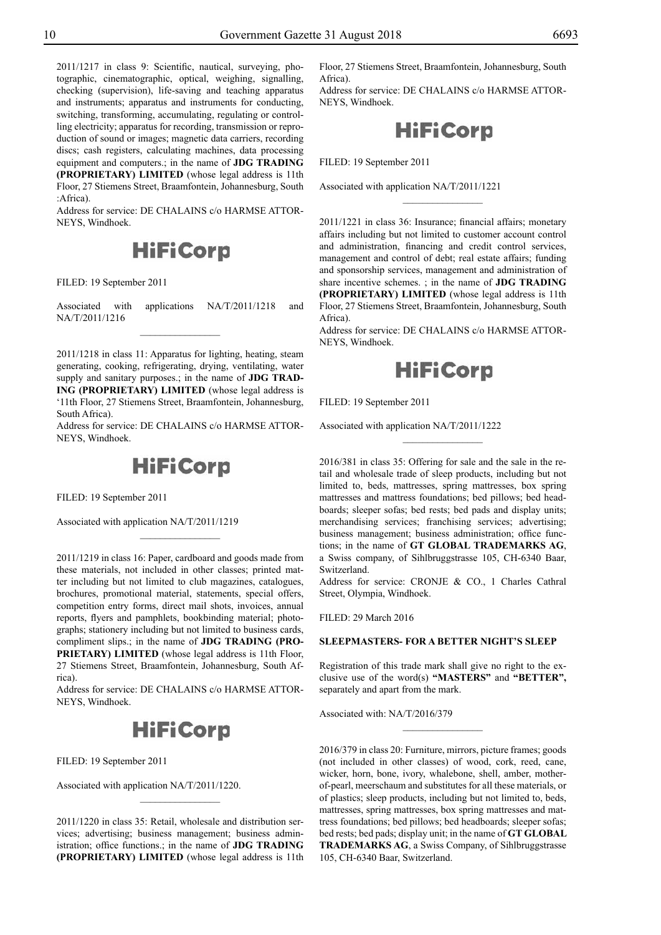2011/1217 in class 9: Scientific, nautical, surveying, photographic, cinematographic, optical, weighing, signalling, checking (supervision), life-saving and teaching apparatus and instruments; apparatus and instruments for conducting, switching, transforming, accumulating, regulating or controlling electricity; apparatus for recording, transmission or reproduction of sound or images; magnetic data carriers, recording discs; cash registers, calculating machines, data processing equipment and computers.; in the name of **JDG TRADING (PROPRIETARY) LIMITED** (whose legal address is 11th Floor, 27 Stiemens Street, Braamfontein, Johannesburg, South :Africa).

Address for service: DE CHALAINS c/o HARMSE ATTOR-NEYS, Windhoek.



Filed: 19 September 2011

Associated with applications NA/T/2011/1218 and NA/T/2011/1216

2011/1218 in class 11: Apparatus for lighting, heating, steam generating, cooking, refrigerating, drying, ventilating, water supply and sanitary purposes.; in the name of **JDG TRAD-ING (PROPRIETARY) LIMITED** (whose legal address is '11th Floor, 27 Stiemens Street, Braamfontein, Johannesburg, South Africa).

Address for service: DE CHALAINS c/o HARMSE ATTOR-NEYS, Windhoek.



 $\frac{1}{2}$ 

Filed: 19 September 2011

Associated with application NA/T/2011/1219

2011/1219 in class 16: Paper, cardboard and goods made from these materials, not included in other classes; printed matter including but not limited to club magazines, catalogues, brochures, promotional material, statements, special offers, competition entry forms, direct mail shots, invoices, annual reports, flyers and pamphlets, bookbinding material; photographs; stationery including but not limited to business cards, compliment slips.; in the name of **JDG TRADING (PRO-PRIETARY) LIMITED** (whose legal address is 11th Floor, 27 Stiemens Street, Braamfontein, Johannesburg, South Africa).

Address for service: DE CHALAINS c/o HARMSE ATTOR-NEYS, Windhoek.

# **HiFiCorp**

Filed: 19 September 2011

Associated with application NA/T/2011/1220.

2011/1220 in class 35: Retail, wholesale and distribution services; advertising; business management; business administration; office functions.; in the name of **JDG TRADING (PROPRIETARY) LIMITED** (whose legal address is 11th

 $\overline{\phantom{a}}$  , where  $\overline{\phantom{a}}$ 

Floor, 27 Stiemens Street, Braamfontein, Johannesburg, South Africa).

Address for service: DE CHALAINS c/o HARMSE ATTOR-NEYS, Windhoek.

**HiFiCorp** 

Filed: 19 September 2011

Associated with application NA/T/2011/1221

2011/1221 in class 36: Insurance; financial affairs; monetary affairs including but not limited to customer account control and administration, financing and credit control services, management and control of debt; real estate affairs; funding and sponsorship services, management and administration of share incentive schemes. ; in the name of **JDG TRADING (PROPRIETARY) LIMITED** (whose legal address is 11th Floor, 27 Stiemens Street, Braamfontein, Johannesburg, South Africa).

 $\frac{1}{2}$ 

Address for service: DE CHALAINS c/o HARMSE ATTOR-NEYS, Windhoek.



FILED: 19 September 2011

Associated with application NA/T/2011/1222

2016/381 in class 35: Offering for sale and the sale in the retail and wholesale trade of sleep products, including but not limited to, beds, mattresses, spring mattresses, box spring mattresses and mattress foundations; bed pillows; bed headboards; sleeper sofas; bed rests; bed pads and display units; merchandising services; franchising services; advertising; business management; business administration; office functions; in the name of **GT GLOBAL TRADEMARKS AG**, a Swiss company, of Sihlbruggstrasse 105, CH-6340 Baar, Switzerland.

 $\frac{1}{2}$ 

Address for service: CRONJE & CO., 1 Charles Cathral Street, Olympia, Windhoek.

Filed: 29 March 2016

## **SLEEPMASTERS- FOR A BETTER NIGHT'S SLEEP**

Registration of this trade mark shall give no right to the exclusive use of the word(s) **"MASTERS"** and **"BETTER",** separately and apart from the mark.

Associated with: NA/T/2016/379

2016/379 in class 20: Furniture, mirrors, picture frames; goods (not included in other classes) of wood, cork, reed, cane, wicker, horn, bone, ivory, whalebone, shell, amber, motherof-pearl, meerschaum and substitutes for all these materials, or of plastics; sleep products, including but not limited to, beds, mattresses, spring mattresses, box spring mattresses and mattress foundations; bed pillows; bed headboards; sleeper sofas; bed rests; bed pads; display unit; in the name of **GT GLOBAL TRADEMARKS AG**, a Swiss Company, of Sihlbruggstrasse 105, CH-6340 Baar, Switzerland.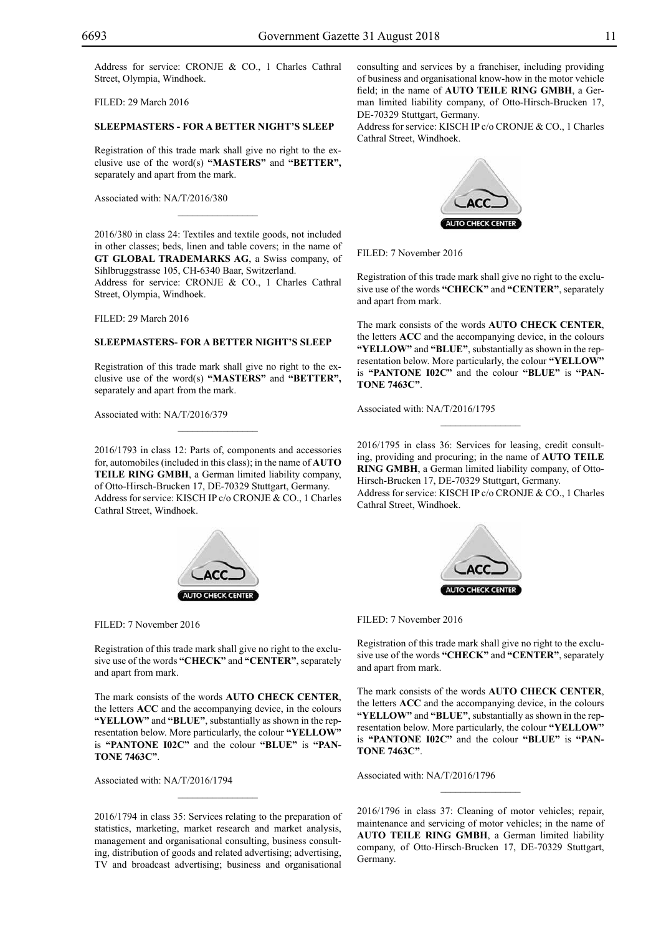Address for service: CRONJE & CO., 1 Charles Cathral Street, Olympia, Windhoek.

Filed: 29 March 2016

## **SLEEPMASTERS - FOR A BETTER NIGHT'S SLEEP**

Registration of this trade mark shall give no right to the exclusive use of the word(s) **"MASTERS"** and **"BETTER",** separately and apart from the mark.

 $\mathcal{L}=\mathcal{L}^{\mathcal{L}}$ 

Associated with: NA/T/2016/380

2016/380 in class 24: Textiles and textile goods, not included in other classes; beds, linen and table covers; in the name of **GT GLOBAL TRADEMARKS AG**, a Swiss company, of Sihlbruggstrasse 105, CH-6340 Baar, Switzerland. Address for service: CRONJE & CO., 1 Charles Cathral Street, Olympia, Windhoek.

Filed: 29 March 2016

#### **SLEEPMASTERS- FOR A BETTER NIGHT'S SLEEP**

Registration of this trade mark shall give no right to the exclusive use of the word(s) **"MASTERS"** and **"BETTER",** separately and apart from the mark.

 $\overline{\phantom{a}}$  , where  $\overline{\phantom{a}}$ 

Associated with: NA/T/2016/379

2016/1793 in class 12: Parts of, components and accessories for, automobiles (included in this class); in the name of **AUTO TEILE RING GMBH**, a German limited liability company, of Otto-Hirsch-Brucken 17, DE-70329 Stuttgart, Germany. Address for service: KISCH IP c/o CRONJE & CO., 1 Charles Cathral Street, Windhoek.



Filed: 7 November 2016

Registration of this trade mark shall give no right to the exclusive use of the words **"CHECK"** and **"CENTER"**, separately and apart from mark.

The mark consists of the words **AUTO CHECK CENTER**, the letters **ACC** and the accompanying device, in the colours "YELLOW" and "BLUE", substantially as shown in the representation below. More particularly, the colour "YELLOW" is **"PANTONE I02C"** and the colour **"BLUE"** is **"PANtone 7463C"**.

Associated with: NA/T/2016/1794

2016/1794 in class 35: Services relating to the preparation of statistics, marketing, market research and market analysis, management and organisational consulting, business consulting, distribution of goods and related advertising; advertising, TV and broadcast advertising; business and organisational

 $\overline{\phantom{a}}$  , where  $\overline{\phantom{a}}$ 

consulting and services by a franchiser, including providing of business and organisational know-how in the motor vehicle field; in the name of **AUTO TEILE RING GMBH**, a German limited liability company, of Otto-Hirsch-Brucken 17, DE-70329 Stuttgart, Germany.

Address for service: KISCH IP c/o CRONJE & CO., 1 Charles Cathral Street, Windhoek.



Filed: 7 November 2016

Registration of this trade mark shall give no right to the exclusive use of the words **"CHECK"** and **"CENTER"**, separately and apart from mark.

The mark consists of the words **AUTO CHECK CENTER**, the letters **ACC** and the accompanying device, in the colours **"yellow"** and **"blue"**, substantially as shown in the representation below. More particularly, the colour "YELLOW" is **"PANTONE I02C"** and the colour **"BLUE"** is **"PANtone 7463C"**.

Associated with: NA/T/2016/1795

2016/1795 in class 36: Services for leasing, credit consulting, providing and procuring; in the name of **AUTO TEILE RING GMBH**, a German limited liability company, of Otto-Hirsch-Brucken 17, DE-70329 Stuttgart, Germany.

Address for service: KISCH IP c/o CRONJE & CO., 1 Charles Cathral Street, Windhoek.



FILED: 7 November 2016

Registration of this trade mark shall give no right to the exclusive use of the words **"CHECK"** and **"CENTER"**, separately and apart from mark.

The mark consists of the words **AUTO CHECK CENTER**, the letters **ACC** and the accompanying device, in the colours **"yellow"** and **"blue"**, substantially as shown in the representation below. More particularly, the colour "YELLOW" is "PANTONE 102C" and the colour "BLUE" is "PAN**tone 7463C"**.

Associated with: NA/T/2016/1796

2016/1796 in class 37: Cleaning of motor vehicles; repair, maintenance and servicing of motor vehicles; in the name of **AUTO TEILE RING GMBH**, a German limited liability company, of Otto-Hirsch-Brucken 17, DE-70329 Stuttgart, Germany.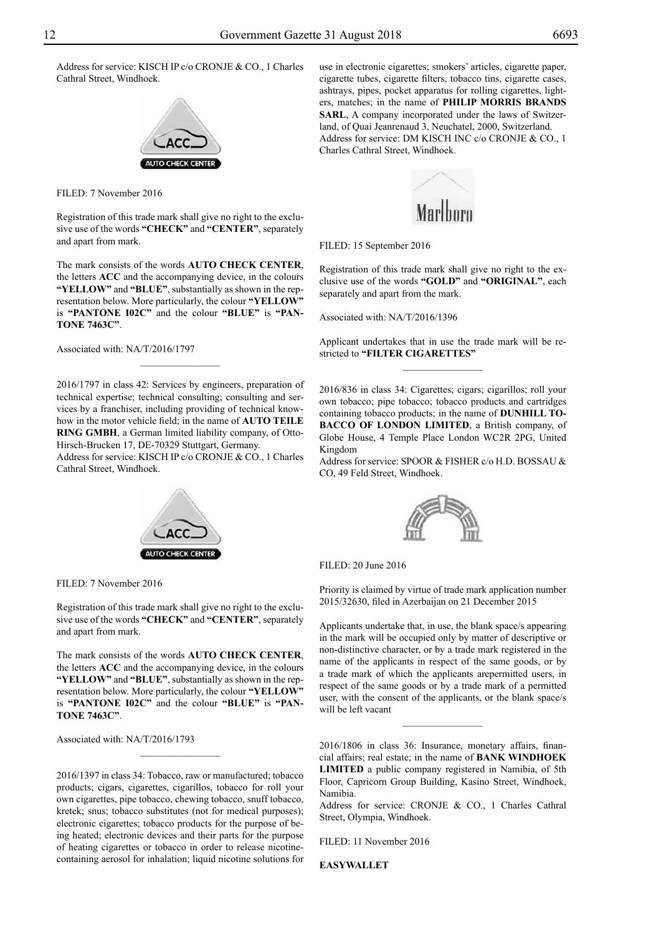Address for service: KISCH IP c/o CRONJE & CO., 1 Charles Cathral Street, Windhoek.



Filed: 7 November 2016

Registration of this trade mark shall give no right to the exclusive use of the words **"CHECK"** and **"CENTER"**, separately and apart from mark.

The mark consists of the words **AUTO CHECK CENTER**, the letters **ACC** and the accompanying device, in the colours "YELLOW" and "BLUE", substantially as shown in the representation below. More particularly, the colour "YELLOW" is **"PANTONE I02C"** and the colour **"BLUE"** is **"PANtone 7463C"**.

Associated with: NA/T/2016/1797

2016/1797 in class 42: Services by engineers, preparation of technical expertise; technical consulting; consulting and services by a franchiser, including providing of technical knowhow in the motor vehicle field; in the name of **AUTO TEILE RING GMBH**, a German limited liability company, of Otto-Hirsch-Brucken 17, DE-70329 Stuttgart, Germany.

Address for service: KISCH IP c/o CRONJE & CO., 1 Charles Cathral Street, Windhoek.



Filed: 7 November 2016

Registration of this trade mark shall give no right to the exclusive use of the words **"CHECK"** and **"CENTER"**, separately and apart from mark.

The mark consists of the words **AUTO CHECK CENTER**, the letters **ACC** and the accompanying device, in the colours **"yellow"** and **"blue"**, substantially as shown in the representation below. More particularly, the colour "YELLOW" is **"PANTONE I02C"** and the colour **"BLUE"** is **"PANtone 7463C"**.

 $\frac{1}{2}$ 

Associated with: NA/T/2016/1793

2016/1397 in class 34: Tobacco, raw or manufactured; tobacco products; cigars, cigarettes, cigarillos, tobacco for roll your own cigarettes, pipe tobacco, chewing tobacco, snuff tobacco, kretek; snus; tobacco substitutes (not for medical purposes); electronic cigarettes; tobacco products for the purpose of being heated; electronic devices and their parts for the purpose of heating cigarettes or tobacco in order to release nicotinecontaining aerosol for inhalation; liquid nicotine solutions for

use in electronic cigarettes; smokers' articles, cigarette paper, cigarette tubes, cigarette filters, tobacco tins, cigarette cases, ashtrays, pipes, pocket apparatus for rolling cigarettes, lighters, matches; in the name of **PHILIP MORRIS BRANDS SARL**, A company incorporated under the laws of Switzerland, of Quai Jeanrenaud 3, Neuchatel, 2000, Switzerland. Address for service: DM KISCH INC c/o CRONJE & CO., 1 Charles Cathral Street, Windhoek.



FILED: 15 September 2016

Registration of this trade mark shall give no right to the exclusive use of the words **"GOLD"** and **"ORIGINAL"**, each separately and apart from the mark.

Associated with: NA/T/2016/1396

Applicant undertakes that in use the trade mark will be restricted to **"FILTER CIGARETTES"**  $\frac{1}{2}$ 

2016/836 in class 34: Cigarettes; cigars; cigarillos; roll your own tobacco; pipe tobacco; tobacco products and cartridges containing tobacco products; in the name of **DUNHILL TO-BACCO OF LONDON LIMITED**, a British company, of Globe House, 4 Temple Place London WC2R 2PG, United Kingdom

Address for service: SPOOR & FISHER c/o H.D. BOSSAU & Co, 49 Feld Street, Windhoek.



Filed: 20 June 2016

Priority is claimed by virtue of trade mark application number 2015/32630, filed in Azerbaijan on 21 December 2015

Applicants undertake that, in use, the blank space/s appearing in the mark will be occupied only by matter of descriptive or non-distinctive character, or by a trade mark registered in the name of the applicants in respect of the same goods, or by a trade mark of which the applicants arepermitted users, in respect of the same goods or by a trade mark of a permitted user, with the consent of the applicants, or the blank space/s will be left vacant

2016/1806 in class 36: Insurance, monetary affairs, financial affairs; real estate; in the name of **BANK WINDHOEK LIMITED** a public company registered in Namibia, of 5th Floor, Capricorn Group Building, Kasino Street, Windhoek, Namibia.

 $\overline{\phantom{a}}$  , where  $\overline{\phantom{a}}$ 

Address for service: CRONJE & CO., 1 Charles Cathral Street, Olympia, Windhoek.

Filed: 11 November 2016

**EasyWallet**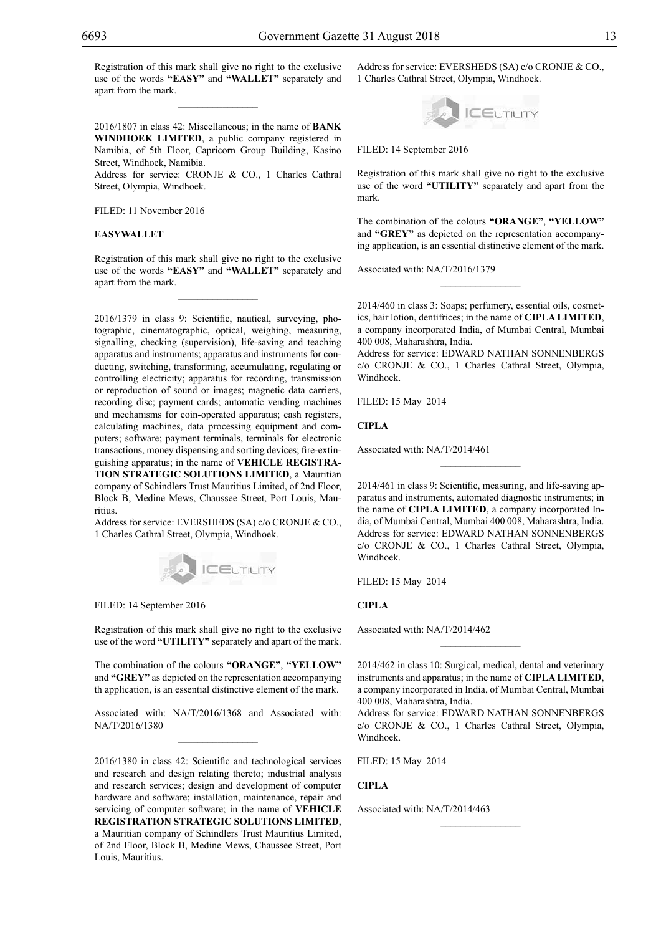Registration of this mark shall give no right to the exclusive use of the words **"EASY"** and **"WALLET"** separately and apart from the mark.

 $\overline{\phantom{a}}$  , where  $\overline{\phantom{a}}$ 

2016/1807 in class 42: Miscellaneous; in the name of **BANK WINDHOEK LIMITED**, a public company registered in Namibia, of 5th Floor, Capricorn Group Building, Kasino Street, Windhoek, Namibia.

Address for service: CRONJE & CO., 1 Charles Cathral Street, Olympia, Windhoek.

Filed: 11 November 2016

### **EasyWallet**

Registration of this mark shall give no right to the exclusive use of the words **"EASY"** and **"WALLET"** separately and apart from the mark.

 $\overline{\phantom{a}}$  , where  $\overline{\phantom{a}}$ 

2016/1379 in class 9: Scientific, nautical, surveying, photographic, cinematographic, optical, weighing, measuring, signalling, checking (supervision), life-saving and teaching apparatus and instruments; apparatus and instruments for conducting, switching, transforming, accumulating, regulating or controlling electricity; apparatus for recording, transmission or reproduction of sound or images; magnetic data carriers, recording disc; payment cards; automatic vending machines and mechanisms for coin-operated apparatus; cash registers, calculating machines, data processing equipment and computers; software; payment terminals, terminals for electronic transactions, money dispensing and sorting devices; fire-extinguishing apparatus; in the name of **VEHICLE REGISTRA-TION STRATEGIC SOLUTIONS LIMITED**, a Mauritian company of Schindlers Trust Mauritius Limited, of 2nd Floor, Block B, Medine Mews, Chaussee Street, Port Louis, Mauritius.

Address for service: EVERSHEDS (SA) c/o CRONJE & CO., 1 Charles Cathral Street, Olympia, Windhoek.



FILED: 14 September 2016

Registration of this mark shall give no right to the exclusive use of the word **"UTILITY"** separately and apart of the mark.

The combination of the colours **"orange"**, **"yellow"**  and "GREY" as depicted on the representation accompanying th application, is an essential distinctive element of the mark.

Associated with: NA/T/2016/1368 and Associated with: NA/T/2016/1380

2016/1380 in class 42: Scientific and technological services and research and design relating thereto; industrial analysis and research services; design and development of computer hardware and software; installation, maintenance, repair and servicing of computer software; in the name of **VEHICLE REGISTRATION STRATEGIC SOLUTIONS LIMITED**, a Mauritian company of Schindlers Trust Mauritius Limited, of 2nd Floor, Block B, Medine Mews, Chaussee Street, Port Louis, Mauritius.

Address for service: EVERSHEDS (SA) c/o CRONJE & CO., 1 Charles Cathral Street, Olympia, Windhoek.



FILED: 14 September 2016

Registration of this mark shall give no right to the exclusive use of the word **"UTILITY"** separately and apart from the mark.

The combination of the colours **"orange"**, **"yellow"**  and "GREY" as depicted on the representation accompanying application, is an essential distinctive element of the mark.

Associated with: NA/T/2016/1379

2014/460 in class 3: Soaps; perfumery, essential oils, cosmetics, hair lotion, dentifrices; in the name of **CIPLA LIMITED**, a company incorporated India, of Mumbai Central, Mumbai 400 008, Maharashtra, India.

 $\overline{\phantom{a}}$  , where  $\overline{\phantom{a}}$ 

Address for service: EDWARD NATHAN SONNENBERGS c/o CRONJE & CO., 1 Charles Cathral Street, Olympia, Windhoek.

Filed: 15 May 2014

**CIPLA**

Associated with: NA/T/2014/461

2014/461 in class 9: Scientific, measuring, and life-saving apparatus and instruments, automated diagnostic instruments; in the name of **CIPLA LIMITED**, a company incorporated India, of Mumbai Central, Mumbai 400 008, Maharashtra, India. Address for service: EDWARD NATHAN SONNENBERGS c/o CRONJE & CO., 1 Charles Cathral Street, Olympia, Windhoek.

 $\frac{1}{2}$ 

Filed: 15 May 2014

## **CIPLA**

Associated with: NA/T/2014/462

2014/462 in class 10: Surgical, medical, dental and veterinary instruments and apparatus; in the name of **CIPLA LIMITED**, a company incorporated in India, of Mumbai Central, Mumbai 400 008, Maharashtra, India.

 $\frac{1}{2}$ 

Address for service: EDWARD NATHAN SONNENBERGS c/o CRONJE & CO., 1 Charles Cathral Street, Olympia, Windhoek.

 $\frac{1}{2}$ 

Filed: 15 May 2014

**CIPLA**

Associated with: NA/T/2014/463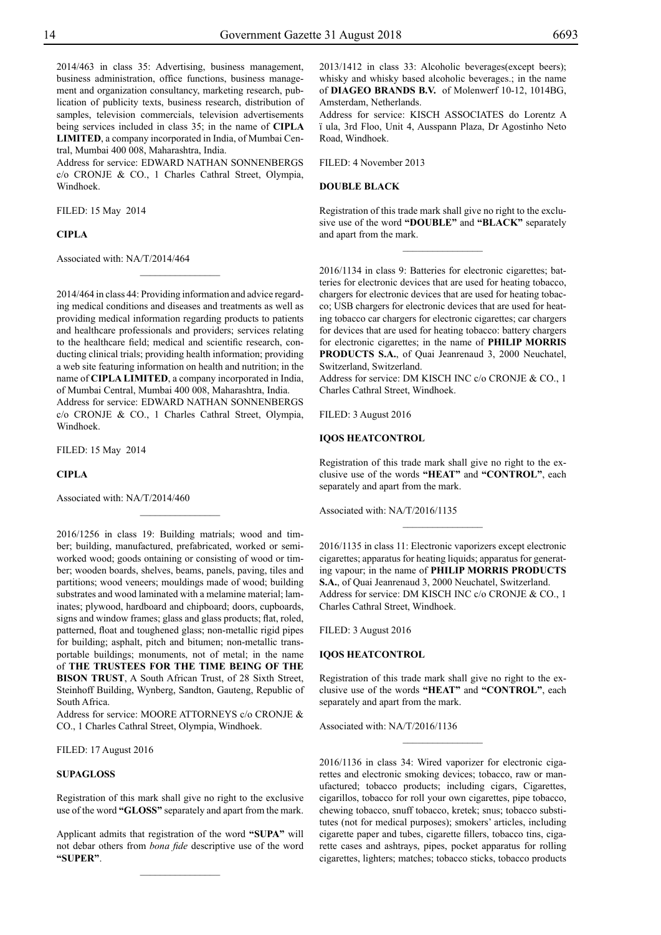2014/463 in class 35: Advertising, business management, business administration, office functions, business management and organization consultancy, marketing research, publication of publicity texts, business research, distribution of samples, television commercials, television advertisements being services included in class 35; in the name of **CIPLA LIMITED**, a company incorporated in India, of Mumbai Central, Mumbai 400 008, Maharashtra, India.

Address for service: EDWARD NATHAN SONNENBERGS c/o CRONJE & CO., 1 Charles Cathral Street, Olympia, Windhoek.

Filed: 15 May 2014

## **CIPLA**

Associated with: NA/T/2014/464

2014/464 in class 44: Providing information and advice regarding medical conditions and diseases and treatments as well as providing medical information regarding products to patients and healthcare professionals and providers; services relating to the healthcare field; medical and scientific research, conducting clinical trials; providing health information; providing a web site featuring information on health and nutrition; in the name of **CIPLA LIMITED**, a company incorporated in India, of Mumbai Central, Mumbai 400 008, Maharashtra, India. Address for service: EDWARD NATHAN SONNENBERGS c/o CRONJE & CO., 1 Charles Cathral Street, Olympia, Windhoek.

 $\frac{1}{2}$ 

Filed: 15 May 2014

**CIPLA**

Associated with: NA/T/2014/460

2016/1256 in class 19: Building matrials; wood and timber; building, manufactured, prefabricated, worked or semiworked wood; goods ontaining or consisting of wood or timber; wooden boards, shelves, beams, panels, paving, tiles and partitions; wood veneers; mouldings made of wood; building substrates and wood laminated with a melamine material; laminates; plywood, hardboard and chipboard; doors, cupboards, signs and window frames; glass and glass products; flat, roled, patterned, float and toughened glass; non-metallic rigid pipes for building; asphalt, pitch and bitumen; non-metallic transportable buildings; monuments, not of metal; in the name of **THE TRUSTEES FOR THE TIME BEING OF THE BISON TRUST**, A South African Trust, of 28 Sixth Street, Steinhoff Building, Wynberg, Sandton, Gauteng, Republic of South Africa.

 $\frac{1}{2}$ 

Address for service: MOORE ATTORNEYS c/o CRONJE & Co., 1 Charles Cathral Street, Olympia, Windhoek.

Filed: 17 August 2016

## **SUPAGLOSS**

Registration of this mark shall give no right to the exclusive use of the word **"GLOSS"** separately and apart from the mark.

Applicant admits that registration of the word **"SUPA"** will not debar others from *bona fide* descriptive use of the word **"SUPER"**.

 $\frac{1}{2}$ 

2013/1412 in class 33: Alcoholic beverages(except beers); whisky and whisky based alcoholic beverages.; in the name of **Diageo Brands B.V.** of Molenwerf 10-12, 1014BG, Amsterdam, Netherlands.

Address for service: KISCH ASSOCIATES do Lorentz A ï ula, 3rd Floo, Unit 4, Ausspann Plaza, Dr Agostinho Neto Road, Windhoek.

Filed: 4 November 2013

## **DOUBLE BLACK**

Registration of this trade mark shall give no right to the exclusive use of the word **"DOUBLE"** and **"BLACK"** separately and apart from the mark.

 $\frac{1}{2}$ 

2016/1134 in class 9: Batteries for electronic cigarettes; batteries for electronic devices that are used for heating tobacco, chargers for electronic devices that are used for heating tobacco; USB chargers for electronic devices that are used for heating tobacco car chargers for electronic cigarettes; car chargers for devices that are used for heating tobacco: battery chargers for electronic cigarettes; in the name of **PHILIP MORRIS PRODUCTS S.A.**, of Quai Jeanrenaud 3, 2000 Neuchatel, Switzerland, Switzerland.

Address for service: DM KISCH INC c/o CRONJE & CO., 1 Charles Cathral Street, Windhoek.

Filed: 3 August 2016

#### **IQOS HEATCONTROL**

Registration of this trade mark shall give no right to the exclusive use of the words **"HEAT"** and **"CONTROL"**, each separately and apart from the mark.

 $\frac{1}{2}$ 

Associated with: NA/T/2016/1135

2016/1135 in class 11: Electronic vaporizers except electronic cigarettes; apparatus for heating liquids; apparatus for generating vapour; in the name of **PHILIP MORRIS PRODUCTS S.A.**, of Quai Jeanrenaud 3, 2000 Neuchatel, Switzerland. Address for service: DM KISCH INC c/o CRONJE & CO., 1 Charles Cathral Street, Windhoek.

Filed: 3 August 2016

## **IQOS HEATCONTROL**

Registration of this trade mark shall give no right to the exclusive use of the words **"HEAT"** and **"CONTROL"**, each separately and apart from the mark.

 $\overline{\phantom{a}}$  , where  $\overline{\phantom{a}}$ 

Associated with: NA/T/2016/1136

2016/1136 in class 34: Wired vaporizer for electronic cigarettes and electronic smoking devices; tobacco, raw or manufactured; tobacco products; including cigars, Cigarettes, cigarillos, tobacco for roll your own cigarettes, pipe tobacco, chewing tobacco, snuff tobacco, kretek; snus; tobacco substitutes (not for medical purposes); smokers' articles, including cigarette paper and tubes, cigarette fillers, tobacco tins, cigarette cases and ashtrays, pipes, pocket apparatus for rolling cigarettes, lighters; matches; tobacco sticks, tobacco products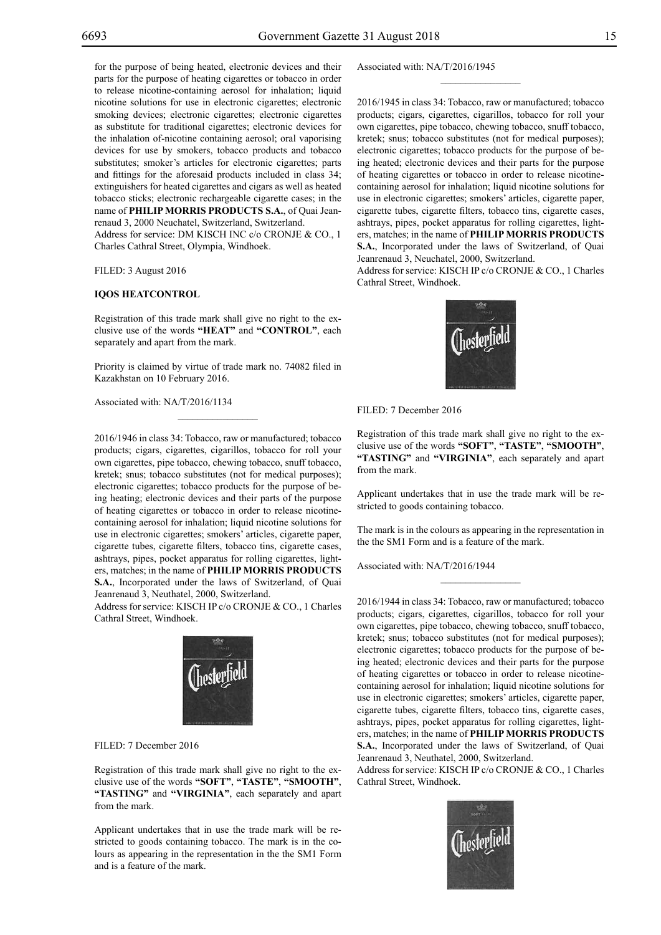for the purpose of being heated, electronic devices and their parts for the purpose of heating cigarettes or tobacco in order to release nicotine-containing aerosol for inhalation; liquid nicotine solutions for use in electronic cigarettes; electronic smoking devices; electronic cigarettes; electronic cigarettes as substitute for traditional cigarettes; electronic devices for the inhalation of-nicotine containing aerosol; oral vaporising devices for use by smokers, tobacco products and tobacco substitutes; smoker's articles for electronic cigarettes; parts and fittings for the aforesaid products included in class 34; extinguishers for heated cigarettes and cigars as well as heated tobacco sticks; electronic rechargeable cigarette cases; in the name of **PHILIP MORRIS PRODUCTS S.A.**, of Quai Jeanrenaud 3, 2000 Neuchatel, Switzerland, Switzerland. Address for service: DM KISCH INC c/o CRONJE & CO., 1 Charles Cathral Street, Olympia, Windhoek.

Filed: 3 August 2016

#### **IQOS HEATCONTROL**

Registration of this trade mark shall give no right to the exclusive use of the words **"HEAT"** and **"CONTROL"**, each separately and apart from the mark.

Priority is claimed by virtue of trade mark no. 74082 filed in Kazakhstan on 10 February 2016.

 $\overline{\phantom{a}}$  , where  $\overline{\phantom{a}}$ 

Associated with: NA/T/2016/1134

2016/1946 in class 34: Tobacco, raw or manufactured; tobacco products; cigars, cigarettes, cigarillos, tobacco for roll your own cigarettes, pipe tobacco, chewing tobacco, snuff tobacco, kretek; snus; tobacco substitutes (not for medical purposes); electronic cigarettes; tobacco products for the purpose of being heating; electronic devices and their parts of the purpose of heating cigarettes or tobacco in order to release nicotinecontaining aerosol for inhalation; liquid nicotine solutions for use in electronic cigarettes; smokers' articles, cigarette paper, cigarette tubes, cigarette filters, tobacco tins, cigarette cases, ashtrays, pipes, pocket apparatus for rolling cigarettes, lighters, matches; in the name of **PHILIP MORRIS PRODUCTS S.A.**, Incorporated under the laws of Switzerland, of Quai Jeanrenaud 3, Neuthatel, 2000, Switzerland.

Address for service: KISCH IP c/o CRONJE & CO., 1 Charles Cathral Street, Windhoek.



FILED: 7 December 2016

Registration of this trade mark shall give no right to the exclusive use of the words **"SOFT"**, **"TASTE"**, **"SMOOTH"**, **"TASTING"** and **"VIRGINIA"**, each separately and apart from the mark.

Applicant undertakes that in use the trade mark will be restricted to goods containing tobacco. The mark is in the colours as appearing in the representation in the the SM1 Form and is a feature of the mark.

Associated with: NA/T/2016/1945

2016/1945 in class 34: Tobacco, raw or manufactured; tobacco products; cigars, cigarettes, cigarillos, tobacco for roll your own cigarettes, pipe tobacco, chewing tobacco, snuff tobacco, kretek; snus; tobacco substitutes (not for medical purposes); electronic cigarettes; tobacco products for the purpose of being heated; electronic devices and their parts for the purpose of heating cigarettes or tobacco in order to release nicotinecontaining aerosol for inhalation; liquid nicotine solutions for use in electronic cigarettes; smokers' articles, cigarette paper, cigarette tubes, cigarette filters, tobacco tins, cigarette cases, ashtrays, pipes, pocket apparatus for rolling cigarettes, lighters, matches; in the name of **PHILIP MORRIS PRODUCTS S.A.**, Incorporated under the laws of Switzerland, of Quai Jeanrenaud 3, Neuchatel, 2000, Switzerland.

 $\frac{1}{2}$ 

Address for service: KISCH IP c/o CRONJE & CO., 1 Charles Cathral Street, Windhoek.



Filed: 7 December 2016

Registration of this trade mark shall give no right to the exclusive use of the words **"SOFT"**, **"TASTE"**, **"SMOOTH"**, **"TASTING"** and **"VIRGINIA"**, each separately and apart from the mark.

Applicant undertakes that in use the trade mark will be restricted to goods containing tobacco.

The mark is in the colours as appearing in the representation in the the SM1 Form and is a feature of the mark.

 $\frac{1}{2}$ 

Associated with: NA/T/2016/1944

2016/1944 in class 34: Tobacco, raw or manufactured; tobacco products; cigars, cigarettes, cigarillos, tobacco for roll your own cigarettes, pipe tobacco, chewing tobacco, snuff tobacco, kretek; snus; tobacco substitutes (not for medical purposes); electronic cigarettes; tobacco products for the purpose of being heated; electronic devices and their parts for the purpose of heating cigarettes or tobacco in order to release nicotinecontaining aerosol for inhalation; liquid nicotine solutions for use in electronic cigarettes; smokers' articles, cigarette paper, cigarette tubes, cigarette filters, tobacco tins, cigarette cases, ashtrays, pipes, pocket apparatus for rolling cigarettes, lighters, matches; in the name of **PHILIP MORRIS PRODUCTS S.A.**, Incorporated under the laws of Switzerland, of Quai Jeanrenaud 3, Neuthatel, 2000, Switzerland.

Address for service: KISCH IP c/o CRONJE & CO., 1 Charles Cathral Street, Windhoek.

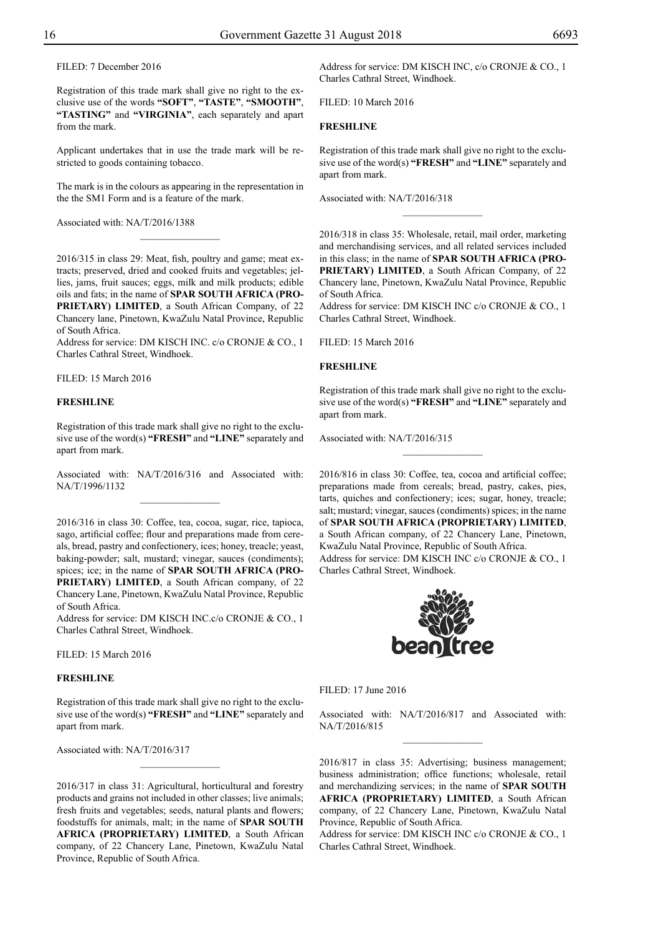FILED: 7 December 2016

Registration of this trade mark shall give no right to the exclusive use of the words **"SOFT"**, **"TASTE"**, **"SMOOTH"**, **"TASTING"** and **"VIRGINIA"**, each separately and apart from the mark.

Applicant undertakes that in use the trade mark will be restricted to goods containing tobacco.

The mark is in the colours as appearing in the representation in the the SM1 Form and is a feature of the mark.

 $\overline{\phantom{a}}$  , where  $\overline{\phantom{a}}$ 

Associated with: NA/T/2016/1388

2016/315 in class 29: Meat, fish, poultry and game; meat extracts; preserved, dried and cooked fruits and vegetables; jellies, jams, fruit sauces; eggs, milk and milk products; edible oils and fats; in the name of **SPAR SOUTH AFRICA (PRO-PRIETARY) LIMITED**, a South African Company, of 22 Chancery lane, Pinetown, KwaZulu Natal Province, Republic of South Africa.

Address for service: DM KISCH INC. c/o CRONJE & CO., 1 Charles Cathral Street, Windhoek.

Filed: 15 March 2016

## **FRESHLINE**

Registration of this trade mark shall give no right to the exclusive use of the word(s) **"FRESH"** and **"LINE"** separately and apart from mark.

Associated with: NA/T/2016/316 and Associated with: NA/T/1996/1132

2016/316 in class 30: Coffee, tea, cocoa, sugar, rice, tapioca, sago, artificial coffee; flour and preparations made from cereals, bread, pastry and confectionery, ices; honey, treacle; yeast, baking-powder; salt, mustard; vinegar, sauces (condiments); spices; ice; in the name of **SPAR SOUTH AFRICA (PRO-PRIETARY) LIMITED**, a South African company, of 22 Chancery Lane, Pinetown, KwaZulu Natal Province, Republic of South Africa.

Address for service: DM KISCH INC.c/o CRONJE & CO., 1 Charles Cathral Street, Windhoek.

Filed: 15 March 2016

#### **FRESHLINE**

Registration of this trade mark shall give no right to the exclusive use of the word(s) **"FRESH"** and **"LINE"** separately and apart from mark.

Associated with: NA/T/2016/317

2016/317 in class 31: Agricultural, horticultural and forestry products and grains not included in other classes; live animals; fresh fruits and vegetables; seeds, natural plants and flowers; foodstuffs for animals, malt; in the name of **SPAR SOUTH AFRICA (PROPRIETARY) LIMITED**, a South African company, of 22 Chancery Lane, Pinetown, KwaZulu Natal Province, Republic of South Africa.

Address for service: DM KISCH INC, c/o CRONJE & CO., 1 Charles Cathral Street, Windhoek.

Filed: 10 March 2016

## **FRESHLINE**

Registration of this trade mark shall give no right to the exclusive use of the word(s) **"FRESH"** and **"LINE"** separately and apart from mark.

 $\frac{1}{2}$ 

Associated with: NA/T/2016/318

2016/318 in class 35: Wholesale, retail, mail order, marketing and merchandising services, and all related services included in this class; in the name of **SPAR SOUTH AFRICA (PRO-PRIETARY) LIMITED**, a South African Company, of 22 Chancery lane, Pinetown, KwaZulu Natal Province, Republic of South Africa.

Address for service: DM KISCH INC c/o CRONJE & CO., 1 Charles Cathral Street, Windhoek.

Filed: 15 March 2016

#### **FRESHLINE**

Registration of this trade mark shall give no right to the exclusive use of the word(s) **"FRESH"** and **"LINE"** separately and apart from mark.

 $\frac{1}{2}$ 

Associated with: NA/T/2016/315

2016/816 in class 30: Coffee, tea, cocoa and artificial coffee; preparations made from cereals; bread, pastry, cakes, pies, tarts, quiches and confectionery; ices; sugar, honey, treacle; salt; mustard; vinegar, sauces (condiments) spices; in the name of **SPAR SOUTH AFRICA (PROPRIETARY) LIMITED**, a South African company, of 22 Chancery Lane, Pinetown, KwaZulu Natal Province, Republic of South Africa. Address for service: DM KISCH INC c/o CRONJE & CO., 1 Charles Cathral Street, Windhoek.



 $FILED: 17 June 2016$ 

Associated with: NA/T/2016/817 and Associated with: NA/T/2016/815  $\frac{1}{2}$ 

2016/817 in class 35: Advertising; business management; business administration; office functions; wholesale, retail and merchandizing services; in the name of **SPAR SOUTH AFRICA (PROPRIETARY) LIMITED**, a South African company, of 22 Chancery Lane, Pinetown, KwaZulu Natal Province, Republic of South Africa.

Address for service: DM KISCH INC c/o CRONJE & CO., 1 Charles Cathral Street, Windhoek.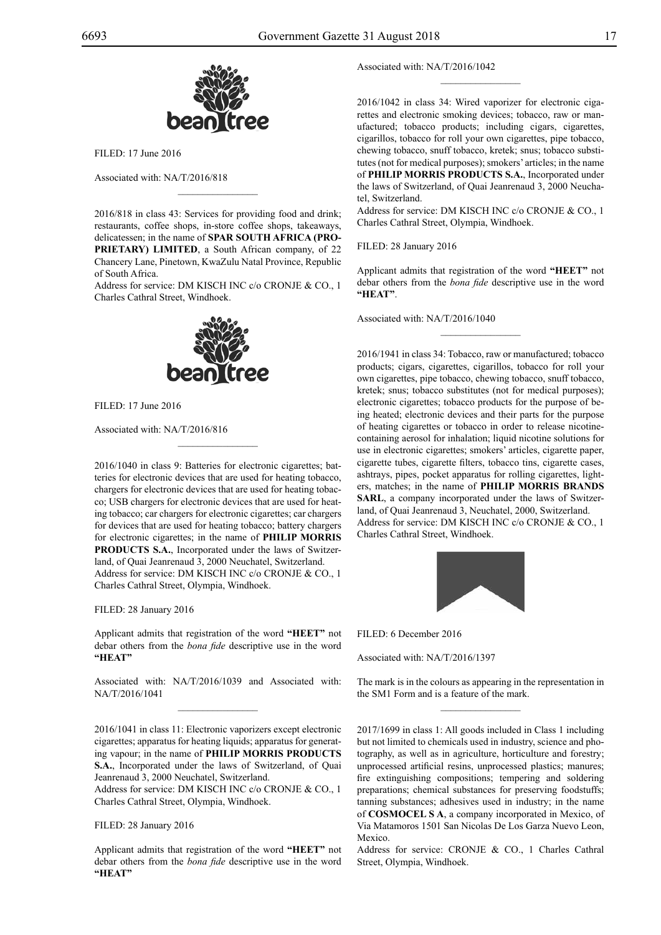

 $FILED: 17 June 2016$ 

Associated with: NA/T/2016/818

2016/818 in class 43: Services for providing food and drink; restaurants, coffee shops, in-store coffee shops, takeaways, delicatessen; in the name of **SPAR SOUTH AFRICA (PRO-PRIETARY) LIMITED**, a South African company, of 22 Chancery Lane, Pinetown, KwaZulu Natal Province, Republic of South Africa.

 $\mathcal{L}=\mathcal{L}^{\mathcal{L}}$ 

Address for service: DM KISCH INC c/o CRONJE & CO., 1 Charles Cathral Street, Windhoek.



Filed: 17 June 2016

Associated with: NA/T/2016/816

2016/1040 in class 9: Batteries for electronic cigarettes; batteries for electronic devices that are used for heating tobacco, chargers for electronic devices that are used for heating tobacco; USB chargers for electronic devices that are used for heating tobacco; car chargers for electronic cigarettes; car chargers for devices that are used for heating tobacco; battery chargers for electronic cigarettes; in the name of **PHILIP MORRIS PRODUCTS S.A.**, Incorporated under the laws of Switzerland, of Quai Jeanrenaud 3, 2000 Neuchatel, Switzerland. Address for service: DM KISCH INC c/o CRONJE & CO., 1 Charles Cathral Street, Olympia, Windhoek.

 $\mathcal{L}=\mathcal{L}^{\mathcal{L}}$ 

FILED: 28 January 2016

Applicant admits that registration of the word **"HEET"** not debar others from the *bona fide* descriptive use in the word **"HEAT"**

Associated with: NA/T/2016/1039 and Associated with: NA/T/2016/1041  $\mathcal{L}=\mathcal{L}^{\mathcal{L}}$ 

2016/1041 in class 11: Electronic vaporizers except electronic cigarettes; apparatus for heating liquids; apparatus for generating vapour; in the name of **PHILIP MORRIS PRODUCTS S.A.**, Incorporated under the laws of Switzerland, of Quai Jeanrenaud 3, 2000 Neuchatel, Switzerland.

Address for service: DM KISCH INC c/o CRONJE & CO., 1 Charles Cathral Street, Olympia, Windhoek.

FILED: 28 January 2016

Applicant admits that registration of the word **"HEET"** not debar others from the *bona fide* descriptive use in the word **"HEAT"**

Associated with: NA/T/2016/1042

2016/1042 in class 34: Wired vaporizer for electronic cigarettes and electronic smoking devices; tobacco, raw or manufactured; tobacco products; including cigars, cigarettes, cigarillos, tobacco for roll your own cigarettes, pipe tobacco, chewing tobacco, snuff tobacco, kretek; snus; tobacco substitutes (not for medical purposes); smokers' articles; in the name of **PHILIP MORRIS PRODUCTS S.A.**, Incorporated under the laws of Switzerland, of Quai Jeanrenaud 3, 2000 Neuchatel, Switzerland.

 $\frac{1}{2}$ 

Address for service: DM KISCH INC c/o CRONJE & CO., 1 Charles Cathral Street, Olympia, Windhoek.

FILED: 28 January 2016

Applicant admits that registration of the word **"HEET"** not debar others from the *bona fide* descriptive use in the word **"HEAT"**.

 $\frac{1}{2}$ 

Associated with: NA/T/2016/1040

2016/1941 in class 34: Tobacco, raw or manufactured; tobacco products; cigars, cigarettes, cigarillos, tobacco for roll your own cigarettes, pipe tobacco, chewing tobacco, snuff tobacco, kretek; snus; tobacco substitutes (not for medical purposes); electronic cigarettes; tobacco products for the purpose of being heated; electronic devices and their parts for the purpose of heating cigarettes or tobacco in order to release nicotinecontaining aerosol for inhalation; liquid nicotine solutions for use in electronic cigarettes; smokers' articles, cigarette paper, cigarette tubes, cigarette filters, tobacco tins, cigarette cases, ashtrays, pipes, pocket apparatus for rolling cigarettes, lighters, matches; in the name of **PHILIP MORRIS BRANDS SARL**, a company incorporated under the laws of Switzerland, of Quai Jeanrenaud 3, Neuchatel, 2000, Switzerland. Address for service: DM KISCH INC c/o CRONJE & CO., 1 Charles Cathral Street, Windhoek.



 $FII$   $FD$  6 December 2016

Associated with: NA/T/2016/1397

The mark is in the colours as appearing in the representation in the SM1 Form and is a feature of the mark.  $\frac{1}{2}$ 

2017/1699 in class 1: All goods included in Class 1 including but not limited to chemicals used in industry, science and photography, as well as in agriculture, horticulture and forestry; unprocessed artificial resins, unprocessed plastics; manures; fire extinguishing compositions; tempering and soldering preparations; chemical substances for preserving foodstuffs; tanning substances; adhesives used in industry; in the name of **COSMOCEL S A**, a company incorporated in Mexico, of Via Matamoros 1501 San Nicolas De Los Garza Nuevo Leon, Mexico.

Address for service: CRONJE & CO., 1 Charles Cathral Street, Olympia, Windhoek.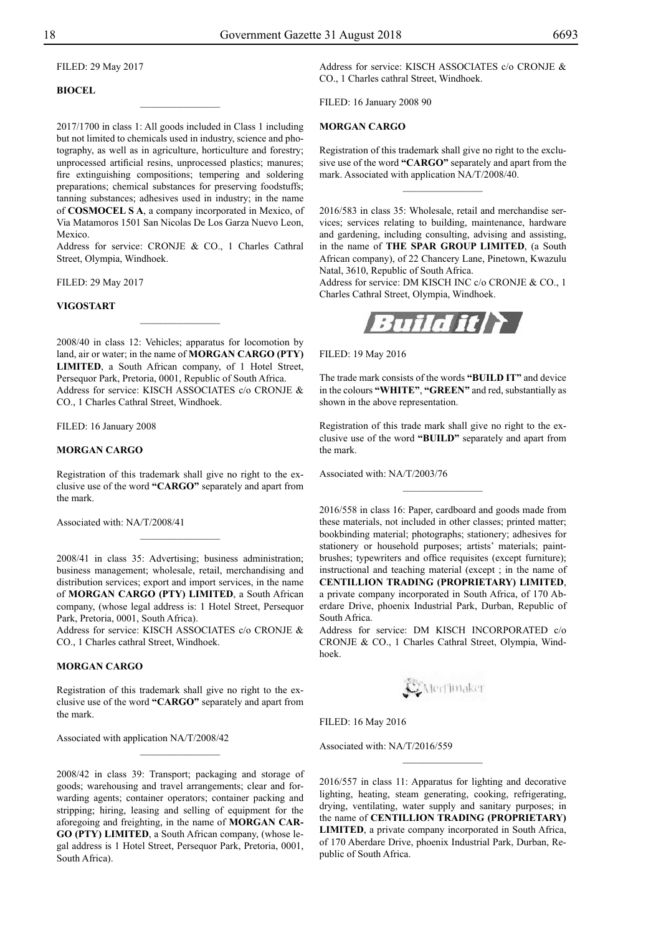Filed: 29 May 2017

## **BIOCEL**

2017/1700 in class 1: All goods included in Class 1 including but not limited to chemicals used in industry, science and photography, as well as in agriculture, horticulture and forestry; unprocessed artificial resins, unprocessed plastics; manures; fire extinguishing compositions; tempering and soldering preparations; chemical substances for preserving foodstuffs; tanning substances; adhesives used in industry; in the name of **COSMOCEL S A**, a company incorporated in Mexico, of Via Matamoros 1501 San Nicolas De Los Garza Nuevo Leon, Mexico.

 $\overline{\phantom{a}}$  , where  $\overline{\phantom{a}}$ 

Address for service: CRONJE & CO., 1 Charles Cathral Street, Olympia, Windhoek.

Filed: 29 May 2017

#### **VIGOSTART**

2008/40 in class 12: Vehicles; apparatus for locomotion by land, air or water; in the name of **MORGAN CARGO (PTY) LIMITED**, a South African company, of 1 Hotel Street, Persequor Park, Pretoria, 0001, Republic of South Africa. Address for service: KISCH ASSOCIATES c/o CRONJE & Co., 1 Charles Cathral Street, Windhoek.

 $\frac{1}{2}$ 

FILED: 16 January 2008

#### **MORGAN CARGO**

Registration of this trademark shall give no right to the exclusive use of the word **"CARGO"** separately and apart from the mark.

 $\frac{1}{2}$ 

Associated with: NA/T/2008/41

2008/41 in class 35: Advertising; business administration; business management; wholesale, retail, merchandising and distribution services; export and import services, in the name of **MORGAN CARGO (PTY) LIMITED**, a South African company, (whose legal address is: 1 Hotel Street, Persequor Park, Pretoria, 0001, South Africa).

Address for service: KISCH ASSOCIATES c/o CRONJE & Co., 1 Charles cathral Street, Windhoek.

## **MORGAN CARGO**

Registration of this trademark shall give no right to the exclusive use of the word **"CARGO"** separately and apart from the mark.

 $\frac{1}{2}$ 

Associated with application NA/T/2008/42

2008/42 in class 39: Transport; packaging and storage of goods; warehousing and travel arrangements; clear and forwarding agents; container operators; container packing and stripping; hiring, leasing and selling of equipment for the aforegoing and freighting, in the name of **MORGAN CAR-GO (PTY) LIMITED**, a South African company, (whose legal address is 1 Hotel Street, Persequor Park, Pretoria, 0001, South Africa).

Address for service: KISCH ASSOCIATES c/o CRONJE & Co., 1 Charles cathral Street, Windhoek.

Filed: 16 January 2008 90

## **MORGAN CARGO**

Registration of this trademark shall give no right to the exclusive use of the word **"CARGO"** separately and apart from the mark. Associated with application NA/T/2008/40.

 $\frac{1}{2}$ 

2016/583 in class 35: Wholesale, retail and merchandise services; services relating to building, maintenance, hardware and gardening, including consulting, advising and assisting, in the name of **THE SPAR GROUP LIMITED**, (a South African company), of 22 Chancery Lane, Pinetown, Kwazulu Natal, 3610, Republic of South Africa.

Address for service: DM KISCH INC c/o CRONJE & CO., 1 Charles Cathral Street, Olympia, Windhoek.



Filed: 19 May 2016

The trade mark consists of the words **"BUILD IT"** and device in the colours "WHITE", "GREEN" and red, substantially as shown in the above representation.

Registration of this trade mark shall give no right to the exclusive use of the word **"BUILD"** separately and apart from the mark.

 $\frac{1}{2}$ 

Associated with: NA/T/2003/76

2016/558 in class 16: Paper, cardboard and goods made from these materials, not included in other classes; printed matter; bookbinding material; photographs; stationery; adhesives for stationery or household purposes; artists' materials; paintbrushes; typewriters and office requisites (except furniture); instructional and teaching material (except ; in the name of **CENTILLION TRADING (PROPRIETARY) LIMITED**, a private company incorporated in South Africa, of 170 Aberdare Drive, phoenix Industrial Park, Durban, Republic of South Africa.

Address for service: DM KISCH INCORPORATED c/o CRONJE & CO., 1 Charles Cathral Street, Olympia, Windhoek.

**C**Merfinaker

Filed: 16 May 2016

Associated with: NA/T/2016/559

2016/557 in class 11: Apparatus for lighting and decorative lighting, heating, steam generating, cooking, refrigerating, drying, ventilating, water supply and sanitary purposes; in the name of **CENTILLION TRADING (PROPRIETARY) LIMITED**, a private company incorporated in South Africa, of 170 Aberdare Drive, phoenix Industrial Park, Durban, Republic of South Africa.

 $\frac{1}{2}$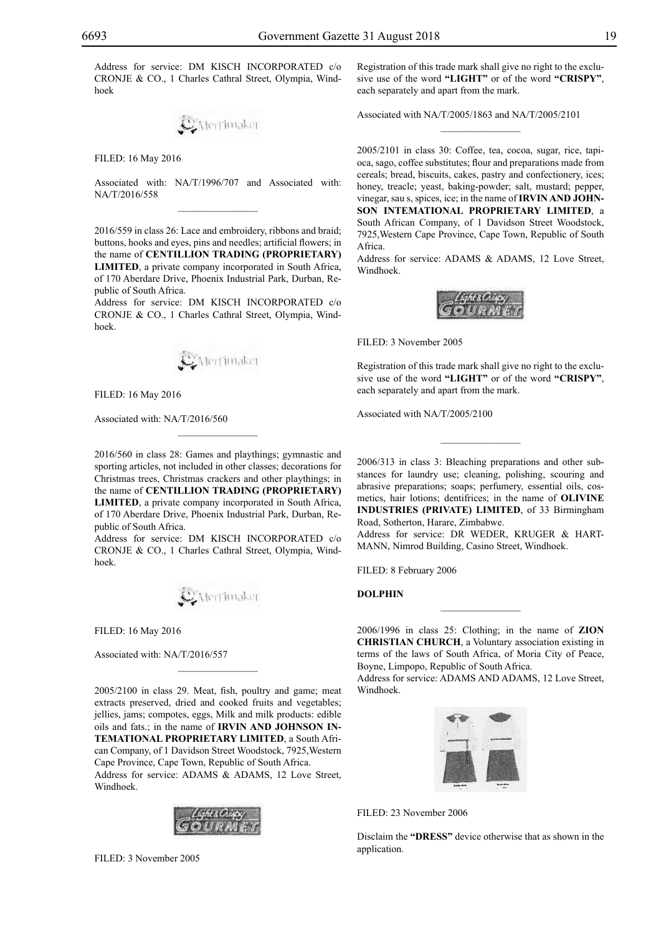Address for service: DM KISCH INCORPORATED c/o CRONJE & CO., 1 Charles Cathral Street, Olympia, Windhoek

Merrimaker

Filed: 16 May 2016

Associated with: NA/T/1996/707 and Associated with: NA/T/2016/558  $\overline{\phantom{a}}$  , where  $\overline{\phantom{a}}$ 

2016/559 in class 26: Lace and embroidery, ribbons and braid; buttons, hooks and eyes, pins and needles; artificial flowers; in the name of **CENTILLION TRADING (PROPRIETARY) LIMITED**, a private company incorporated in South Africa, of 170 Aberdare Drive, Phoenix Industrial Park, Durban, Republic of South Africa.

Address for service: DM KISCH INCORPORATED c/o CRONJE & CO., 1 Charles Cathral Street, Olympia, Windhoek.



FILED: 16 May 2016

Associated with: NA/T/2016/560

2016/560 in class 28: Games and playthings; gymnastic and sporting articles, not included in other classes; decorations for Christmas trees, Christmas crackers and other playthings; in the name of **CENTILLION TRADING (PROPRIETARY) LIMITED**, a private company incorporated in South Africa, of 170 Aberdare Drive, Phoenix Industrial Park, Durban, Republic of South Africa.

 $\mathcal{L}=\mathcal{L}^{\mathcal{L}}$ 

Address for service: DM KISCH INCORPORATED c/o CRONJE & CO., 1 Charles Cathral Street, Olympia, Windhoek.

Merrimaker

Filed: 16 May 2016

Associated with: NA/T/2016/557

2005/2100 in class 29. Meat, fish, poultry and game; meat extracts preserved, dried and cooked fruits and vegetables; jellies, jams; compotes, eggs, Milk and milk products: edible oils and fats.; in the name of **Irvin and Johnson Intemational Proprietary Limited**, a South African Company, of 1 Davidson Street Woodstock, 7925,Western Cape Province, Cape Town, Republic of South Africa. Address for service: ADAMS & ADAMS, 12 Love Street, Windhoek.

 $\overline{\phantom{a}}$  , where  $\overline{\phantom{a}}$ 



Filed: 3 November 2005

Registration of this trade mark shall give no right to the exclusive use of the word **"LIGHT"** or of the word **"CRISPY"**, each separately and apart from the mark.

 $\frac{1}{2}$ 

Associated with NA/T/2005/1863 and NA/T/2005/2101

2005/2101 in class 30: Coffee, tea, cocoa, sugar, rice, tapioca, sago, coffee substitutes; flour and preparations made from cereals; bread, biscuits, cakes, pastry and confectionery, ices; honey, treacle; yeast, baking-powder; salt, mustard; pepper, vinegar, sau s, spices, ice; in the name of **IRVIN AND JOHNson Intemational Proprietary Limited**, a South African Company, of 1 Davidson Street Woodstock, 7925,Western Cape Province, Cape Town, Republic of South Africa.

Address for service: ADAMS & ADAMS, 12 Love Street, Windhoek.



Filed: 3 November 2005

Registration of this trade mark shall give no right to the exclusive use of the word **"LIGHT"** or of the word **"CRISPY"**, each separately and apart from the mark.

Associated with NA/T/2005/2100

2006/313 in class 3: Bleaching preparations and other substances for laundry use; cleaning, polishing, scouring and abrasive preparations; soaps; perfumery, essential oils, cosmetics, hair lotions; dentifrices; in the name of **OLIVINE INDUSTRIES (PRIVATE) LIMITED**, of 33 Birmingham Road, Sotherton, Harare, Zimbabwe.

 $\frac{1}{2}$ 

Address for service: DR WEDER, KRUGER & HART-MANN, Nimrod Building, Casino Street, Windhoek.

FILED: 8 February 2006

**DOLPHIN**

2006/1996 in class 25: Clothing; in the name of **ZION CHRISTIAN CHURCH**, a Voluntary association existing in terms of the laws of South Africa, of Moria City of Peace, Boyne, Limpopo, Republic of South Africa.

 $\frac{1}{2}$ 

Address for service: ADAMS AND ADAMS, 12 Love Street, Windhoek.



Filed: 23 November 2006

Disclaim the **"DRESS"** device otherwise that as shown in the application.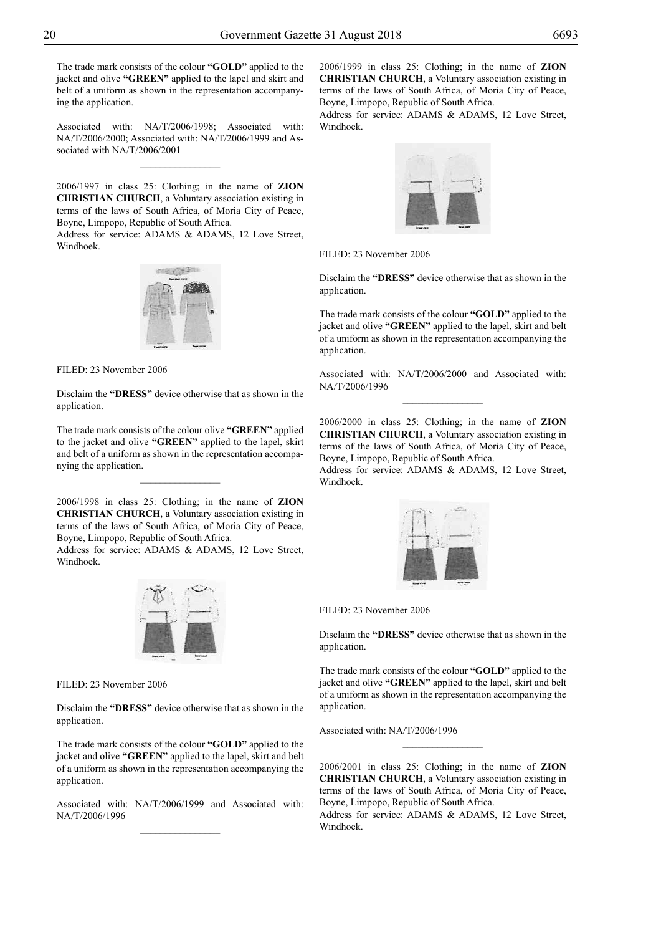The trade mark consists of the colour "GOLD" applied to the jacket and olive **"green"** applied to the lapel and skirt and belt of a uniform as shown in the representation accompanying the application.

Associated with: NA/T/2006/1998; Associated with: NA/T/2006/2000; Associated with: NA/T/2006/1999 and Associated with NA/T/2006/2001

 $\overline{\phantom{a}}$  , where  $\overline{\phantom{a}}$ 

2006/1997 in class 25: Clothing; in the name of **ZION CHRISTIAN CHURCH**, a Voluntary association existing in terms of the laws of South Africa, of Moria City of Peace, Boyne, Limpopo, Republic of South Africa.

Address for service: ADAMS & ADAMS, 12 Love Street, Windhoek.



FILED: 23 November 2006

Disclaim the **"DRESS"** device otherwise that as shown in the application.

The trade mark consists of the colour olive **"green"** applied to the jacket and olive **"green"** applied to the lapel, skirt and belt of a uniform as shown in the representation accompanying the application.

 $\frac{1}{2}$ 

2006/1998 in class 25: Clothing; in the name of **ZION CHRISTIAN CHURCH**, a Voluntary association existing in terms of the laws of South Africa, of Moria City of Peace, Boyne, Limpopo, Republic of South Africa.

Address for service: ADAMS & ADAMS, 12 Love Street, Windhoek.



Filed: 23 November 2006

Disclaim the **"DRESS"** device otherwise that as shown in the application.

The trade mark consists of the colour "GOLD" applied to the jacket and olive **"green"** applied to the lapel, skirt and belt of a uniform as shown in the representation accompanying the application.

Associated with: NA/T/2006/1999 and Associated with: NA/T/2006/1996  $\frac{1}{2}$ 

2006/1999 in class 25: Clothing; in the name of **ZION CHRISTIAN CHURCH**, a Voluntary association existing in terms of the laws of South Africa, of Moria City of Peace, Boyne, Limpopo, Republic of South Africa.

Address for service: ADAMS & ADAMS, 12 Love Street, Windhoek.



Filed: 23 November 2006

Disclaim the **"DRESS"** device otherwise that as shown in the application.

The trade mark consists of the colour "GOLD" applied to the jacket and olive **"green"** applied to the lapel, skirt and belt of a uniform as shown in the representation accompanying the application.

Associated with: NA/T/2006/2000 and Associated with: NA/T/2006/1996  $\frac{1}{2}$ 

2006/2000 in class 25: Clothing; in the name of **ZION CHRISTIAN CHURCH**, a Voluntary association existing in terms of the laws of South Africa, of Moria City of Peace, Boyne, Limpopo, Republic of South Africa.

Address for service: ADAMS & ADAMS, 12 Love Street, Windhoek.

![](_page_19_Picture_25.jpeg)

Filed: 23 November 2006

Disclaim the **"DRESS"** device otherwise that as shown in the application.

The trade mark consists of the colour "GOLD" applied to the jacket and olive **"green"** applied to the lapel, skirt and belt of a uniform as shown in the representation accompanying the application.

Associated with: NA/T/2006/1996

2006/2001 in class 25: Clothing; in the name of **ZION CHRISTIAN CHURCH**, a Voluntary association existing in terms of the laws of South Africa, of Moria City of Peace, Boyne, Limpopo, Republic of South Africa.

 $\frac{1}{2}$ 

Address for service: ADAMS & ADAMS, 12 Love Street, Windhoek.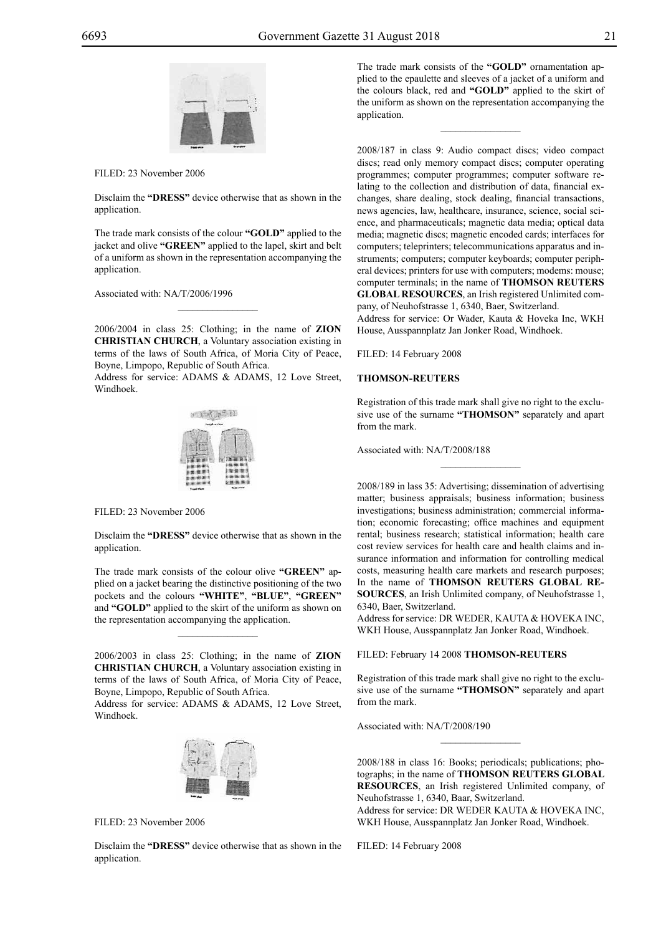![](_page_20_Picture_2.jpeg)

Filed: 23 November 2006

Disclaim the **"DRESS"** device otherwise that as shown in the application.

The trade mark consists of the colour "GOLD" applied to the jacket and olive "**GREEN**" applied to the lapel, skirt and belt of a uniform as shown in the representation accompanying the application.

Associated with: NA/T/2006/1996

2006/2004 in class 25: Clothing; in the name of **ZION CHRISTIAN CHURCH**, a Voluntary association existing in terms of the laws of South Africa, of Moria City of Peace, Boyne, Limpopo, Republic of South Africa.

 $\mathcal{L}=\mathcal{L}^{\mathcal{L}}$ 

Address for service: ADAMS & ADAMS, 12 Love Street, Windhoek.

![](_page_20_Figure_9.jpeg)

FILED: 23 November 2006

Disclaim the **"DRESS"** device otherwise that as shown in the application.

The trade mark consists of the colour olive **"green"** applied on a jacket bearing the distinctive positioning of the two pockets and the colours **"white"**, **"blue"**, **"green"** and "GOLD" applied to the skirt of the uniform as shown on the representation accompanying the application.

 $\mathcal{L}=\mathcal{L}^{\mathcal{L}}$ 

2006/2003 in class 25: Clothing; in the name of **ZION CHRISTIAN CHURcH**, a Voluntary association existing in terms of the laws of South Africa, of Moria City of Peace, Boyne, Limpopo, Republic of South Africa.

Address for service: ADAMS & ADAMS, 12 Love Street, Windhoek.

![](_page_20_Picture_15.jpeg)

FILED: 23 November 2006

Disclaim the **"DRESS"** device otherwise that as shown in the application.

The trade mark consists of the "GOLD" ornamentation applied to the epaulette and sleeves of a jacket of a uniform and the colours black, red and **"gold"** applied to the skirt of the uniform as shown on the representation accompanying the application.

 $\frac{1}{2}$ 

2008/187 in class 9: Audio compact discs; video compact discs; read only memory compact discs; computer operating programmes; computer programmes; computer software relating to the collection and distribution of data, financial exchanges, share dealing, stock dealing, financial transactions, news agencies, law, healthcare, insurance, science, social science, and pharmaceuticals; magnetic data media; optical data media; magnetic discs; magnetic encoded cards; interfaces for computers; teleprinters; telecommunications apparatus and instruments; computers; computer keyboards; computer peripheral devices; printers for use with computers; modems: mouse; computer terminals; in the name of **THOMSON REUTERS GLOBAL RESOURCES**, an Irish registered Unlimited company, of Neuhofstrasse 1, 6340, Baer, Switzerland.

Address for service: Or Wader, Kauta & Hoveka Inc, WKH House, Ausspannplatz Jan Jonker Road, Windhoek.

FILED: 14 February 2008

#### **THOMSON-REUTERS**

Registration of this trade mark shall give no right to the exclusive use of the surname **"THOMSON"** separately and apart from the mark.

 $\frac{1}{2}$ 

Associated with: NA/T/2008/188

2008/189 in lass 35: Advertising; dissemination of advertising matter; business appraisals; business information; business investigations; business administration; commercial information; economic forecasting; office machines and equipment rental; business research; statistical information; health care cost review services for health care and health claims and insurance information and information for controlling medical costs, measuring health care markets and research purposes; In the name of **THOMSON REUTERS GLOBAL RE-SOURCES**, an Irish Unlimited company, of Neuhofstrasse 1, 6340, Baer, Switzerland.

Address for service: DR WEDER, KAUTA & HOVEKA INC, WKH House, Ausspannplatz Jan Jonker Road, Windhoek.

Filed: February 14 2008 **THOMSON-REUTERS**

Registration of this trade mark shall give no right to the exclusive use of the surname **"THOMSON"** separately and apart from the mark.

 $\overline{\phantom{a}}$  , where  $\overline{\phantom{a}}$ 

Associated with: NA/T/2008/190

2008/188 in class 16: Books; periodicals; publications; photographs; in the name of **THOMSON REUTERS GLOBAL RESOURCES**, an Irish registered Unlimited company, of Neuhofstrasse 1, 6340, Baar, Switzerland. Address for service: DR WEDER KAUTA & HOVEKA INC, WKH House, Ausspannplatz Jan Jonker Road, Windhoek.

Filed: 14 February 2008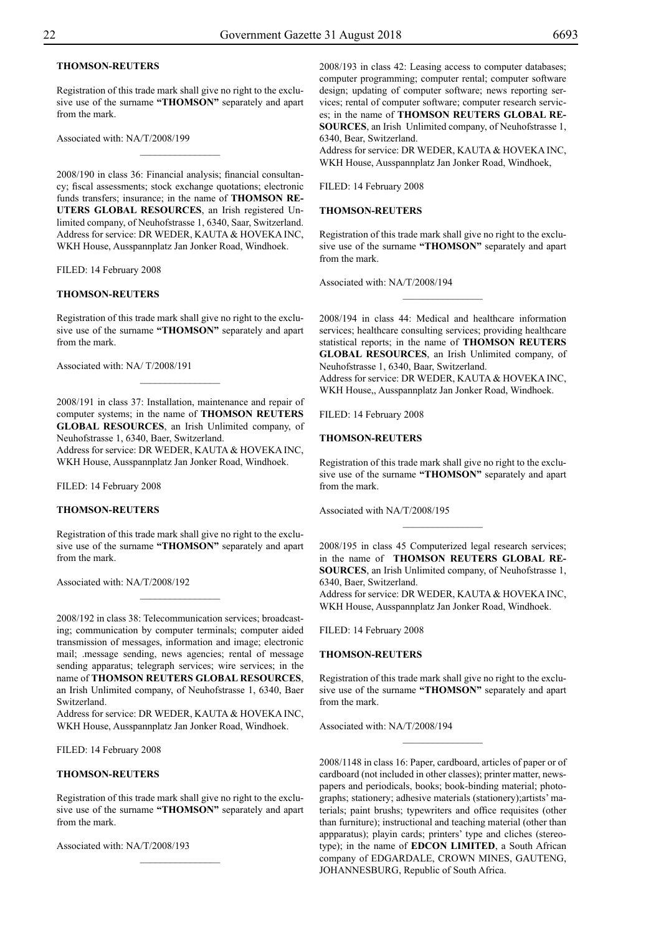## **THOMSON-REUTERS**

Registration of this trade mark shall give no right to the exclusive use of the surname **"THOMSON"** separately and apart from the mark.

 $\overline{\phantom{a}}$  , where  $\overline{\phantom{a}}$ 

Associated with: NA/T/2008/199

2008/190 in class 36: Financial analysis; financial consultancy; fiscal assessments; stock exchange quotations; electronic funds transfers; insurance; in the name of **THOMSON RE-UTERS GLOBAL RESOURCES**, an Irish registered Unlimited company, of Neuhofstrasse 1, 6340, Saar, Switzerland. Address for service: DR WEDER, KAUTA & HOVEKA INC, WKH House, Ausspannplatz Jan Jonker Road, Windhoek.

FILED: 14 February 2008

#### **THOMSON-REUTERS**

Registration of this trade mark shall give no right to the exclusive use of the surname **"THOMSON"** separately and apart from the mark.

Associated with: NA/ T/2008/191

2008/191 in class 37: Installation, maintenance and repair of computer systems; in the name of **THOMSON REUTERS GLOBAL RESOURCES**, an Irish Unlimited company, of Neuhofstrasse 1, 6340, Baer, Switzerland.

 $\frac{1}{2}$ 

Address for service: DR WEDER, KAUTA & HOVEKA INC, WKH House, Ausspannplatz Jan Jonker Road, Windhoek.

FILED: 14 February 2008

## **THOMSON-REUTERS**

Registration of this trade mark shall give no right to the exclusive use of the surname **"THOMSON"** separately and apart from the mark.

Associated with: NA/T/2008/192

2008/192 in class 38: Telecommunication services; broadcasting; communication by computer terminals; computer aided transmission of messages, information and image; electronic mail; .message sending, news agencies; rental of message sending apparatus; telegraph services; wire services; in the name of **THOMSON REUTERS GLOBAL RESOURCES**, an Irish Unlimited company, of Neuhofstrasse 1, 6340, Baer Switzerland.

Address for service: DR WEDER, KAUTA & HOVEKA INC, WKH House, Ausspannplatz Jan Jonker Road, Windhoek.

FILED: 14 February 2008

## **THOMSON-REUTERS**

Registration of this trade mark shall give no right to the exclusive use of the surname **"THOMSON"** separately and apart from the mark.

Associated with: NA/T/2008/193

2008/193 in class 42: Leasing access to computer databases; computer programming; computer rental; computer software design; updating of computer software; news reporting services; rental of computer software; computer research services; in the name of **THOMSON REUTERS GLOBAL RE-SOURCES**, an Irish Unlimited company, of Neuhofstrasse 1, 6340, Bear, Switzerland.

Address for service: DR WEDER, KAUTA & HOVEKA INC, WKH House, Ausspannplatz Jan Jonker Road, Windhoek,

Filed: 14 February 2008

## **THOMSON-REUTERS**

Registration of this trade mark shall give no right to the exclusive use of the surname **"THOMSON"** separately and apart from the mark.

 $\overline{\phantom{a}}$  , where  $\overline{\phantom{a}}$ 

Associated with: NA/T/2008/194

2008/194 in class 44: Medical and healthcare information services; healthcare consulting services; providing healthcare statistical reports; in the name of **THOMSON REUTERS GLOBAL RESOURCES**, an Irish Unlimited company, of Neuhofstrasse 1, 6340, Baar, Switzerland. Address for service: DR WEDER, KAUTA & HOVEKA INC,

WKH House,, Ausspannplatz Jan Jonker Road, Windhoek.

Filed: 14 February 2008

#### **THOMSON-REUTERS**

Registration of this trade mark shall give no right to the exclusive use of the surname **"THOMSON"** separately and apart from the mark.

Associated with NA/T/2008/195

2008/195 in class 45 Computerized legal research services; in the name of **THOMSON REUTERS GLOBAL RE-SOURCES**, an Irish Unlimited company, of Neuhofstrasse 1, 6340, Baer, Switzerland.

 $\frac{1}{2}$ 

Address for service: DR WEDER, KAUTA & HOVEKA INC, WKH House, Ausspannplatz Jan Jonker Road, Windhoek.

Filed: 14 February 2008

#### **THOMSON-REUTERS**

Registration of this trade mark shall give no right to the exclusive use of the surname **"THOMSON"** separately and apart from the mark.

 $\overline{\phantom{a}}$  , where  $\overline{\phantom{a}}$ 

Associated with: NA/T/2008/194

2008/1148 in class 16: Paper, cardboard, articles of paper or of cardboard (not included in other classes); printer matter, newspapers and periodicals, books; book-binding material; photographs; stationery; adhesive materials (stationery);artists' materials; paint brushs; typewriters and office requisites (other than furniture); instructional and teaching material (other than appparatus); playin cards; printers' type and cliches (stereotype); in the name of **EDCON LIMITED**, a South African company of EDGARDALE, CROWN MINES, GAUTENG, JOHANNESBURG, Republic of South Africa.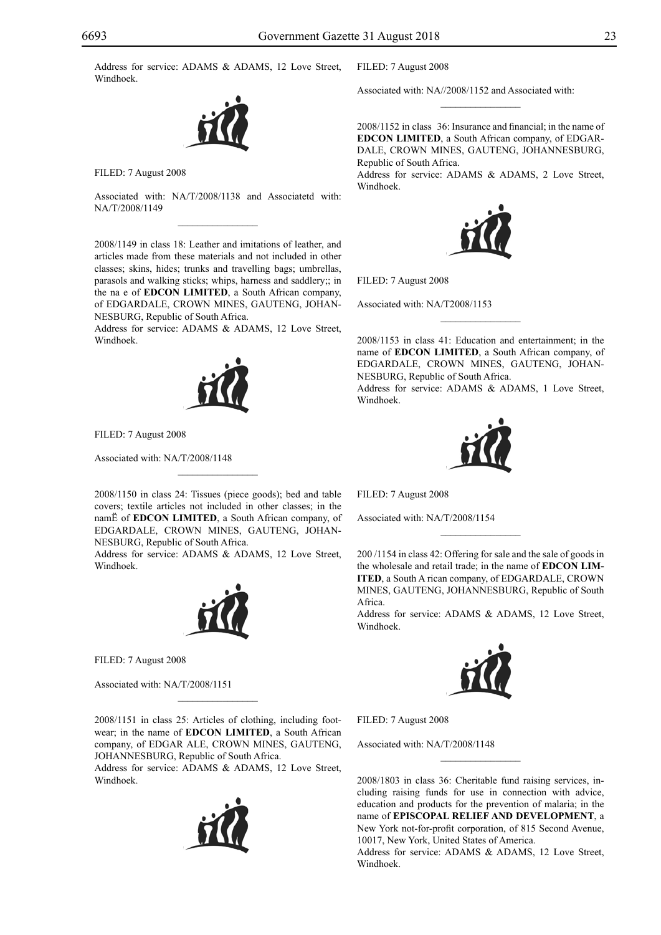Address for service: ADAMS & ADAMS, 12 Love Street, Windhoek.

![](_page_22_Picture_2.jpeg)

Filed: 7 August 2008

Associated with: NA/T/2008/1138 and Associatetd with: NA/T/2008/1149  $\mathcal{L}=\mathcal{L}^{\mathcal{L}}$ 

2008/1149 in class 18: Leather and imitations of leather, and articles made from these materials and not included in other classes; skins, hides; trunks and travelling bags; umbrellas, parasols and walking sticks; whips, harness and saddlery;; in the na e of **EDCON LIMITED**, a South African company, of EDGARDALE, CROWN MINES, GAUTENG, JOHAN-NESBURG, Republic of South Africa.

Address for service: ADAMS & ADAMS, 12 Love Street, Windhoek.

![](_page_22_Picture_7.jpeg)

FILED: 7 August 2008

Associated with: NA/T/2008/1148

2008/1150 in class 24: Tissues (piece goods); bed and table covers; textile articles not included in other classes; in the namË of **EDCON LIMITED**, a South African company, of EDGARDALE, CROWN MINES, GAUTENG, JOHAN-NESBURG, Republic of South Africa.

 $\mathcal{L}=\mathcal{L}^{\mathcal{L}}$ 

Address for service: ADAMS & ADAMS, 12 Love Street, Windhoek.

![](_page_22_Picture_12.jpeg)

Filed: 7 August 2008

Associated with: NA/T/2008/1151

2008/1151 in class 25: Articles of clothing, including footwear; in the name of **EDCON LIMITED**, a South African company, of EDGAR ALE, CROWN MINES, GAUTENG, JOHANNESBURG, Republic of South Africa.

 $\mathcal{L}=\mathcal{L}^{\mathcal{L}}$ 

Address for service: ADAMS & ADAMS, 12 Love Street, Windhoek.

![](_page_22_Picture_17.jpeg)

Filed: 7 August 2008

Associated with: NA//2008/1152 and Associated with:

2008/1152 in class 36: Insurance and financial; in the name of **Edcon Limited**, a South African company, of EDGAR-DALE, CROWN MINES, GAUTENG, JOHANNESBURG, Republic of South Africa.

 $\overline{\phantom{a}}$  , where  $\overline{\phantom{a}}$ 

Address for service: ADAMS & ADAMS, 2 Love Street, Windhoek.

![](_page_22_Picture_22.jpeg)

Filed: 7 August 2008

Associated with: NA/T2008/1153

2008/1153 in class 41: Education and entertainment; in the name of **EDCON LIMITED**, a South African company, of EDGARDALE, CROWN MINES, GAUTENG, JOHAN-NESBURG, Republic of South Africa.

 $\frac{1}{2}$ 

Address for service: ADAMS & ADAMS, 1 Love Street, Windhoek.

![](_page_22_Picture_27.jpeg)

Filed: 7 August 2008

Associated with: NA/T/2008/1154

200 /1154 in class 42: Offering for sale and the sale of goods in the wholesale and retail trade; in the name of **EDCON LIM-ITED**, a South A rican company, of EDGARDALE, CROWN MINES, GAUTENG, JOHANNESBURG, Republic of South Africa.

 $\frac{1}{2}$ 

Address for service: ADAMS & ADAMS, 12 Love Street, Windhoek.

![](_page_22_Picture_32.jpeg)

Filed: 7 August 2008

Associated with: NA/T/2008/1148

2008/1803 in class 36: Cheritable fund raising services, including raising funds for use in connection with advice, education and products for the prevention of malaria; in the name of **EPISCOPAL RELIEF AND DEVELOPMENT**, a New York not-for-profit corporation, of 815 Second Avenue, 10017, New York, United States of America.

 $\frac{1}{2}$ 

Address for service: ADAMS & ADAMS, 12 Love Street, Windhoek.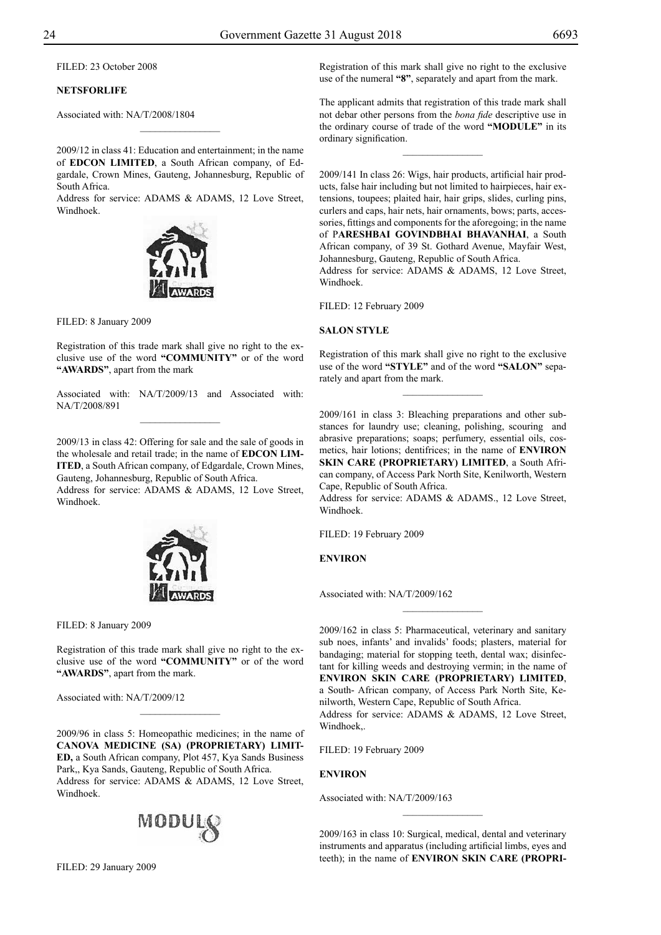Filed: 23 October 2008

## **NETSFORLIFE**

Associated with: NA/T/2008/1804

2009/12 in class 41: Education and entertainment; in the name of **EDCON LIMITED**, a South African company, of Edgardale, Crown Mines, Gauteng, Johannesburg, Republic of South Africa.

 $\frac{1}{2}$ 

Address for service: ADAMS & ADAMS, 12 Love Street, Windhoek.

![](_page_23_Picture_7.jpeg)

FILED: 8 January 2009

Registration of this trade mark shall give no right to the exclusive use of the word **"COMMUNITY"** or of the word **"AWARDS"**, apart from the mark

Associated with: NA/T/2009/13 and Associated with: NA/T/2008/891  $\frac{1}{2}$ 

2009/13 in class 42: Offering for sale and the sale of goods in the wholesale and retail trade; in the name of **EDCON LIM-ITED**, a South African company, of Edgardale, Crown Mines, Gauteng, Johannesburg, Republic of South Africa. Address for service: ADAMS & ADAMS, 12 Love Street,

Windhoek.

![](_page_23_Picture_13.jpeg)

Filed: 8 January 2009

Registration of this trade mark shall give no right to the exclusive use of the word **"COMMUNITY"** or of the word **"AWARDS"**, apart from the mark.

 $\frac{1}{2}$ 

Associated with: NA/T/2009/12

2009/96 in class 5: Homeopathic medicines; in the name of **CANOVA MEDICINE (SA) (PROPRIETARY) LIMIT-ED,** a South African company, Plot 457, Kya Sands Business Park,, Kya Sands, Gauteng, Republic of South Africa. Address for service: ADAMS & ADAMS, 12 Love Street, Windhoek.

![](_page_23_Picture_18.jpeg)

Filed: 29 January 2009

Registration of this mark shall give no right to the exclusive use of the numeral **"8"**, separately and apart from the mark.

The applicant admits that registration of this trade mark shall not debar other persons from the *bona fide* descriptive use in the ordinary course of trade of the word **"MODULE"** in its ordinary signification.

 $\frac{1}{2}$ 

2009/141 In class 26: Wigs, hair products, artificial hair products, false hair including but not limited to hairpieces, hair extensions, toupees; plaited hair, hair grips, slides, curling pins, curlers and caps, hair nets, hair ornaments, bows; parts, accessories, fittings and components for the aforegoing; in the name of P**ARESHBAI GOVINDBHAI BHAVANHAI**, a South African company, of 39 St. Gothard Avenue, Mayfair West, Johannesburg, Gauteng, Republic of South Africa.

Address for service: ADAMS & ADAMS, 12 Love Street, Windhoek.

Filed: 12 February 2009

## **Salon Style**

Registration of this mark shall give no right to the exclusive use of the word **"STYLE"** and of the word **"SALON"** separately and apart from the mark.

 $\frac{1}{2}$ 

2009/161 in class 3: Bleaching preparations and other substances for laundry use; cleaning, polishing, scouring and abrasive preparations; soaps; perfumery, essential oils, cosmetics, hair lotions; dentifrices; in the name of **ENVIRON SKIN CARE (PROPRIETARY) LIMITED**, a South African company, of Access Park North Site, Kenilworth, Western Cape, Republic of South Africa.

Address for service: ADAMS & ADAMS., 12 Love Street, Windhoek.

FILED: 19 February 2009

**Environ**

Associated with: NA/T/2009/162

2009/162 in class 5: Pharmaceutical, veterinary and sanitary sub noes, infants' and invalids' foods; plasters, material for bandaging; material for stopping teeth, dental wax; disinfectant for killing weeds and destroying vermin; in the name of **ENVIRON SKIN CARE (PROPRIETARY) LIMITED**, a South- African company, of Access Park North Site, Kenilworth, Western Cape, Republic of South Africa. Address for service: ADAMS & ADAMS, 12 Love Street, Windhoek,.

 $\overline{\phantom{a}}$  , where  $\overline{\phantom{a}}$ 

FILED: 19 February 2009

**Environ**

Associated with: NA/T/2009/163

2009/163 in class 10: Surgical, medical, dental and veterinary instruments and apparatus (including artificial limbs, eyes and teeth); in the name of **ENVIRON SKIN CARE (PROPRI-**

 $\frac{1}{2}$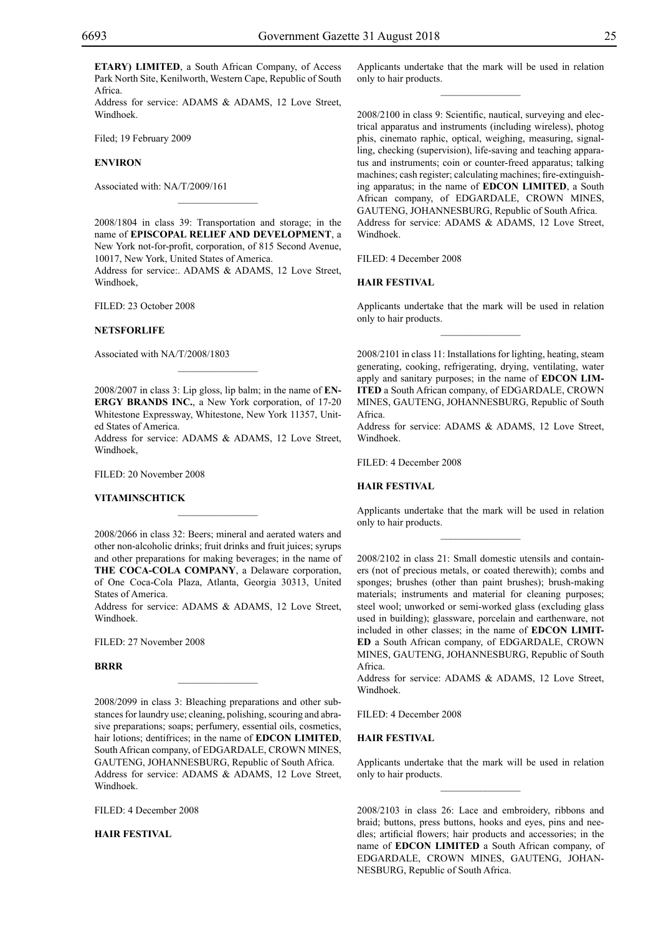**ETARY) LIMITED**, a South African Company, of Access Park North Site, Kenilworth, Western Cape, Republic of South Africa.

Address for service: ADAMS & ADAMS, 12 Love Street, Windhoek.

Filed; 19 February 2009

#### **Environ**

Associated with: NA/T/2009/161

2008/1804 in class 39: Transportation and storage; in the name of **EPISCOPAL RELIEF AND DEVELOPMENT**, a New York not-for-profit, corporation, of 815 Second Avenue, 10017, New York, United States of America.

 $\mathcal{L}=\mathcal{L}^{\mathcal{L}}$ 

Address for service:. ADAMS & ADAMS, 12 Love Street, Windhoek,

Filed: 23 October 2008

#### **NETSFORLIFE**

Associated with NA/T/2008/1803

2008/2007 in class 3: Lip gloss, lip balm; in the name of **EN-ERGY BRANDS INC.**, a New York corporation, of 17-20 Whitestone Expressway, Whitestone, New York 11357, United States of America.

 $\mathcal{L}=\mathcal{L}^{\mathcal{L}}$ 

Address for service: ADAMS & ADAMS, 12 Love Street, Windhoek,

Filed: 20 November 2008

#### **VITAMINSCHTICK**

2008/2066 in class 32: Beers; mineral and aerated waters and other non-alcoholic drinks; fruit drinks and fruit juices; syrups and other preparations for making beverages; in the name of **THE COCA-COLA COMPANY**, a Delaware corporation, of One Coca-Cola Plaza, Atlanta, Georgia 30313, United States of America.

 $\mathcal{L}=\mathcal{L}^{\mathcal{L}}$ 

Address for service: ADAMS & ADAMS, 12 Love Street, Windhoek.

Filed: 27 November 2008

#### **BRRR**

2008/2099 in class 3: Bleaching preparations and other substances for laundry use; cleaning, polishing, scouring and abrasive preparations; soaps; perfumery, essential oils, cosmetics, hair lotions; dentifrices; in the name of **EDCON LIMITED**, South African company, of EDGARDALE, CROWN MINES, GAUTENG, JOHANNESBURG, Republic of South Africa. Address for service: ADAMS & ADAMS, 12 Love Street, Windhoek.

 $\overline{\phantom{a}}$  , where  $\overline{\phantom{a}}$ 

Filed: 4 December 2008

**HAIR FESTIVAL**

Applicants undertake that the mark will be used in relation only to hair products.  $\frac{1}{2}$ 

2008/2100 in class 9: Scientific, nautical, surveying and electrical apparatus and instruments (including wireless), photog phis, cinemato raphic, optical, weighing, measuring, signalling, checking (supervision), life-saving and teaching apparatus and instruments; coin or counter-freed apparatus; talking machines; cash register; calculating machines; fire-extinguishing apparatus; in the name of **EDCON LIMITED**, a South African company, of EDGARDALE, CROWN MINES, GAUTENG, JOHANNESBURG, Republic of South Africa. Address for service: ADAMS & ADAMS, 12 Love Street, Windhoek.

Filed: 4 December 2008

#### **HAIR FESTIVAL**

Applicants undertake that the mark will be used in relation only to hair products.  $\frac{1}{2}$ 

2008/2101 in class 11: Installations for lighting, heating, steam generating, cooking, refrigerating, drying, ventilating, water apply and sanitary purposes; in the name of **EDCON LIM-ITED** a South African company, of EDGARDALE, CROWN MINES, GAUTENG, JOHANNESBURG, Republic of South Africa.

Address for service: ADAMS & ADAMS, 12 Love Street, Windhoek.

FILED: 4 December 2008

## **HAIR FESTIVAL**

Applicants undertake that the mark will be used in relation only to hair products.  $\frac{1}{2}$ 

2008/2102 in class 21: Small domestic utensils and containers (not of precious metals, or coated therewith); combs and sponges; brushes (other than paint brushes); brush-making materials; instruments and material for cleaning purposes; steel wool; unworked or semi-worked glass (excluding glass used in building); glassware, porcelain and earthenware, not included in other classes; in the name of **EDCON LIMITed** a South African company, of EDGARDALE, CROWN MINES, GAUTENG, JOHANNESBURG, Republic of South Africa.

Address for service: ADAMS & ADAMS, 12 Love Street, Windhoek.

Filed: 4 December 2008

## **HAIR FESTIVAL**

Applicants undertake that the mark will be used in relation only to hair products.  $\frac{1}{2}$ 

2008/2103 in class 26: Lace and embroidery, ribbons and braid; buttons, press buttons, hooks and eyes, pins and needles; artificial flowers; hair products and accessories; in the name of **EDCON LIMITED** a South African company, of EDGARDALE, CROWN MINES, GAUTENG, JOHAN-NESBURG, Republic of South Africa.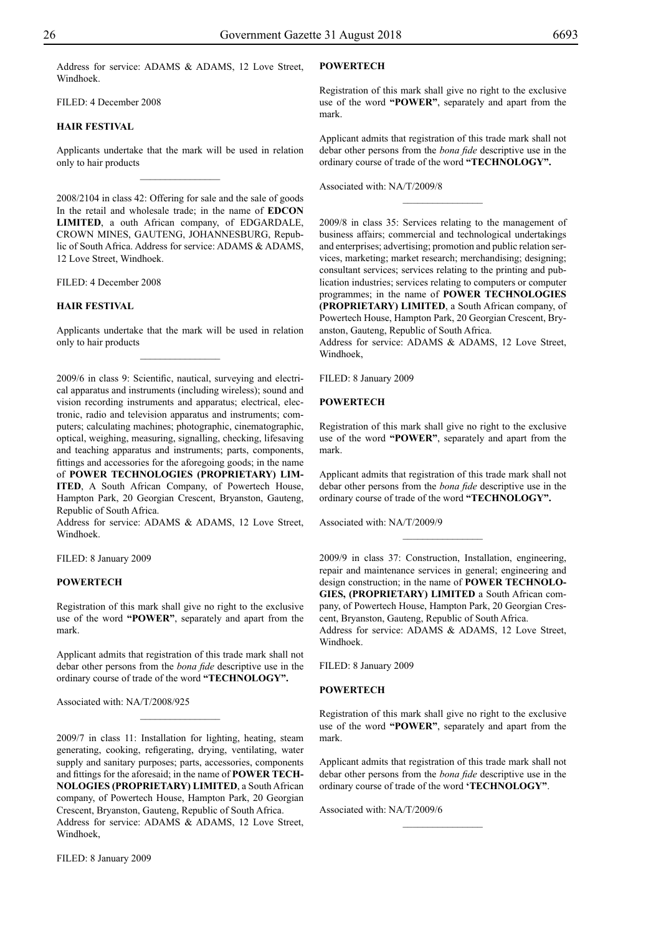Address for service: ADAMS & ADAMS, 12 Love Street, Windhoek.

FILED: 4 December 2008

## **HAIR FESTIVAL**

Applicants undertake that the mark will be used in relation only to hair products  $\overline{\phantom{a}}$  , where  $\overline{\phantom{a}}$ 

2008/2104 in class 42: Offering for sale and the sale of goods In the retail and wholesale trade; in the name of **EDCON Limited**, a outh African company, of EDGARDALE, CROWN MINES, GAUTENG, JOHANNESBURG, Republic of South Africa. Address for service: ADAMS & ADAMS, 12 Love Street, Windhoek.

Filed: 4 December 2008

#### **HAIR FESTIVAL**

Applicants undertake that the mark will be used in relation only to hair products  $\overline{\phantom{a}}$  , where  $\overline{\phantom{a}}$ 

2009/6 in class 9: Scientific, nautical, surveying and electrical apparatus and instruments (including wireless); sound and vision recording instruments and apparatus; electrical, electronic, radio and television apparatus and instruments; computers; calculating machines; photographic, cinematographic, optical, weighing, measuring, signalling, checking, lifesaving and teaching apparatus and instruments; parts, components, fittings and accessories for the aforegoing goods; in the name of **POWER TECHNOLOGIES (PROPRIETARY) LIM-ITED**, A South African Company, of Powertech House, Hampton Park, 20 Georgian Crescent, Bryanston, Gauteng, Republic of South Africa.

Address for service: ADAMS & ADAMS, 12 Love Street, Windhoek.

FILED: 8 January 2009

#### **POWERTECH**

Registration of this mark shall give no right to the exclusive use of the word **"POWER"**, separately and apart from the mark.

Applicant admits that registration of this trade mark shall not debar other persons from the *bona fide* descriptive use in the ordinary course of trade of the word **"TECHNOLOGY".**

 $\frac{1}{2}$ 

Associated with: NA/T/2008/925

2009/7 in class 11: Installation for lighting, heating, steam generating, cooking, refigerating, drying, ventilating, water supply and sanitary purposes; parts, accessories, components and fittings for the aforesaid; in the name of **POWER TECH-NOLOGIES (PROPRIETARY) LIMITED**, a South African company, of Powertech House, Hampton Park, 20 Georgian Crescent, Bryanston, Gauteng, Republic of South Africa. Address for service: ADAMS & ADAMS, 12 Love Street, Windhoek,

FILED: 8 January 2009

## **POWERTECH**

Registration of this mark shall give no right to the exclusive use of the word **"POWER"**, separately and apart from the mark.

Applicant admits that registration of this trade mark shall not debar other persons from the *bona fide* descriptive use in the ordinary course of trade of the word **"TECHNOLOGY".**

 $\overline{\phantom{a}}$  , where  $\overline{\phantom{a}}$ 

Associated with: NA/T/2009/8

2009/8 in class 35: Services relating to the management of business affairs; commercial and technological undertakings and enterprises; advertising; promotion and public relation services, marketing; market research; merchandising; designing; consultant services; services relating to the printing and publication industries; services relating to computers or computer programmes; in the name of **POWER TECHNOLOGIES (PROPRIETARY) LIMITED**, a South African company, of Powertech House, Hampton Park, 20 Georgian Crescent, Bryanston, Gauteng, Republic of South Africa.

Address for service: ADAMS & ADAMS, 12 Love Street, Windhoek,

FILED: 8 January 2009

## **POWERTECH**

Registration of this mark shall give no right to the exclusive use of the word **"POWER"**, separately and apart from the mark.

Applicant admits that registration of this trade mark shall not debar other persons from the *bona fide* descriptive use in the ordinary course of trade of the word **"TECHNOLOGY".**

Associated with: NA/T/2009/9

2009/9 in class 37: Construction, Installation, engineering, repair and maintenance services in general; engineering and design construction; in the name of **POWER TECHNOLO-GIES, (PROPRIETARY) LIMITED** a South African company, of Powertech House, Hampton Park, 20 Georgian Crescent, Bryanston, Gauteng, Republic of South Africa. Address for service: ADAMS & ADAMS, 12 Love Street, Windhoek.

Filed: 8 January 2009

#### **POWERTECH**

Registration of this mark shall give no right to the exclusive use of the word **"POWER"**, separately and apart from the mark.

Applicant admits that registration of this trade mark shall not debar other persons from the *bona fide* descriptive use in the ordinary course of trade of the word **'TECHNOLOGY"**.

 $\frac{1}{2}$ 

Associated with: NA/T/2009/6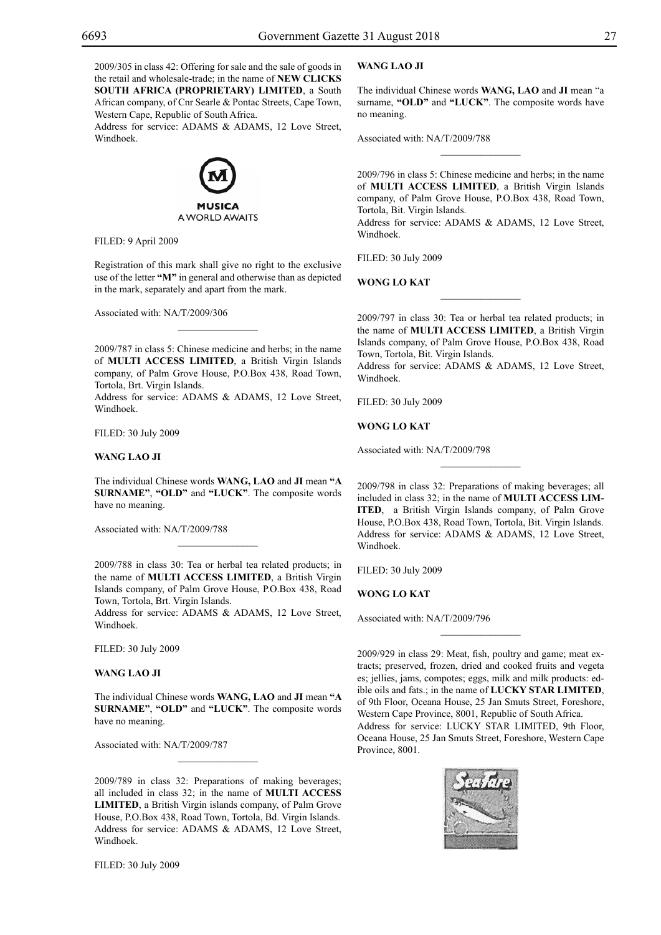2009/305 in class 42: Offering for sale and the sale of goods in the retail and wholesale-trade; in the name of **NEW CLICKS SOUTH AFRICA (PROPRIETARY) LIMITED**, a South African company, of Cnr Searle & Pontac Streets, Cape Town, Western Cape, Republic of South Africa.

Address for service: ADAMS & ADAMS, 12 Love Street, Windhoek.

![](_page_26_Picture_5.jpeg)

Filed: 9 April 2009

Registration of this mark shall give no right to the exclusive use of the letter **"M"** in general and otherwise than as depicted in the mark, separately and apart from the mark.

Associated with: NA/T/2009/306

2009/787 in class 5: Chinese medicine and herbs; in the name of **MULTI ACCESS LIMITED**, a British Virgin Islands company, of Palm Grove House, P.O.Box 438, Road Town, Tortola, Brt. Virgin Islands.

 $\overline{\phantom{a}}$  , where  $\overline{\phantom{a}}$ 

Address for service: ADAMS & ADAMS, 12 Love Street, Windhoek.

Filed: 30 July 2009

## **WANG LAO JI**

The individual Chinese words **WANG, LAO** and **JI** mean **"a surname"**, **"old"** and **"luck"**. The composite words have no meaning.

Associated with: NA/T/2009/788

2009/788 in class 30: Tea or herbal tea related products; in the name of **MULTI ACCESS LIMITED**, a British Virgin Islands company, of Palm Grove House, P.O.Box 438, Road Town, Tortola, Brt. Virgin Islands.

 $\frac{1}{2}$ 

Address for service: ADAMS & ADAMS, 12 Love Street, Windhoek.

Filed: 30 July 2009

## **WANG LAO JI**

The individual Chinese words **WANG, LAO** and **JI** mean **"a surname"**, **"old"** and **"luck"**. The composite words have no meaning.

 $\frac{1}{2}$ 

Associated with: NA/T/2009/787

2009/789 in class 32: Preparations of making beverages; all included in class 32; in the name of **MULTI ACCESS LIMITED**, a British Virgin islands company, of Palm Grove House, P.O.Box 438, Road Town, Tortola, Bd. Virgin Islands. Address for service: ADAMS & ADAMS, 12 Love Street, Windhoek.

Filed: 30 July 2009

## **WANG LAO JI**

The individual Chinese words **WANG, LAO** and **JI** mean "a surname, "OLD" and "LUCK". The composite words have no meaning.

Associated with: NA/T/2009/788

2009/796 in class 5: Chinese medicine and herbs; in the name of **MULTI ACCESS LIMITED**, a British Virgin Islands company, of Palm Grove House, P.O.Box 438, Road Town, Tortola, Bit. Virgin Islands.

 $\overline{\phantom{a}}$  , we can also the set of  $\overline{\phantom{a}}$ 

Address for service: ADAMS & ADAMS, 12 Love Street, Windhoek.

Filed: 30 July 2009

**WONG LO KAT**

2009/797 in class 30: Tea or herbal tea related products; in the name of **MULTI ACCESS LIMITED**, a British Virgin Islands company, of Palm Grove House, P.O.Box 438, Road Town, Tortola, Bit. Virgin Islands.

 $\frac{1}{2}$ 

Address for service: ADAMS & ADAMS, 12 Love Street, Windhoek.

Filed: 30 July 2009

**WONG LO KAT**

Associated with: NA/T/2009/798

2009/798 in class 32: Preparations of making beverages; all included in class 32; in the name of **MULTI ACCESS LIM-ITED**, a British Virgin Islands company, of Palm Grove House, P.O.Box 438, Road Town, Tortola, Bit. Virgin Islands. Address for service: ADAMS & ADAMS, 12 Love Street, Windhoek.

 $\overline{\phantom{a}}$  , we can also the set of  $\overline{\phantom{a}}$ 

Filed: 30 July 2009

**WONG LO KAT**

Associated with: NA/T/2009/796

2009/929 in class 29: Meat, fish, poultry and game; meat extracts; preserved, frozen, dried and cooked fruits and vegeta es; jellies, jams, compotes; eggs, milk and milk products: edible oils and fats.; in the name of **LUCKY STAR LIMITED**, of 9th Floor, Oceana House, 25 Jan Smuts Street, Foreshore, Western Cape Province, 8001, Republic of South Africa. Address for service: LUCKY STAR LIMITED, 9th Floor, Oceana House, 25 Jan Smuts Street, Foreshore, Western Cape Province, 8001.

 $\frac{1}{2}$ 

![](_page_26_Picture_40.jpeg)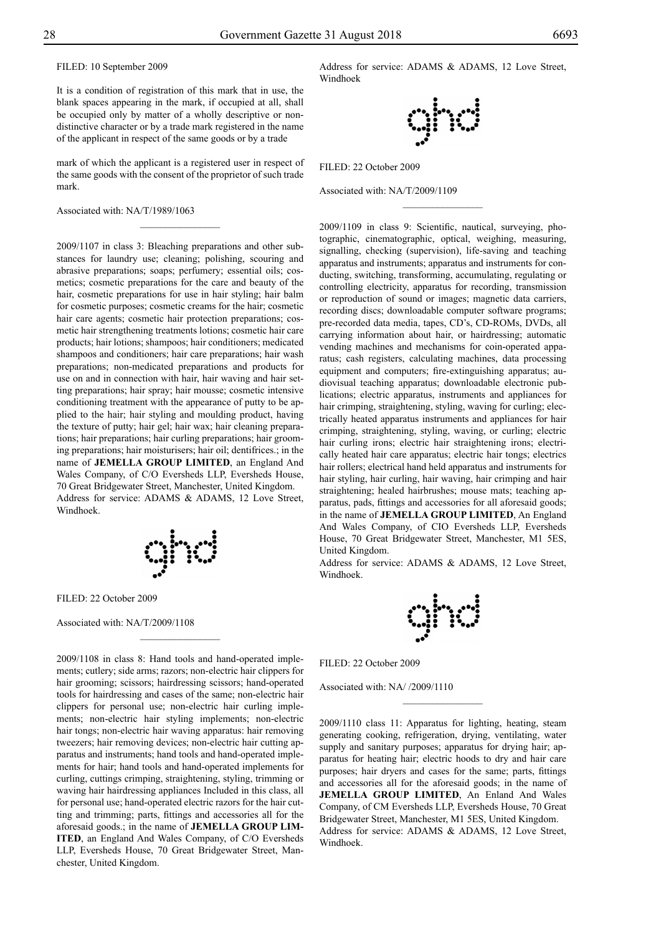FILED: 10 September 2009

It is a condition of registration of this mark that in use, the blank spaces appearing in the mark, if occupied at all, shall be occupied only by matter of a wholly descriptive or nondistinctive character or by a trade mark registered in the name of the applicant in respect of the same goods or by a trade

mark of which the applicant is a registered user in respect of the same goods with the consent of the proprietor of such trade mark.

 $\overline{\phantom{a}}$  , where  $\overline{\phantom{a}}$ 

Associated with: NA/T/1989/1063

2009/1107 in class 3: Bleaching preparations and other substances for laundry use; cleaning; polishing, scouring and abrasive preparations; soaps; perfumery; essential oils; cosmetics; cosmetic preparations for the care and beauty of the hair, cosmetic preparations for use in hair styling; hair balm for cosmetic purposes; cosmetic creams for the hair; cosmetic hair care agents; cosmetic hair protection preparations; cosmetic hair strengthening treatments lotions; cosmetic hair care products; hair lotions; shampoos; hair conditioners; medicated shampoos and conditioners; hair care preparations; hair wash preparations; non-medicated preparations and products for use on and in connection with hair, hair waving and hair setting preparations; hair spray; hair mousse; cosmetic intensive conditioning treatment with the appearance of putty to be applied to the hair; hair styling and moulding product, having the texture of putty; hair gel; hair wax; hair cleaning preparations; hair preparations; hair curling preparations; hair grooming preparations; hair moisturisers; hair oil; dentifrices.; in the name of **Jemella Group Limited**, an England And Wales Company, of C/O Eversheds LLP, Eversheds House, 70 Great Bridgewater Street, Manchester, United Kingdom. Address for service: ADAMS & ADAMS, 12 Love Street, Windhoek.

$$
\mathbb{Q}\text{Ind}
$$

 $\frac{1}{2}$ 

FILED: 22 October 2009

Associated with: NA/T/2009/1108

2009/1108 in class 8: Hand tools and hand-operated implements; cutlery; side arms; razors; non-electric hair clippers for hair grooming; scissors; hairdressing scissors; hand-operated tools for hairdressing and cases of the same; non-electric hair clippers for personal use; non-electric hair curling implements; non-electric hair styling implements; non-electric hair tongs; non-electric hair waving apparatus: hair removing tweezers; hair removing devices; non-electric hair cutting apparatus and instruments; hand tools and hand-operated implements for hair; hand tools and hand-operated implements for curling, cuttings crimping, straightening, styling, trimming or waving hair hairdressing appliances Included in this class, all for personal use; hand-operated electric razors for the hair cutting and trimming; parts, fittings and accessories all for the aforesaid goods.; in the name of **Jemella Group Lim-ITED**, an England And Wales Company, of C/O Eversheds LLP, Eversheds House, 70 Great Bridgewater Street, Manchester, United Kingdom.

Address for service: ADAMS & ADAMS, 12 Love Street, Windhoek

![](_page_27_Picture_13.jpeg)

 $\overline{\phantom{a}}$  , where  $\overline{\phantom{a}}$ 

Filed: 22 October 2009

Associated with: NA/T/2009/1109

2009/1109 in class 9: Scientific, nautical, surveying, photographic, cinematographic, optical, weighing, measuring, signalling, checking (supervision), life-saving and teaching apparatus and instruments; apparatus and instruments for conducting, switching, transforming, accumulating, regulating or controlling electricity, apparatus for recording, transmission or reproduction of sound or images; magnetic data carriers, recording discs; downloadable computer software programs; pre-recorded data media, tapes, CD's, CD-ROMs, DVDs, all carrying information about hair, or hairdressing; automatic vending machines and mechanisms for coin-operated apparatus; cash registers, calculating machines, data processing equipment and computers; fire-extinguishing apparatus; audiovisual teaching apparatus; downloadable electronic publications; electric apparatus, instruments and appliances for hair crimping, straightening, styling, waving for curling; electrically heated apparatus instruments and appliances for hair crimping, straightening, styling, waving, or curling; electric hair curling irons; electric hair straightening irons; electrically heated hair care apparatus; electric hair tongs; electrics hair rollers; electrical hand held apparatus and instruments for hair styling, hair curling, hair waving, hair crimping and hair straightening; healed hairbrushes; mouse mats; teaching apparatus, pads, fittings and accessories for all aforesaid goods; in the name of **Jemella Group Limited**, An England And Wales Company, of CIO Eversheds LLP, Eversheds House, 70 Great Bridgewater Street, Manchester, M1 5ES, United Kingdom.

Address for service: ADAMS & ADAMS, 12 Love Street, Windhoek.

![](_page_27_Picture_18.jpeg)

Filed: 22 October 2009

Associated with: NA/ /2009/1110

2009/1110 class 11: Apparatus for lighting, heating, steam generating cooking, refrigeration, drying, ventilating, water supply and sanitary purposes; apparatus for drying hair; apparatus for heating hair; electric hoods to dry and hair care purposes; hair dryers and cases for the same; parts, fittings and accessories all for the aforesaid goods; in the name of **Jemella Group Limited**, An Enland And Wales Company, of CM Eversheds LLP, Eversheds House, 70 Great Bridgewater Street, Manchester, M1 5ES, United Kingdom. Address for service: ADAMS & ADAMS, 12 Love Street, Windhoek.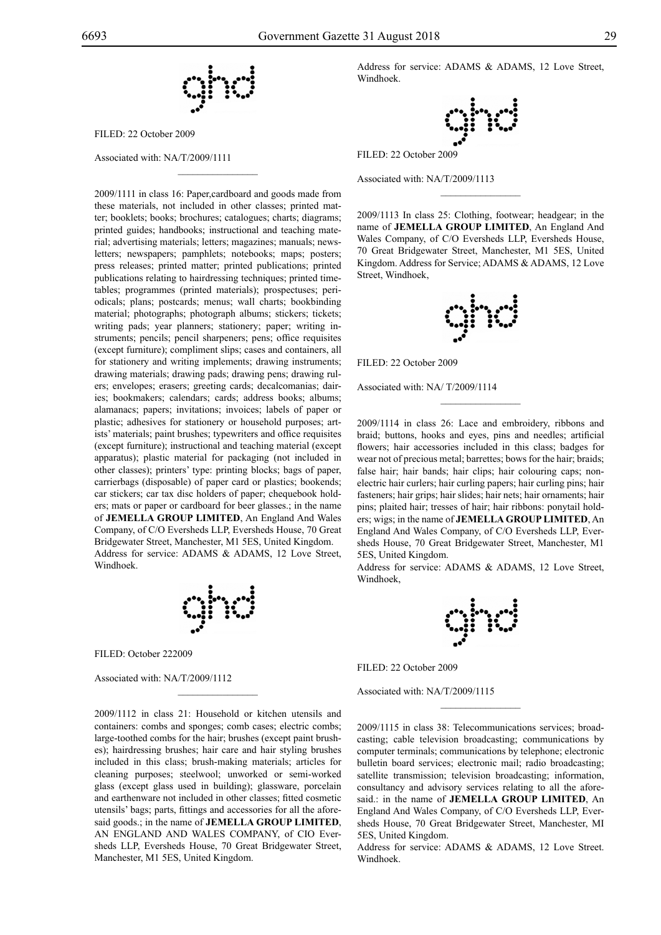$\overline{\phantom{a}}$  , where  $\overline{\phantom{a}}$ 

FILED: 22 October 2009

Associated with: NA/T/2009/1111

2009/1111 in class 16: Paper,cardboard and goods made from these materials, not included in other classes; printed matter; booklets; books; brochures; catalogues; charts; diagrams; printed guides; handbooks; instructional and teaching material; advertising materials; letters; magazines; manuals; newsletters; newspapers; pamphlets; notebooks; maps; posters; press releases; printed matter; printed publications; printed publications relating to hairdressing techniques; printed timetables; programmes (printed materials); prospectuses; periodicals; plans; postcards; menus; wall charts; bookbinding material; photographs; photograph albums; stickers; tickets; writing pads; year planners; stationery; paper; writing instruments; pencils; pencil sharpeners; pens; office requisites (except furniture); compliment slips; cases and containers, all for stationery and writing implements; drawing instruments; drawing materials; drawing pads; drawing pens; drawing rulers; envelopes; erasers; greeting cards; decalcomanias; dairies; bookmakers; calendars; cards; address books; albums; alamanacs; papers; invitations; invoices; labels of paper or plastic; adhesives for stationery or household purposes; artists' materials; paint brushes; typewriters and office requisites (except furniture); instructional and teaching material (except apparatus); plastic material for packaging (not included in other classes); printers' type: printing blocks; bags of paper, carrierbags (disposable) of paper card or plastics; bookends; car stickers; car tax disc holders of paper; chequebook holders; mats or paper or cardboard for beer glasses.; in the name of **Jemella Group Limited**, An England And Wales Company, of C/O Eversheds LLP, Eversheds House, 70 Great Bridgewater Street, Manchester, M1 5ES, United Kingdom. Address for service: ADAMS & ADAMS, 12 Love Street, Windhoek.

![](_page_28_Figure_6.jpeg)

 $\mathcal{L}=\mathcal{L}^{\mathcal{L}}$ 

FILED: October 222009

Associated with: NA/T/2009/1112

2009/1112 in class 21: Household or kitchen utensils and containers: combs and sponges; comb cases; electric combs; large-toothed combs for the hair; brushes (except paint brushes); hairdressing brushes; hair care and hair styling brushes included in this class; brush-making materials; articles for cleaning purposes; steelwool; unworked or semi-worked glass (except glass used in building); glassware, porcelain and earthenware not included in other classes; fitted cosmetic utensils' bags; parts, fittings and accessories for all the aforesaid goods.; in the name of **JEMELLA GROUP LIMITED**, AN ENGLAND AND WALES COMPANY, of CIO Eversheds LLP, Eversheds House, 70 Great Bridgewater Street, Manchester, M1 5ES, United Kingdom.

Address for service: ADAMS & ADAMS, 12 Love Street, Windhoek.

![](_page_28_Figure_11.jpeg)

Filed: 22 October 2009

Associated with: NA/T/2009/1113

2009/1113 In class 25: Clothing, footwear; headgear; in the name of **Jemella Group Limited**, An England And Wales Company, of C/O Eversheds LLP, Eversheds House, 70 Great Bridgewater Street, Manchester, M1 5ES, United Kingdom. Address for Service; ADAMS & ADAMS, 12 Love Street, Windhoek,

 $\overline{\phantom{a}}$  , we can also the set of  $\overline{\phantom{a}}$ 

![](_page_28_Figure_15.jpeg)

FILED: 22 October 2009

Associated with: NA/ T/2009/1114

2009/1114 in class 26: Lace and embroidery, ribbons and braid; buttons, hooks and eyes, pins and needles; artificial flowers; hair accessories included in this class; badges for wear not of precious metal; barrettes; bows for the hair; braids; false hair; hair bands; hair clips; hair colouring caps; nonelectric hair curlers; hair curling papers; hair curling pins; hair fasteners; hair grips; hair slides; hair nets; hair ornaments; hair pins; plaited hair; tresses of hair; hair ribbons: ponytail holders; wigs; in the name of **Jemella Group Limited**, An England And Wales Company, of C/O Eversheds LLP, Eversheds House, 70 Great Bridgewater Street, Manchester, M1 5ES, United Kingdom.

 $\frac{1}{2}$ 

Address for service: ADAMS & ADAMS, 12 Love Street, Windhoek,

Filed: 22 October 2009

Associated with: NA/T/2009/1115

2009/1115 in class 38: Telecommunications services; broadcasting; cable television broadcasting; communications by computer terminals; communications by telephone; electronic bulletin board services; electronic mail; radio broadcasting; satellite transmission; television broadcasting; information, consultancy and advisory services relating to all the aforesaid.: in the name of **JEMELLA GROUP LIMITED**, An England And Wales Company, of C/O Eversheds LLP, Eversheds House, 70 Great Bridgewater Street, Manchester, MI 5ES, United Kingdom.

 $\frac{1}{2}$ 

Address for service: ADAMS & ADAMS, 12 Love Street. Windhoek.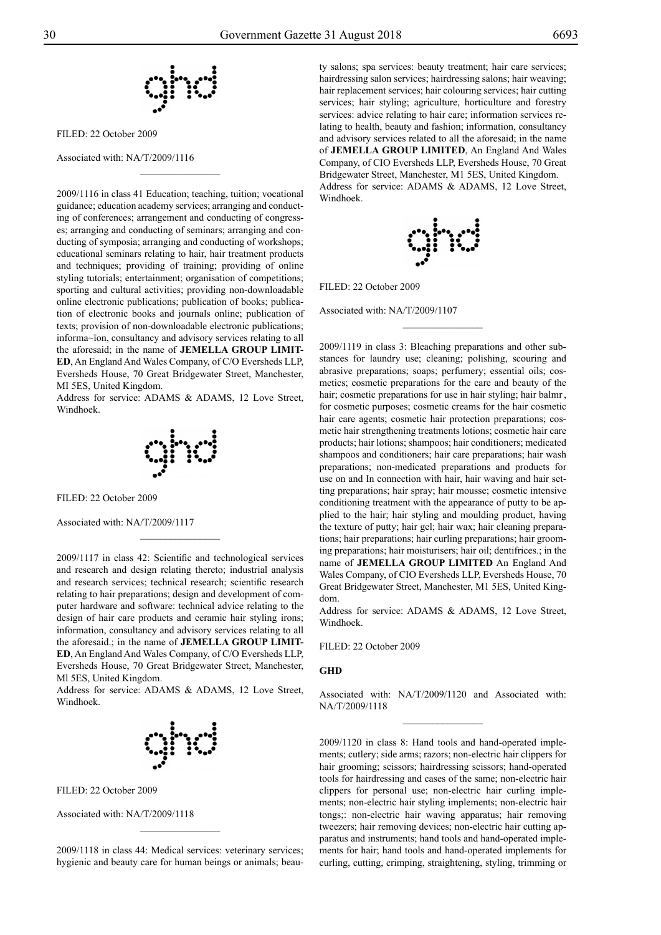![](_page_29_Figure_3.jpeg)

 $\overline{\phantom{a}}$  , where  $\overline{\phantom{a}}$ 

FILED: 22 October 2009

Associated with: NA/T/2009/1116

2009/1116 in class 41 Education; teaching, tuition; vocational guidance; education academy services; arranging and conducting of conferences; arrangement and conducting of congresses; arranging and conducting of seminars; arranging and conducting of symposia; arranging and conducting of workshops; educational seminars relating to hair, hair treatment products and techniques; providing of training; providing of online styling tutorials; entertainment; organisation of competitions; sporting and cultural activities; providing non-downloadable online electronic publications; publication of books; publication of electronic books and journals online; publication of texts; provision of non-downloadable electronic publications; informa~ïon, consultancy and advisory services relating to all the aforesaid; in the name of **JEMELLA GROUP LIMIT-ED**, An England And Wales Company, of C/O Eversheds LLP, Eversheds House, 70 Great Bridgewater Street, Manchester, MI 5ES, United Kingdom.

Address for service: ADAMS & ADAMS, 12 Love Street, Windhoek.

![](_page_29_Picture_8.jpeg)

Filed: 22 October 2009

Associated with: NA/T/2009/1117

2009/1117 in class 42: Scientific and technological services and research and design relating thereto; industrial analysis and research services; technical research; scientific research relating to hair preparations; design and development of computer hardware and software: technical advice relating to the design of hair care products and ceramic hair styling irons; information, consultancy and advisory services relating to all the aforesaid.; in the name of **JEMELLA GROUP LIMIT-ED**, An England And Wales Company, of C/O Eversheds LLP, Eversheds House, 70 Great Bridgewater Street, Manchester, Ml 5ES, United Kingdom.

Address for service: ADAMS & ADAMS, 12 Love Street, Windhoek.

![](_page_29_Figure_13.jpeg)

Filed: 22 October 2009

Associated with: NA/T/2009/1118

2009/1118 in class 44: Medical services: veterinary services; hygienic and beauty care for human beings or animals; beauty salons; spa services: beauty treatment; hair care services; hairdressing salon services; hairdressing salons; hair weaving; hair replacement services; hair colouring services; hair cutting services; hair styling; agriculture, horticulture and forestry services: advice relating to hair care; information services relating to health, beauty and fashion; information, consultancy and advisory services related to all the aforesaid; in the name of **Jemella Group Limited**, An England And Wales Company, of CIO Eversheds LLP, Eversheds House, 70 Great Bridgewater Street, Manchester, M1 5ES, United Kingdom. Address for service: ADAMS & ADAMS, 12 Love Street, Windhoek.

![](_page_29_Picture_18.jpeg)

 $\overline{\phantom{a}}$  , where  $\overline{\phantom{a}}$ 

Filed: 22 October 2009

Associated with: NA/T/2009/1107

2009/1119 in class 3: Bleaching preparations and other substances for laundry use; cleaning; polishing, scouring and abrasive preparations; soaps; perfumery; essential oils; cosmetics; cosmetic preparations for the care and beauty of the hair; cosmetic preparations for use in hair styling; hair balmr , for cosmetic purposes; cosmetic creams for the hair cosmetic hair care agents; cosmetic hair protection preparations; cosmetic hair strengthening treatments lotions; cosmetic hair care products; hair lotions; shampoos; hair conditioners; medicated shampoos and conditioners; hair care preparations; hair wash preparations; non-medicated preparations and products for use on and In connection with hair, hair waving and hair setting preparations; hair spray; hair mousse; cosmetic intensive conditioning treatment with the appearance of putty to be applied to the hair; hair styling and moulding product, having the texture of putty; hair gel; hair wax; hair cleaning preparations; hair preparations; hair curling preparations; hair grooming preparations; hair moisturisers; hair oil; dentifrices.; in the name of **Jemella Group Limited** An England And Wales Company, of CIO Eversheds LLP, Eversheds House, 70 Great Bridgewater Street, Manchester, M1 5ES, United Kingdom.

Address for service: ADAMS & ADAMS, 12 Love Street, Windhoek.

FILED: 22 October 2009

#### **GHD**

Associated with: NA/T/2009/1120 and Associated with: NA/T/2009/1118  $\frac{1}{2}$ 

2009/1120 in class 8: Hand tools and hand-operated implements; cutlery; side arms; razors; non-electric hair clippers for hair grooming; scissors; hairdressing scissors; hand-operated tools for hairdressing and cases of the same; non-electric hair clippers for personal use; non-electric hair curling implements; non-electric hair styling implements; non-electric hair tongs;: non-electric hair waving apparatus; hair removing tweezers; hair removing devices; non-electric hair cutting apparatus and instruments; hand tools and hand-operated implements for hair; hand tools and hand-operated implements for curling, cutting, crimping, straightening, styling, trimming or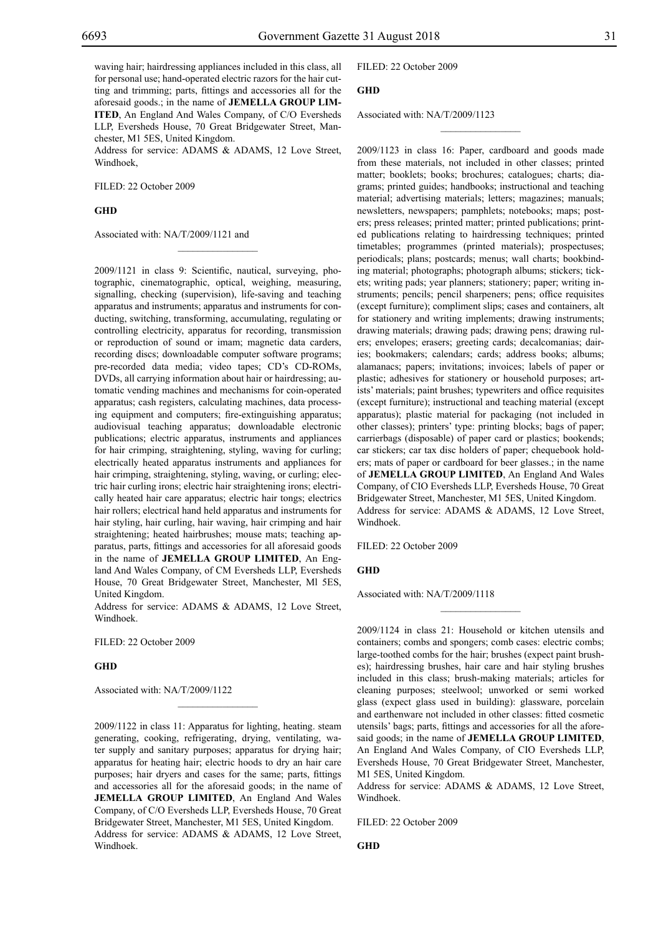waving hair; hairdressing appliances included in this class, all for personal use; hand-operated electric razors for the hair cutting and trimming; parts, fittings and accessories all for the aforesaid goods.; in the name of **Jemella Group Lim-ITED**, An England And Wales Company, of C/O Eversheds LLP, Eversheds House, 70 Great Bridgewater Street, Manchester, M1 5ES, United Kingdom.

Address for service: ADAMS & ADAMS, 12 Love Street, Windhoek,

 $\mathcal{L}=\mathcal{L}^{\mathcal{L}}$ 

FILED: 22 October 2009

**GHD**

Associated with: NA/T/2009/1121 and

2009/1121 in class 9: Scientific, nautical, surveying, photographic, cinematographic, optical, weighing, measuring, signalling, checking (supervision), life-saving and teaching apparatus and instruments; apparatus and instruments for conducting, switching, transforming, accumulating, regulating or controlling electricity, apparatus for recording, transmission or reproduction of sound or imam; magnetic data carders, recording discs; downloadable computer software programs; pre-recorded data media; video tapes; CD's CD-ROMs, DVDs, all carrying information about hair or hairdressing; automatic vending machines and mechanisms for coin-operated apparatus; cash registers, calculating machines, data processing equipment and computers; fire-extinguishing apparatus; audiovisual teaching apparatus; downloadable electronic publications; electric apparatus, instruments and appliances for hair crimping, straightening, styling, waving for curling; electrically heated apparatus instruments and appliances for hair crimping, straightening, styling, waving, or curling; electric hair curling irons; electric hair straightening irons; electrically heated hair care apparatus; electric hair tongs; electrics hair rollers; electrical hand held apparatus and instruments for hair styling, hair curling, hair waving, hair crimping and hair straightening; heated hairbrushes; mouse mats; teaching apparatus, parts, fittings and accessories for all aforesaid goods in the name of **Jemella Group Limited**, An England And Wales Company, of CM Eversheds LLP, Eversheds House, 70 Great Bridgewater Street, Manchester, Ml 5ES, United Kingdom.

Address for service: ADAMS & ADAMS, 12 Love Street, Windhoek.

Filed: 22 October 2009

## **GHD**

Associated with: NA/T/2009/1122

2009/1122 in class 11: Apparatus for lighting, heating. steam generating, cooking, refrigerating, drying, ventilating, water supply and sanitary purposes; apparatus for drying hair; apparatus for heating hair; electric hoods to dry an hair care purposes; hair dryers and cases for the same; parts, fittings and accessories all for the aforesaid goods; in the name of **JEMELLA GROUP LIMITED.** An England And Wales Company, of C/O Eversheds LLP, Eversheds House, 70 Great Bridgewater Street, Manchester, M1 5ES, United Kingdom. Address for service: ADAMS & ADAMS, 12 Love Street, Windhoek.

 $\mathcal{L}=\mathcal{L}^{\mathcal{L}}$ 

Filed: 22 October 2009

## **GHD**

Associated with: NA/T/2009/1123

2009/1123 in class 16: Paper, cardboard and goods made from these materials, not included in other classes; printed matter; booklets; books; brochures; catalogues; charts; diagrams; printed guides; handbooks; instructional and teaching material; advertising materials; letters; magazines; manuals; newsletters, newspapers; pamphlets; notebooks; maps; posters; press releases; printed matter; printed publications; printed publications relating to hairdressing techniques; printed timetables; programmes (printed materials); prospectuses; periodicals; plans; postcards; menus; wall charts; bookbinding material; photographs; photograph albums; stickers; tickets; writing pads; year planners; stationery; paper; writing instruments; pencils; pencil sharpeners; pens; office requisites (except furniture); compliment slips; cases and containers, alt for stationery and writing implements; drawing instruments; drawing materials; drawing pads; drawing pens; drawing rulers; envelopes; erasers; greeting cards; decalcomanias; dairies; bookmakers; calendars; cards; address books; albums; alamanacs; papers; invitations; invoices; labels of paper or plastic; adhesives for stationery or household purposes; artists' materials; paint brushes; typewriters and office requisites (except furniture); instructional and teaching material (except apparatus); plastic material for packaging (not included in other classes); printers' type: printing blocks; bags of paper; carrierbags (disposable) of paper card or plastics; bookends; car stickers; car tax disc holders of paper; chequebook holders; mats of paper or cardboard for beer glasses.; in the name of **Jemella Group Limited**, An England And Wales Company, of CIO Eversheds LLP, Eversheds House, 70 Great Bridgewater Street, Manchester, M1 5ES, United Kingdom. Address for service: ADAMS & ADAMS, 12 Love Street, Windhoek.

 $\frac{1}{2}$ 

Filed: 22 October 2009

#### **GHD**

Associated with: NA/T/2009/1118

2009/1124 in class 21: Household or kitchen utensils and containers; combs and spongers; comb cases: electric combs; large-toothed combs for the hair; brushes (expect paint brushes); hairdressing brushes, hair care and hair styling brushes included in this class; brush-making materials; articles for cleaning purposes; steelwool; unworked or semi worked glass (expect glass used in building): glassware, porcelain and earthenware not included in other classes: fitted cosmetic utensils' bags; parts, fittings and accessories for all the aforesaid goods; in the name of **Jemella Group Limited**, An England And Wales Company, of CIO Eversheds LLP, Eversheds House, 70 Great Bridgewater Street, Manchester, M1 5ES, United Kingdom.

 $\overline{\phantom{a}}$  , we can also the set of  $\overline{\phantom{a}}$ 

Address for service: ADAMS & ADAMS, 12 Love Street, Windhoek.

Filed: 22 October 2009

**GHD**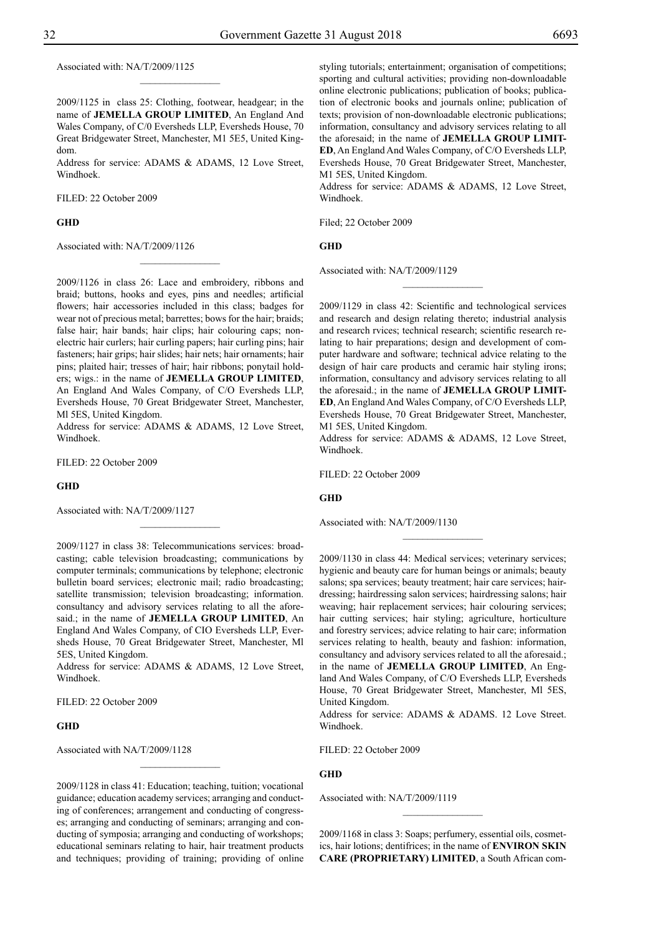Associated with: NA/T/2009/1125

2009/1125 in class 25: Clothing, footwear, headgear; in the name of **Jemella Group Limited**, An England And Wales Company, of C/0 Eversheds LLP, Eversheds House, 70 Great Bridgewater Street, Manchester, M1 5E5, United Kingdom.

 $\frac{1}{2}$ 

Address for service: ADAMS & ADAMS, 12 Love Street, Windhoek.

Filed: 22 October 2009

#### **GHD**

Associated with: NA/T/2009/1126

2009/1126 in class 26: Lace and embroidery, ribbons and braid; buttons, hooks and eyes, pins and needles; artificial flowers; hair accessories included in this class; badges for wear not of precious metal; barrettes; bows for the hair; braids; false hair; hair bands; hair clips; hair colouring caps; nonelectric hair curlers; hair curling papers; hair curling pins; hair fasteners; hair grips; hair slides; hair nets; hair ornaments; hair pins; plaited hair; tresses of hair; hair ribbons; ponytail holders; wigs.: in the name of **Jemella Group Limited**, An England And Wales Company, of C/O Eversheds LLP, Eversheds House, 70 Great Bridgewater Street, Manchester, Ml 5ES, United Kingdom.

 $\frac{1}{2}$ 

Address for service: ADAMS & ADAMS, 12 Love Street, Windhoek.

Filed: 22 October 2009

#### **GHD**

Associated with: NA/T/2009/1127

2009/1127 in class 38: Telecommunications services: broadcasting; cable television broadcasting; communications by computer terminals; communications by telephone; electronic bulletin board services; electronic mail; radio broadcasting; satellite transmission; television broadcasting; information. consultancy and advisory services relating to all the aforesaid.; in the name of **JEMELLA GROUP LIMITED**, An England And Wales Company, of CIO Eversheds LLP, Eversheds House, 70 Great Bridgewater Street, Manchester, Ml 5ES, United Kingdom.

 $\frac{1}{2}$ 

Address for service: ADAMS & ADAMS, 12 Love Street, Windhoek.

Filed: 22 October 2009

#### **GHD**

Associated with NA/T/2009/1128

2009/1128 in class 41: Education; teaching, tuition; vocational guidance; education academy services; arranging and conducting of conferences; arrangement and conducting of congresses; arranging and conducting of seminars; arranging and conducting of symposia; arranging and conducting of workshops; educational seminars relating to hair, hair treatment products and techniques; providing of training; providing of online styling tutorials; entertainment; organisation of competitions; sporting and cultural activities; providing non-downloadable online electronic publications; publication of books; publication of electronic books and journals online; publication of texts; provision of non-downloadable electronic publications; information, consultancy and advisory services relating to all the aforesaid; in the name of **Jemella Group Limit-ED**, An England And Wales Company, of C/O Eversheds LLP, Eversheds House, 70 Great Bridgewater Street, Manchester, M1 5ES, United Kingdom.

Address for service: ADAMS & ADAMS, 12 Love Street, Windhoek.

Filed; 22 October 2009

#### **GHD**

Associated with: NA/T/2009/1129

2009/1129 in class 42: Scientific and technological services and research and design relating thereto; industrial analysis and research rvices; technical research; scientific research relating to hair preparations; design and development of computer hardware and software; technical advice relating to the design of hair care products and ceramic hair styling irons; information, consultancy and advisory services relating to all the aforesaid.; in the name of **Jemella Group Limit-ED**, An England And Wales Company, of C/O Eversheds LLP, Eversheds House, 70 Great Bridgewater Street, Manchester, M1 5ES, United Kingdom.

 $\frac{1}{2}$ 

Address for service: ADAMS & ADAMS, 12 Love Street, Windhoek.

 $\frac{1}{2}$ 

Filed: 22 October 2009

#### **GHD**

Associated with: NA/T/2009/1130

2009/1130 in class 44: Medical services; veterinary services; hygienic and beauty care for human beings or animals; beauty salons; spa services; beauty treatment; hair care services; hairdressing; hairdressing salon services; hairdressing salons; hair weaving; hair replacement services; hair colouring services; hair cutting services; hair styling; agriculture, horticulture and forestry services; advice relating to hair care; information services relating to health, beauty and fashion: information, consultancy and advisory services related to all the aforesaid.; in the name of **Jemella Group Limited**, An England And Wales Company, of C/O Eversheds LLP, Eversheds House, 70 Great Bridgewater Street, Manchester, Ml 5ES, United Kingdom.

Address for service: ADAMS & ADAMS. 12 Love Street. Windhoek.

FILED: 22 October 2009

### **GHD**

Associated with: NA/T/2009/1119

2009/1168 in class 3: Soaps; perfumery, essential oils, cosmetics, hair lotions; dentifrices; in the name of **ENVIRON SKIN CARE (PROPRIETARY) LIMITED**, a South African com-

 $\frac{1}{2}$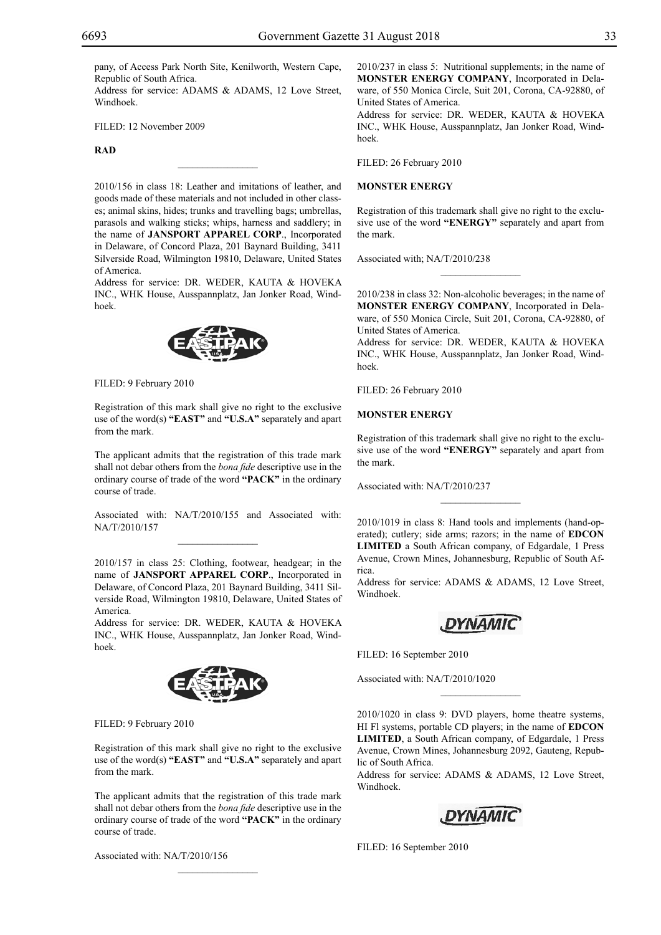pany, of Access Park North Site, Kenilworth, Western Cape, Republic of South Africa.

Address for service: ADAMS & ADAMS, 12 Love Street, Windhoek.

Filed: 12 November 2009

#### **RAD**

2010/156 in class 18: Leather and imitations of leather, and goods made of these materials and not included in other classes; animal skins, hides; trunks and travelling bags; umbrellas, parasols and walking sticks; whips, harness and saddlery; in the name of **JANSPORT APPAREL CORP**., Incorporated in Delaware, of Concord Plaza, 201 Baynard Building, 3411 Silverside Road, Wilmington 19810, Delaware, United States of America.

 $\overline{\phantom{a}}$  , where  $\overline{\phantom{a}}$ 

Address for service: DR. WEDER, KAUTA & HOVEKA Inc., WHK House, Ausspannplatz, Jan Jonker Road, Windhoek.

![](_page_32_Picture_8.jpeg)

FILED: 9 February 2010

Registration of this mark shall give no right to the exclusive use of the word(s) **"EAST"** and **"U.S.A"** separately and apart from the mark.

The applicant admits that the registration of this trade mark shall not debar others from the *bona fide* descriptive use in the ordinary course of trade of the word **"PACK"** in the ordinary course of trade.

Associated with: NA/T/2010/155 and Associated with: NA/T/2010/157

2010/157 in class 25: Clothing, footwear, headgear; in the name of **JANSPORT APPAREL CORP**., Incorporated in Delaware, of Concord Plaza, 201 Baynard Building, 3411 Silverside Road, Wilmington 19810, Delaware, United States of America.

Address for service: DR. WEDER, KAUTA & HOVEKA Inc., WHK House, Ausspannplatz, Jan Jonker Road, Windhoek.

![](_page_32_Picture_15.jpeg)

Filed: 9 February 2010

Registration of this mark shall give no right to the exclusive use of the word(s) **"EAST"** and **"U.S.A"** separately and apart from the mark.

The applicant admits that the registration of this trade mark shall not debar others from the *bona fide* descriptive use in the ordinary course of trade of the word **"PACK"** in the ordinary course of trade.

 $\mathcal{L}=\mathcal{L}^{\mathcal{L}}$ 

Associated with: NA/T/2010/156

2010/237 in class 5: Nutritional supplements; in the name of **MONSTER ENERGY COMPANY**, Incorporated in Delaware, of 550 Monica Circle, Suit 201, Corona, CA-92880, of United States of America.

Address for service: DR. WEDER, KAUTA & HOVEKA Inc., WHK House, Ausspannplatz, Jan Jonker Road, Windhoek.

FILED: 26 February 2010

## **MONSTER ENERGY**

Registration of this trademark shall give no right to the exclusive use of the word **"ENERGY"** separately and apart from the mark.

Associated with; NA/T/2010/238

2010/238 in class 32: Non-alcoholic beverages; in the name of **MONSTER ENERGY COMPANY**, Incorporated in Delaware, of 550 Monica Circle, Suit 201, Corona, CA-92880, of United States of America.

 $\frac{1}{2}$ 

Address for service: DR. WEDER, KAUTA & HOVEKA Inc., WHK House, Ausspannplatz, Jan Jonker Road, Windhoek.

FILED: 26 February 2010

#### **MONSTER ENERGY**

Registration of this trademark shall give no right to the exclusive use of the word **"ENERGY"** separately and apart from the mark.

Associated with: NA/T/2010/237

2010/1019 in class 8: Hand tools and implements (hand-operated); cutlery; side arms; razors; in the name of **EDCON LIMITED** a South African company, of Edgardale, 1 Press Avenue, Crown Mines, Johannesburg, Republic of South Africa.

Address for service: ADAMS & ADAMS, 12 Love Street, Windhoek.

![](_page_32_Picture_34.jpeg)

Filed: 16 September 2010

Associated with: NA/T/2010/1020

2010/1020 in class 9: DVD players, home theatre systems, HI Fl systems, portable CD players; in the name of **EDCON LIMITED**, a South African company, of Edgardale, 1 Press Avenue, Crown Mines, Johannesburg 2092, Gauteng, Republic of South Africa.

Address for service: ADAMS & ADAMS, 12 Love Street, Windhoek.

![](_page_32_Picture_39.jpeg)

FILED: 16 September 2010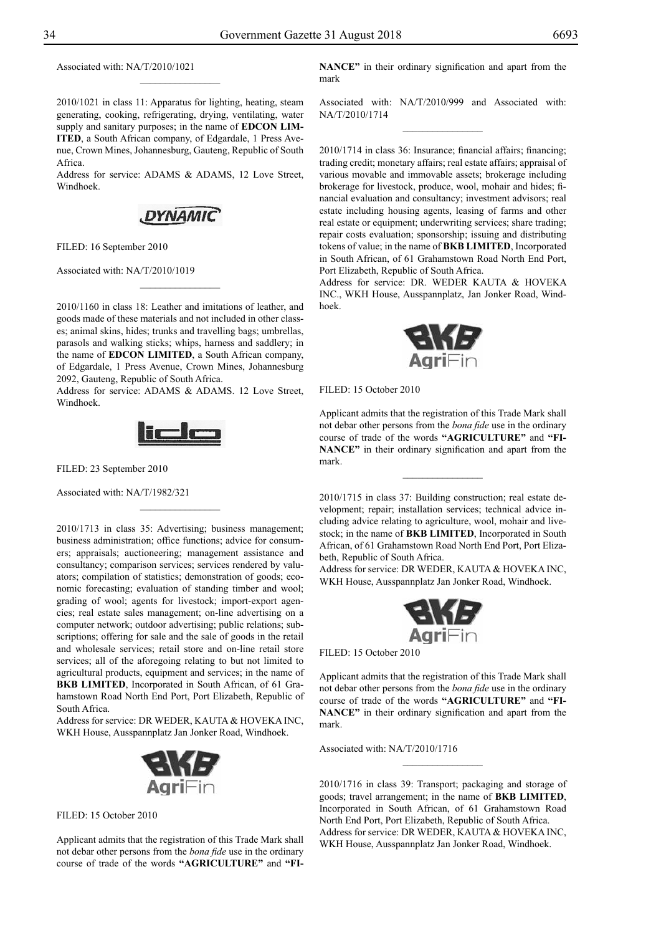Associated with: NA/T/2010/1021

2010/1021 in class 11: Apparatus for lighting, heating, steam generating, cooking, refrigerating, drying, ventilating, water supply and sanitary purposes; in the name of **EDCON LIM-ITED**, a South African company, of Edgardale, 1 Press Avenue, Crown Mines, Johannesburg, Gauteng, Republic of South Africa.

 $\frac{1}{2}$ 

Address for service: ADAMS & ADAMS, 12 Love Street, Windhoek.

![](_page_33_Picture_6.jpeg)

FILED: 16 September 2010

Associated with: NA/T/2010/1019

2010/1160 in class 18: Leather and imitations of leather, and goods made of these materials and not included in other classes; animal skins, hides; trunks and travelling bags; umbrellas, parasols and walking sticks; whips, harness and saddlery; in the name of **EDCON LIMITED**, a South African company, of Edgardale, 1 Press Avenue, Crown Mines, Johannesburg 2092, Gauteng, Republic of South Africa.

 $\overline{\phantom{a}}$  , where  $\overline{\phantom{a}}$ 

Address for service: ADAMS & ADAMS. 12 Love Street, Windhoek.

![](_page_33_Picture_11.jpeg)

 $\frac{1}{2}$ 

Filed: 23 September 2010

Associated with: NA/T/1982/321

2010/1713 in class 35: Advertising; business management; business administration; office functions; advice for consumers; appraisals; auctioneering; management assistance and consultancy; comparison services; services rendered by valuators; compilation of statistics; demonstration of goods; economic forecasting; evaluation of standing timber and wool; grading of wool; agents for livestock; import-export agencies; real estate sales management; on-line advertising on a computer network; outdoor advertising; public relations; subscriptions; offering for sale and the sale of goods in the retail and wholesale services; retail store and on-line retail store services; all of the aforegoing relating to but not limited to agricultural products, equipment and services; in the name of **BKB LIMITED**, Incorporated in South African, of 61 Grahamstown Road North End Port, Port Elizabeth, Republic of South Africa.

Address for service: DR WEDER, KAUTA & HOVEKA INC, WKH House, Ausspannplatz Jan Jonker Road, Windhoek.

![](_page_33_Picture_16.jpeg)

FILED: 15 October 2010

Applicant admits that the registration of this Trade Mark shall not debar other persons from the *bona fide* use in the ordinary course of trade of the words **"AGRICULTURE"** and **"FI-** **NANCE"** in their ordinary signification and apart from the mark

Associated with: NA/T/2010/999 and Associated with: NA/T/2010/1714  $\frac{1}{2}$ 

2010/1714 in class 36: Insurance; financial affairs; financing; trading credit; monetary affairs; real estate affairs; appraisal of various movable and immovable assets; brokerage including brokerage for livestock, produce, wool, mohair and hides; financial evaluation and consultancy; investment advisors; real estate including housing agents, leasing of farms and other real estate or equipment; underwriting services; share trading; repair costs evaluation; sponsorship; issuing and distributing tokens of value; in the name of **BKB LIMITED**, Incorporated in South African, of 61 Grahamstown Road North End Port, Port Elizabeth, Republic of South Africa.

Address for service: DR. WEDER KAUTA & HOVEKA Inc., WKH House, Ausspannplatz, Jan Jonker Road, Windhoek.

![](_page_33_Picture_23.jpeg)

FILED: 15 October 2010

Applicant admits that the registration of this Trade Mark shall not debar other persons from the *bona fide* use in the ordinary course of trade of the words **"AGRICULTURE"** and **"FI-NANCE"** in their ordinary signification and apart from the mark.

 $\overline{\phantom{a}}$  , where  $\overline{\phantom{a}}$ 

2010/1715 in class 37: Building construction; real estate development; repair; installation services; technical advice including advice relating to agriculture, wool, mohair and livestock; in the name of **BKB LIMITED**, Incorporated in South African, of 61 Grahamstown Road North End Port, Port Elizabeth, Republic of South Africa.

Address for service: DR WEDER, KAUTA & HOVEKA INC, WKH House, Ausspannplatz Jan Jonker Road, Windhoek.

![](_page_33_Picture_28.jpeg)

FILED: 15 October 2010

Applicant admits that the registration of this Trade Mark shall not debar other persons from the *bona fide* use in the ordinary course of trade of the words **"AGRICULTURE"** and **"FI-NANCE"** in their ordinary signification and apart from the mark.

Associated with: NA/T/2010/1716

2010/1716 in class 39: Transport; packaging and storage of goods; travel arrangement; in the name of **BKB LIMITED**, Incorporated in South African, of 61 Grahamstown Road North End Port, Port Elizabeth, Republic of South Africa. Address for service: DR WEDER, KAUTA & HOVEKA INC, WKH House, Ausspannplatz Jan Jonker Road, Windhoek.

 $\frac{1}{2}$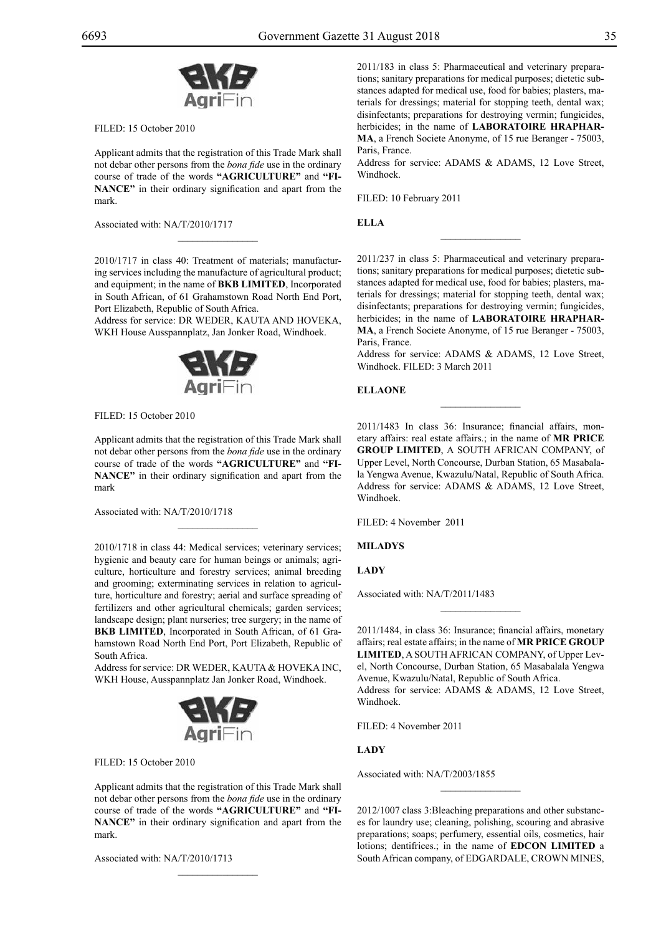![](_page_34_Picture_3.jpeg)

Filed: 15 October 2010

Applicant admits that the registration of this Trade Mark shall not debar other persons from the *bona fide* use in the ordinary course of trade of the words **"AGRICULTURE"** and **"FI-NANCE"** in their ordinary signification and apart from the mark.

Associated with: NA/T/2010/1717

2010/1717 in class 40: Treatment of materials; manufacturing services including the manufacture of agricultural product; and equipment; in the name of **BKB LIMITED**, Incorporated in South African, of 61 Grahamstown Road North End Port, Port Elizabeth, Republic of South Africa.

 $\overline{\phantom{a}}$  , where  $\overline{\phantom{a}}$ 

Address for service: DR WEDER, KAUTA AND HOVEKA, WKH House Ausspannplatz, Jan Jonker Road, Windhoek.

![](_page_34_Picture_9.jpeg)

FILED: 15 October 2010

Applicant admits that the registration of this Trade Mark shall not debar other persons from the *bona fide* use in the ordinary course of trade of the words **"AGRICULTURE"** and **"FI-NANCE"** in their ordinary signification and apart from the mark

 $\mathcal{L}=\mathcal{L}^{\mathcal{L}}$ 

Associated with: NA/T/2010/1718

2010/1718 in class 44: Medical services; veterinary services; hygienic and beauty care for human beings or animals; agriculture, horticulture and forestry services; animal breeding and grooming; exterminating services in relation to agriculture, horticulture and forestry; aerial and surface spreading of fertilizers and other agricultural chemicals; garden services; landscape design; plant nurseries; tree surgery; in the name of **BKB LIMITED**, Incorporated in South African, of 61 Grahamstown Road North End Port, Port Elizabeth, Republic of South Africa.

Address for service: DR WEDER, KAUTA & HOVEKA INC, WKH House, Ausspannplatz Jan Jonker Road, Windhoek.

![](_page_34_Picture_15.jpeg)

FILED: 15 October 2010

Applicant admits that the registration of this Trade Mark shall not debar other persons from the *bona fide* use in the ordinary course of trade of the words **"AGRICULTURE"** and **"FI-NANCE"** in their ordinary signification and apart from the mark.

Associated with: NA/T/2010/1713

2011/183 in class 5: Pharmaceutical and veterinary preparations; sanitary preparations for medical purposes; dietetic substances adapted for medical use, food for babies; plasters, materials for dressings; material for stopping teeth, dental wax; disinfectants; preparations for destroying vermin; fungicides, herbicides; in the name of **LABORATOIRE HRAPHAR-MA**, a French Societe Anonyme, of 15 rue Beranger - 75003, Paris, France.

Address for service: ADAMS & ADAMS, 12 Love Street, Windhoek.

 $\overline{\phantom{a}}$  , we can also the set of  $\overline{\phantom{a}}$ 

FILED: 10 February 2011

**ELLA**

2011/237 in class 5: Pharmaceutical and veterinary preparations; sanitary preparations for medical purposes; dietetic substances adapted for medical use, food for babies; plasters, materials for dressings; material for stopping teeth, dental wax; disinfectants; preparations for destroying vermin; fungicides, herbicides; in the name of **LABORATOIRE HRAPHAR-MA**, a French Societe Anonyme, of 15 rue Beranger - 75003, Paris, France.

Address for service: ADAMS & ADAMS, 12 Love Street, Windhoek. FILED: 3 March 2011

 $\frac{1}{2}$ 

## **ELLAONE**

2011/1483 In class 36: Insurance; financial affairs, monetary affairs: real estate affairs.; in the name of **Mr Price Group Limited**, A SOUTH AFRICAN COMPANY, of Upper Level, North Concourse, Durban Station, 65 Masabalala Yengwa Avenue, Kwazulu/Natal, Republic of South Africa. Address for service: ADAMS & ADAMS, 12 Love Street, Windhoek.

Filed: 4 November 2011

**MILADYS**

**LADY**

Associated with: NA/T/2011/1483

2011/1484, in class 36: Insurance; financial affairs, monetary affairs; real estate affairs; in the name of **Mr Price Group Limited**, A SOUTH AFRICAN COMPANY, of Upper Level, North Concourse, Durban Station, 65 Masabalala Yengwa Avenue, Kwazulu/Natal, Republic of South Africa. Address for service: ADAMS & ADAMS, 12 Love Street, Windhoek.

 $\overline{\phantom{a}}$  , we can also the set of  $\overline{\phantom{a}}$ 

Filed: 4 November 2011

## **LADY**

Associated with: NA/T/2003/1855

2012/1007 class 3:Bleaching preparations and other substances for laundry use; cleaning, polishing, scouring and abrasive preparations; soaps; perfumery, essential oils, cosmetics, hair lotions; dentifrices.; in the name of **EDCON LIMITED** a South African company, of EDGARDALE, CROWN MINES,

 $\frac{1}{2}$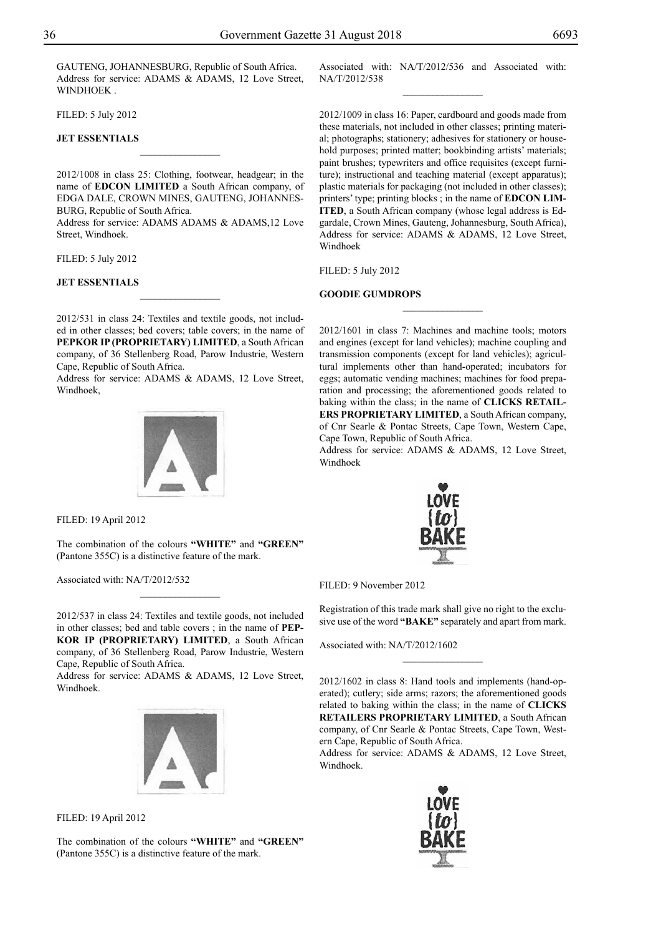GAUTENG, JOHANNESBURG, Republic of South Africa. Address for service: ADAMS & ADAMS, 12 Love Street, WINDHOEK .

Filed: 5 July 2012

## **JET ESSENTIALS**

2012/1008 in class 25: Clothing, footwear, headgear; in the name of **EDCON LIMITED** a South African company, of EDGA DALE, CROWN MINES, GAUTENG, JOHANNES-BURG, Republic of South Africa.

 $\frac{1}{2}$ 

Address for service: ADAMS ADAMS & ADAMS,12 Love Street, Windhoek.

Filed: 5 July 2012

#### **JET ESSENTIALS**

2012/531 in class 24: Textiles and textile goods, not included in other classes; bed covers; table covers; in the name of **PEPKOR IP (PROPRIETARY) LIMITED**, a South African company, of 36 Stellenberg Road, Parow Industrie, Western Cape, Republic of South Africa.

 $\overline{\phantom{a}}$  , where  $\overline{\phantom{a}}$ 

Address for service: ADAMS & ADAMS, 12 Love Street, Windhoek,

![](_page_35_Picture_11.jpeg)

Filed: 19 April 2012

The combination of the colours **"WHITE"** and **"GREEN"** (Pantone 355C) is a distinctive feature of the mark.

 $\frac{1}{2}$ 

Associated with: NA/T/2012/532

2012/537 in class 24: Textiles and textile goods, not included in other classes; bed and table covers ; in the name of **PEP-KOR IP (PROPRIETARY) LIMITED**, a South African company, of 36 Stellenberg Road, Parow Industrie, Western Cape, Republic of South Africa.

Address for service: ADAMS & ADAMS, 12 Love Street, Windhoek.

![](_page_35_Picture_17.jpeg)

Filed: 19 April 2012

The combination of the colours **"WHITE"** and **"GREEN"** (Pantone 355C) is a distinctive feature of the mark.

Associated with: NA/T/2012/536 and Associated with: NA/T/2012/538  $\frac{1}{2}$ 

2012/1009 in class 16: Paper, cardboard and goods made from these materials, not included in other classes; printing material; photographs; stationery; adhesives for stationery or household purposes; printed matter; bookbinding artists' materials; paint brushes; typewriters and office requisites (except furniture); instructional and teaching material (except apparatus); plastic materials for packaging (not included in other classes); printers' type; printing blocks ; in the name of **EDCON LIM-ITED**, a South African company (whose legal address is Edgardale, Crown Mines, Gauteng, Johannesburg, South Africa), Address for service: ADAMS & ADAMS, 12 Love Street, Windhoek

Filed: 5 July 2012

## **GOODIE GUMDROPS**

2012/1601 in class 7: Machines and machine tools; motors and engines (except for land vehicles); machine coupling and transmission components (except for land vehicles); agricultural implements other than hand-operated; incubators for eggs; automatic vending machines; machines for food preparation and processing; the aforementioned goods related to baking within the class; in the name of **CLICKS RETAIL-ERS PROPRIETARY LIMITED**, a South African company, of Cnr Searle & Pontac Streets, Cape Town, Western Cape, Cape Town, Republic of South Africa.

 $\frac{1}{2}$ 

Address for service: ADAMS & ADAMS, 12 Love Street, Windhoek

![](_page_35_Picture_26.jpeg)

Filed: 9 November 2012

Registration of this trade mark shall give no right to the exclusive use of the word **"BAKE"** separately and apart from mark.

Associated with: NA/T/2012/1602

2012/1602 in class 8: Hand tools and implements (hand-operated); cutlery; side arms; razors; the aforementioned goods related to baking within the class; in the name of **CLICKS RETAILERS PROPRIETARY LIMITED**, a South African company, of Cnr Searle & Pontac Streets, Cape Town, Western Cape, Republic of South Africa.

Address for service: ADAMS & ADAMS, 12 Love Street, Windhoek.

![](_page_35_Picture_32.jpeg)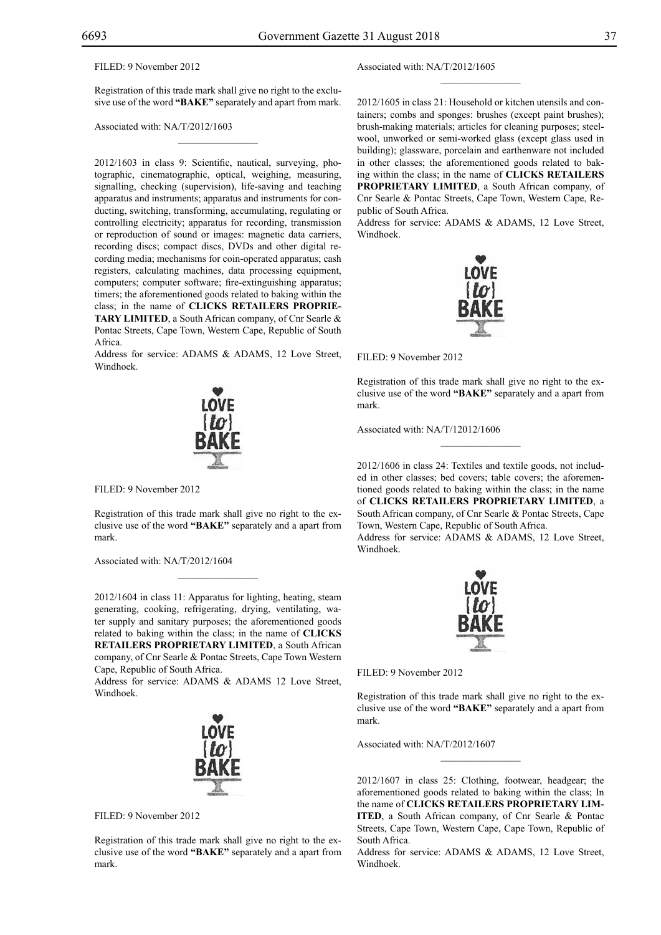## Filed: 9 November 2012

Registration of this trade mark shall give no right to the exclusive use of the word **"BAKE"** separately and apart from mark.

 $\mathcal{L}=\mathcal{L}^{\mathcal{L}}$ 

Associated with: NA/T/2012/1603

2012/1603 in class 9: Scientific, nautical, surveying, photographic, cinematographic, optical, weighing, measuring, signalling, checking (supervision), life-saving and teaching apparatus and instruments; apparatus and instruments for conducting, switching, transforming, accumulating, regulating or controlling electricity; apparatus for recording, transmission or reproduction of sound or images: magnetic data carriers, recording discs; compact discs, DVDs and other digital recording media; mechanisms for coin-operated apparatus; cash registers, calculating machines, data processing equipment, computers; computer software; fire-extinguishing apparatus; timers; the aforementioned goods related to baking within the class; in the name of **CLICKS RETAILERS PROPRIE-TARY LIMITED**, a South African company, of Cnr Searle & Pontac Streets, Cape Town, Western Cape, Republic of South Africa.

Address for service: ADAMS & ADAMS, 12 Love Street, Windhoek.

![](_page_36_Picture_8.jpeg)

FILED: 9 November 2012

Registration of this trade mark shall give no right to the exclusive use of the word **"BAKE"** separately and a apart from mark.

 $\overline{\phantom{a}}$  , where  $\overline{\phantom{a}}$ 

Associated with: NA/T/2012/1604

2012/1604 in class 11: Apparatus for lighting, heating, steam generating, cooking, refrigerating, drying, ventilating, water supply and sanitary purposes; the aforementioned goods related to baking within the class; in the name of **CLICKS RETAILERS PROPRIETARY LIMITED**, a South African company, of Cnr Searle & Pontac Streets, Cape Town Western Cape, Republic of South Africa.

Address for service: ADAMS & ADAMS 12 Love Street, Windhoek.

![](_page_36_Picture_14.jpeg)

Filed: 9 November 2012

Registration of this trade mark shall give no right to the exclusive use of the word **"BAKE"** separately and a apart from mark.

Associated with: NA/T/2012/1605

2012/1605 in class 21: Household or kitchen utensils and containers; combs and sponges: brushes (except paint brushes); brush-making materials; articles for cleaning purposes; steelwool, unworked or semi-worked glass (except glass used in building); glassware, porcelain and earthenware not included in other classes; the aforementioned goods related to baking within the class; in the name of **CLICKS RETAILERS PROPRIETARY LIMITED**, a South African company, of Cnr Searle & Pontac Streets, Cape Town, Western Cape, Republic of South Africa.

 $\frac{1}{2}$ 

Address for service: ADAMS & ADAMS, 12 Love Street, Windhoek.

![](_page_36_Picture_20.jpeg)

Filed: 9 November 2012

Registration of this trade mark shall give no right to the exclusive use of the word **"BAKE"** separately and a apart from mark.

 $\overline{\phantom{a}}$  , we can also the set of  $\overline{\phantom{a}}$ 

Associated with: NA/T/12012/1606

2012/1606 in class 24: Textiles and textile goods, not included in other classes; bed covers; table covers; the aforementioned goods related to baking within the class; in the name of **CLICKS RETAILERS PROPRIETARY LIMITED**, a South African company, of Cnr Searle & Pontac Streets, Cape Town, Western Cape, Republic of South Africa.

Address for service: ADAMS & ADAMS, 12 Love Street, Windhoek.

![](_page_36_Picture_26.jpeg)

FILED: 9 November 2012

Registration of this trade mark shall give no right to the exclusive use of the word **"BAKE"** separately and a apart from mark.

 $\frac{1}{2}$ 

Associated with: NA/T/2012/1607

2012/1607 in class 25: Clothing, footwear, headgear; the aforementioned goods related to baking within the class; In the name of **CLICKS RETAILERS PROPRIETARY LIM-ITED**, a South African company, of Cnr Searle & Pontac Streets, Cape Town, Western Cape, Cape Town, Republic of South Africa.

Address for service: ADAMS & ADAMS, 12 Love Street, Windhoek.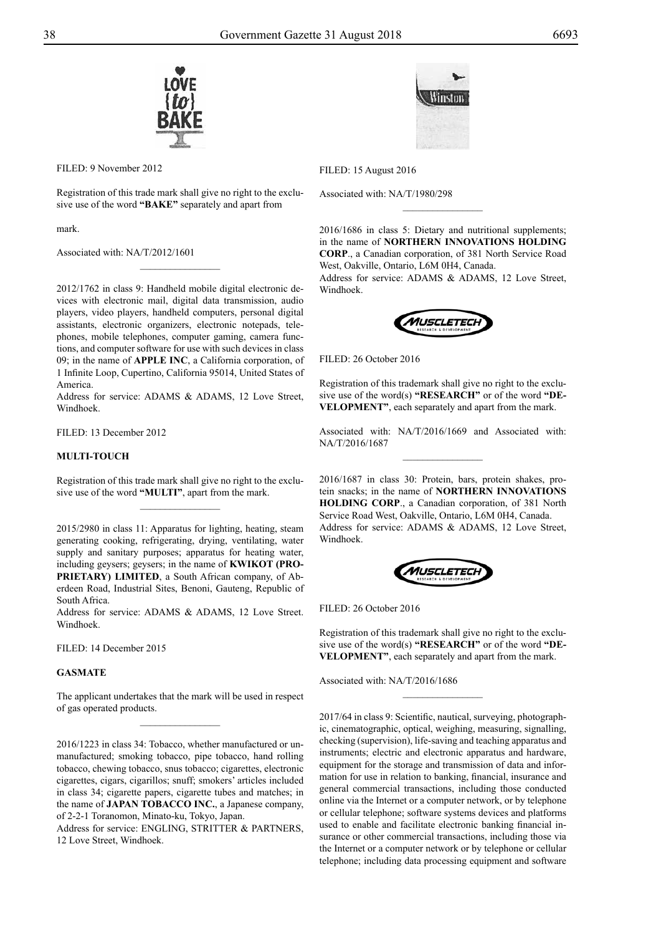![](_page_37_Picture_1.jpeg)

Filed: 9 November 2012

Registration of this trade mark shall give no right to the exclusive use of the word **"BAKE"** separately and apart from

 $\frac{1}{2}$ 

mark.

Associated with: NA/T/2012/1601

2012/1762 in class 9: Handheld mobile digital electronic devices with electronic mail, digital data transmission, audio players, video players, handheld computers, personal digital assistants, electronic organizers, electronic notepads, telephones, mobile telephones, computer gaming, camera functions, and computer software for use with such devices in class 09; in the name of **APPLE INC**, a California corporation, of 1 Infinite Loop, Cupertino, California 95014, United States of America.

Address for service: ADAMS & ADAMS, 12 Love Street, Windhoek.

Filed: 13 December 2012

## **MULTI-TOUCH**

Registration of this trade mark shall give no right to the exclusive use of the word **"MULTI"**, apart from the mark.  $\frac{1}{2}$ 

2015/2980 in class 11: Apparatus for lighting, heating, steam generating cooking, refrigerating, drying, ventilating, water supply and sanitary purposes; apparatus for heating water, including geysers; geysers; in the name of **KWIKOT (PRO-PRIETARY) LIMITED**, a South African company, of Aberdeen Road, Industrial Sites, Benoni, Gauteng, Republic of South Africa.

Address for service: ADAMS & ADAMS, 12 Love Street. Windhoek.

Filed: 14 December 2015

## **GASMATE**

The applicant undertakes that the mark will be used in respect of gas operated products.  $\overline{\phantom{a}}$  , where  $\overline{\phantom{a}}$ 

2016/1223 in class 34: Tobacco, whether manufactured or unmanufactured; smoking tobacco, pipe tobacco, hand rolling tobacco, chewing tobacco, snus tobacco; cigarettes, electronic cigarettes, cigars, cigarillos; snuff; smokers' articles included in class 34; cigarette papers, cigarette tubes and matches; in the name of **JAPAN TOBACCO INC.**, a Japanese company, of 2-2-1 Toranomon, Minato-ku, Tokyo, Japan.

Address for service: ENGLING, STRITTER & PARTNERS, 12 Love Street, Windhoek.

![](_page_37_Picture_18.jpeg)

Filed: 15 August 2016

Associated with: NA/T/1980/298

2016/1686 in class 5: Dietary and nutritional supplements; in the name of **NORTHERN INNOVATIONS HOLDING CORP**., a Canadian corporation, of 381 North Service Road West, Oakville, Ontario, L6M 0H4, Canada.

 $\frac{1}{2}$ 

Address for service: ADAMS & ADAMS, 12 Love Street, Windhoek.

![](_page_37_Picture_23.jpeg)

FILED: 26 October 2016

Registration of this trademark shall give no right to the exclusive use of the word(s) **"RESEARCH"** or of the word **"DE-VELOPMENT"**, each separately and apart from the mark.

Associated with: NA/T/2016/1669 and Associated with: NA/T/2016/1687  $\frac{1}{2}$ 

2016/1687 in class 30: Protein, bars, protein shakes, protein snacks; in the name of **NORTHERN INNOVATIONS HOLDING CORP**., a Canadian corporation, of 381 North Service Road West, Oakville, Ontario, L6M 0H4, Canada. Address for service: ADAMS & ADAMS, 12 Love Street, Windhoek.

![](_page_37_Picture_28.jpeg)

FILED: 26 October 2016

Registration of this trademark shall give no right to the exclusive use of the word(s) **"RESEARCH"** or of the word **"DE-VELOPMENT"**, each separately and apart from the mark.

 $\frac{1}{2}$ 

Associated with: NA/T/2016/1686

2017/64 in class 9: Scientific, nautical, surveying, photographic, cinematographic, optical, weighing, measuring, signalling, checking (supervision), life-saving and teaching apparatus and instruments; electric and electronic apparatus and hardware, equipment for the storage and transmission of data and information for use in relation to banking, financial, insurance and general commercial transactions, including those conducted online via the Internet or a computer network, or by telephone or cellular telephone; software systems devices and platforms used to enable and facilitate electronic banking financial insurance or other commercial transactions, including those via the Internet or a computer network or by telephone or cellular telephone; including data processing equipment and software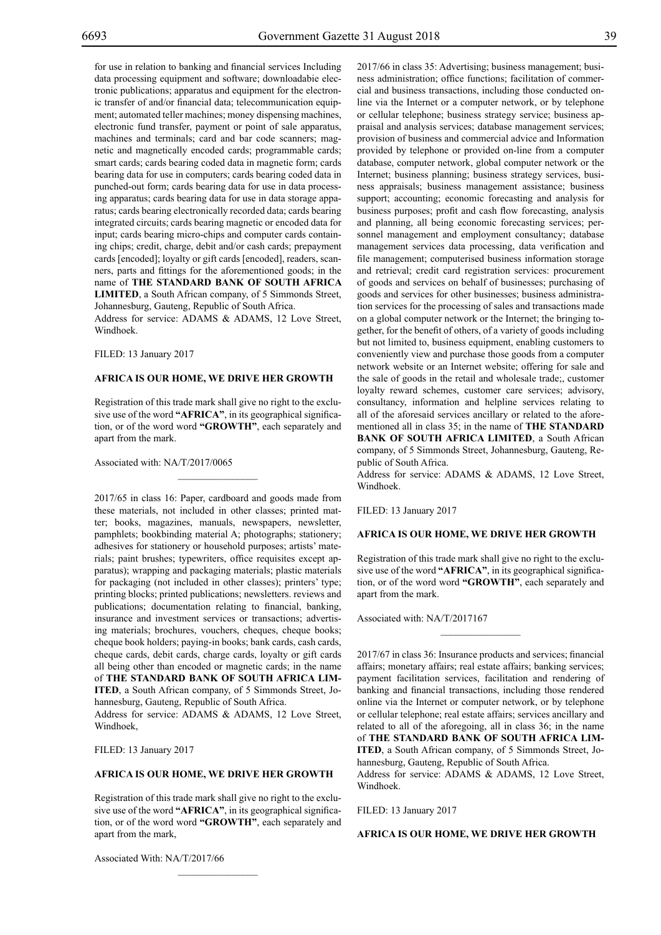for use in relation to banking and financial services Including data processing equipment and software; downloadabie electronic publications; apparatus and equipment for the electronic transfer of and/or financial data; telecommunication equipment; automated teller machines; money dispensing machines, electronic fund transfer, payment or point of sale apparatus, machines and terminals; card and bar code scanners; magnetic and magnetically encoded cards; programmable cards; smart cards; cards bearing coded data in magnetic form; cards bearing data for use in computers; cards bearing coded data in punched-out form; cards bearing data for use in data processing apparatus; cards bearing data for use in data storage apparatus; cards bearing electronically recorded data; cards bearing integrated circuits; cards bearing magnetic or encoded data for input; cards bearing micro-chips and computer cards containing chips; credit, charge, debit and/or cash cards; prepayment cards [encoded]; loyalty or gift cards [encoded], readers, scanners, parts and fittings for the aforementioned goods; in the name of **THE STANDARD BANK OF SOUTH AFRICA LIMITED**, a South African company, of 5 Simmonds Street, Johannesburg, Gauteng, Republic of South Africa.

Address for service: ADAMS & ADAMS, 12 Love Street, Windhoek.

FILED: 13 January 2017

#### **AFRICA IS OUR HOME, WE DRIVE HER GROWTH**

Registration of this trade mark shall give no right to the exclusive use of the word **"AFRICA"**, in its geographical signification, or of the word word **"GROWTH"**, each separately and apart from the mark.

 $\mathcal{L}=\mathcal{L}^{\mathcal{L}}$ 

Associated with: NA/T/2017/0065

2017/65 in class 16: Paper, cardboard and goods made from these materials, not included in other classes; printed matter; books, magazines, manuals, newspapers, newsletter, pamphlets; bookbinding material A; photographs; stationery; adhesives for stationery or household purposes; artists' materials; paint brushes; typewriters, office requisites except apparatus); wrapping and packaging materials; plastic materials for packaging (not included in other classes); printers' type; printing blocks; printed publications; newsletters. reviews and publications; documentation relating to financial, banking, insurance and investment services or transactions; advertising materials; brochures, vouchers, cheques, cheque books; cheque book holders; paying-in books; bank cards, cash cards, cheque cards, debit cards, charge cards, loyalty or gift cards all being other than encoded or magnetic cards; in the name of **THE STANDARD BANK OF SOUTH AFRICA LIM-ITED**, a South African company, of 5 Simmonds Street, Johannesburg, Gauteng, Republic of South Africa.

Address for service: ADAMS & ADAMS, 12 Love Street, Windhoek,

Filed: 13 January 2017

## **AFRICA IS OUR HOME, WE DRIVE HER GROWTH**

Registration of this trade mark shall give no right to the exclusive use of the word **"AFRICA"**, in its geographical signification, or of the word word **"GROWTH"**, each separately and apart from the mark,

 $\mathcal{L}=\mathcal{L}^{\mathcal{L}}$ 

Associated With: NA/T/2017/66

2017/66 in class 35: Advertising; business management; business administration; office functions; facilitation of commercial and business transactions, including those conducted online via the Internet or a computer network, or by telephone or cellular telephone; business strategy service; business appraisal and analysis services; database management services; provision of business and commercial advice and Information provided by telephone or provided on-line from a computer database, computer network, global computer network or the Internet; business planning; business strategy services, business appraisals; business management assistance; business support; accounting; economic forecasting and analysis for business purposes; profit and cash flow forecasting, analysis and planning, all being economic forecasting services; personnel management and employment consultancy; database management services data processing, data verification and file management; computerised business information storage and retrieval; credit card registration services: procurement of goods and services on behalf of businesses; purchasing of goods and services for other businesses; business administration services for the processing of sales and transactions made on a global computer network or the Internet; the bringing together, for the benefit of others, of a variety of goods including but not limited to, business equipment, enabling customers to conveniently view and purchase those goods from a computer network website or an Internet website; offering for sale and the sale of goods in the retail and wholesale trade;, customer loyalty reward schemes, customer care services; advisory, consultancy, information and helpline services relating to all of the aforesaid services ancillary or related to the aforementioned all in class 35; in the name of **THE STANDARD BANK OF SOUTH AFRICA LIMITED**, a South African company, of 5 Simmonds Street, Johannesburg, Gauteng, Republic of South Africa.

Address for service: ADAMS & ADAMS, 12 Love Street, Windhoek.

Filed: 13 January 2017

## **AFRICA IS OUR HOME, WE DRIVE HER GROWTH**

Registration of this trade mark shall give no right to the exclusive use of the word **"AFRICA"**, in its geographical signification, or of the word word **"GROWTH"**, each separately and apart from the mark.

 $\frac{1}{2}$ 

Associated with: NA/T/2017167

2017/67 in class 36: Insurance products and services; financial affairs; monetary affairs; real estate affairs; banking services; payment facilitation services, facilitation and rendering of banking and financial transactions, including those rendered online via the Internet or computer network, or by telephone or cellular telephone; real estate affairs; services ancillary and related to all of the aforegoing, all in class 36; in the name of **THE STANDARD BANK OF SOUTH AFRICA LIM-ITED**, a South African company, of 5 Simmonds Street, Johannesburg, Gauteng, Republic of South Africa.

Address for service: ADAMS & ADAMS, 12 Love Street, Windhoek.

Filed: 13 January 2017

#### **AFRICA IS OUR HOME, WE DRIVE HER GROWTH**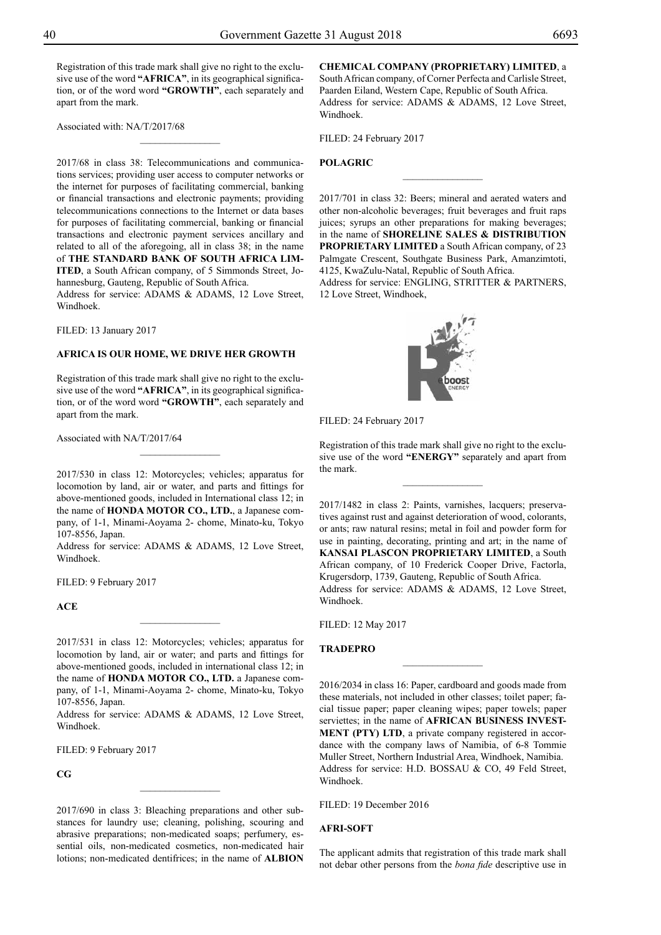Registration of this trade mark shall give no right to the exclusive use of the word **"AFRICA"**, in its geographical signification, or of the word word **"GROWTH"**, each separately and apart from the mark.

 $\frac{1}{2}$ 

Associated with: NA/T/2017/68

2017/68 in class 38: Telecommunications and communications services; providing user access to computer networks or the internet for purposes of facilitating commercial, banking or financial transactions and electronic payments; providing telecommunications connections to the Internet or data bases for purposes of facilitating commercial, banking or financial transactions and electronic payment services ancillary and related to all of the aforegoing, all in class 38; in the name of **THE STANDARD BANK OF SOUTH AFRICA LIM-ITED**, a South African company, of 5 Simmonds Street, Johannesburg, Gauteng, Republic of South Africa.

Address for service: ADAMS & ADAMS, 12 Love Street, Windhoek.

FILED: 13 January 2017

#### **AFRICA IS OUR HOME, WE DRIVE HER GROWTH**

Registration of this trade mark shall give no right to the exclusive use of the word **"AFRICA"**, in its geographical signification, or of the word word **"GROWTH"**, each separately and apart from the mark.

 $\frac{1}{2}$ 

Associated with NA/T/2017/64

2017/530 in class 12: Motorcycles; vehicles; apparatus for locomotion by land, air or water, and parts and fittings for above-mentioned goods, included in International class 12; in the name of **HONDA MOTOR CO., LTD.**, a Japanese company, of 1-1, Minami-Aoyama 2- chome, Minato-ku, Tokyo 107-8556, Japan.

Address for service: ADAMS & ADAMS, 12 Love Street, Windhoek.

FILED: 9 February 2017

**ACE**

2017/531 in class 12: Motorcycles; vehicles; apparatus for locomotion by land, air or water; and parts and fittings for above-mentioned goods, included in international class 12; in the name of **HONDA MOTOR CO., LTD.** a Japanese company, of 1-1, Minami-Aoyama 2- chome, Minato-ku, Tokyo 107-8556, Japan.

Address for service: ADAMS & ADAMS, 12 Love Street, Windhoek.

FILED: 9 February 2017

**CG**

2017/690 in class 3: Bleaching preparations and other substances for laundry use; cleaning, polishing, scouring and abrasive preparations; non-medicated soaps; perfumery, essential oils, non-medicated cosmetics, non-medicated hair lotions; non-medicated dentifrices; in the name of **ALBION** 

 $\frac{1}{2}$ 

**CHEMICAL COMPANY (PROPRIETARY) LIMITED**, a South African company, of Corner Perfecta and Carlisle Street, Paarden Eiland, Western Cape, Republic of South Africa. Address for service: ADAMS & ADAMS, 12 Love Street, Windhoek.

Filed: 24 February 2017

## **POLAGRIC**

2017/701 in class 32: Beers; mineral and aerated waters and other non-alcoholic beverages; fruit beverages and fruit raps juices; syrups an other preparations for making beverages; in the name of **SHORELINE SALES & DISTRIBUTION PROPRIETARY LIMITED** a South African company, of 23 Palmgate Crescent, Southgate Business Park, Amanzimtoti, 4125, KwaZulu-Natal, Republic of South Africa.

 $\overline{\phantom{a}}$  , where  $\overline{\phantom{a}}$ 

Address for service: ENGLING, STRITTER & PARTNERS, 12 Love Street, Windhoek,

![](_page_39_Picture_23.jpeg)

FILED: 24 February 2017

Registration of this trade mark shall give no right to the exclusive use of the word **"ENERGY"** separately and apart from the mark.

 $\overline{\phantom{a}}$  , where  $\overline{\phantom{a}}$ 

2017/1482 in class 2: Paints, varnishes, lacquers; preservatives against rust and against deterioration of wood, colorants, or ants; raw natural resins; metal in foil and powder form for use in painting, decorating, printing and art; in the name of **KANSAI PLASCON PROPRIETARY LIMITED**, a South African company, of 10 Frederick Cooper Drive, Factorla, Krugersdorp, 1739, Gauteng, Republic of South Africa. Address for service: ADAMS & ADAMS, 12 Love Street, Windhoek.

Filed: 12 May 2017

## **TRADEPRO**

2016/2034 in class 16: Paper, cardboard and goods made from these materials, not included in other classes; toilet paper; facial tissue paper; paper cleaning wipes; paper towels; paper serviettes; in the name of **AFRICAN BUSINESS INVEST-MENT (PTY) LTD**, a private company registered in accordance with the company laws of Namibia, of 6-8 Tommie Muller Street, Northern Industrial Area, Windhoek, Namibia. Address for service: H.D. BOSSAU & CO, 49 Feld Street, Windhoek.

 $\frac{1}{2}$ 

Filed: 19 December 2016

#### **AFRI-SOFT**

The applicant admits that registration of this trade mark shall not debar other persons from the *bona fide* descriptive use in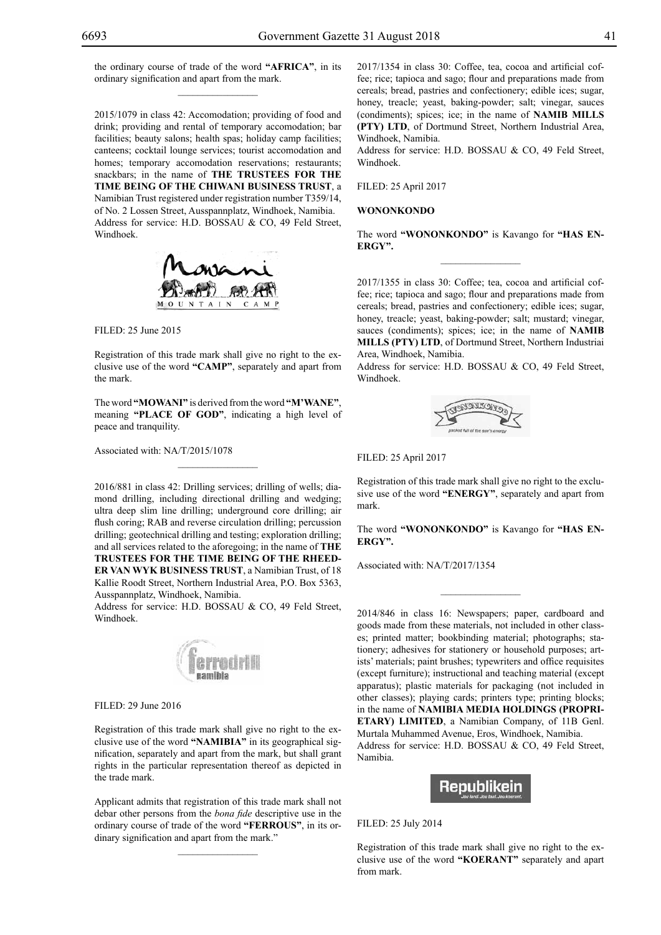2015/1079 in class 42: Accomodation; providing of food and drink; providing and rental of temporary accomodation; bar facilities; beauty salons; health spas; holiday camp facilities; canteens; cocktail lounge services; tourist accomodation and homes; temporary accomodation reservations; restaurants; snackbars; in the name of **THE TRUSTEES FOR THE TIME BEING OF THE CHIWANI BUSINESS TRUST**, a Namibian Trust registered under registration number T359/14, of No. 2 Lossen Street, Ausspannplatz, Windhoek, Namibia. Address for service: H.D. BOSSAU & CO, 49 Feld Street, Windhoek.

![](_page_40_Picture_4.jpeg)

Filed: 25 June 2015

Registration of this trade mark shall give no right to the exclusive use of the word **"CAMP"**, separately and apart from the mark.

The word **"MOWANI"** is derived from the word **"M'WANE"**, meaning **"PLACE OF GOD"**, indicating a high level of peace and tranquility.

 $\overline{\phantom{a}}$  , where  $\overline{\phantom{a}}$ 

Associated with: NA/T/2015/1078

2016/881 in class 42: Drilling services; drilling of wells; diamond drilling, including directional drilling and wedging; ultra deep slim line drilling; underground core drilling; air flush coring; RAB and reverse circulation drilling; percussion drilling; geotechnical drilling and testing; exploration drilling; and all services related to the aforegoing; in the name of **THE TRUSTEES FOR THE TIME BEING OF THE RHEED-ER VAN WYK BUSINESS TRUST**, a Namibian Trust, of 18 Kallie Roodt Street, Northern Industrial Area, P.O. Box 5363, Ausspannplatz, Windhoek, Namibia.

Address for service: H.D. BOSSAU & CO, 49 Feld Street, Windhoek.

![](_page_40_Picture_11.jpeg)

Filed: 29 June 2016

Registration of this trade mark shall give no right to the exclusive use of the word **"NAMIBIA"** in its geographical signification, separately and apart from the mark, but shall grant rights in the particular representation thereof as depicted in the trade mark.

Applicant admits that registration of this trade mark shall not debar other persons from the *bona fide* descriptive use in the ordinary course of trade of the word **"FERROUS"**, in its ordinary signification and apart from the mark."

 $\mathcal{L}=\mathcal{L}^{\mathcal{L}}$ 

2017/1354 in class 30: Coffee, tea, cocoa and artificial coffee; rice; tapioca and sago; flour and preparations made from cereals; bread, pastries and confectionery; edible ices; sugar, honey, treacle; yeast, baking-powder; salt; vinegar, sauces (condiments); spices; ice; in the name of **NAMIB MILLS (PTY) LTD**, of Dortmund Street, Northern Industrial Area, Windhoek, Namibia.

Address for service: H.D. BOSSAU & CO, 49 Feld Street, Windhoek.

Filed: 25 April 2017

## **WONONKONDO**

The word **"WONONKONDO"** is Kavango for **"has energy".**  $\frac{1}{2}$ 

2017/1355 in class 30: Coffee; tea, cocoa and artificial coffee; rice; tapioca and sago; flour and preparations made from cereals; bread, pastries and confectionery; edible ices; sugar, honey, treacle; yeast, baking-powder; salt; mustard; vinegar, sauces (condiments); spices; ice; in the name of **NAMIB MILLS (PTY) LTD**, of Dortmund Street, Northern Industriai Area, Windhoek, Namibia.

Address for service: H.D. BOSSAU & CO, 49 Feld Street, Windhoek.

![](_page_40_Picture_22.jpeg)

## Filed: 25 April 2017

Registration of this trade mark shall give no right to the exclusive use of the word **"ENERGY"**, separately and apart from mark.

The word **"WONONKONDO"** is Kavango for **"has energy".**

 $\frac{1}{2}$ 

Associated with: NA/T/2017/1354

2014/846 in class 16: Newspapers; paper, cardboard and goods made from these materials, not included in other classes; printed matter; bookbinding material; photographs; stationery; adhesives for stationery or household purposes; artists' materials; paint brushes; typewriters and office requisites (except furniture); instructional and teaching material (except apparatus); plastic materials for packaging (not included in other classes); playing cards; printers type; printing blocks; in the name of **NAMIBIA MEDIA HOLDINGS (PROPRI-ETARY) LIMITED**, a Namibian Company, of 11B Genl. Murtala Muhammed Avenue, Eros, Windhoek, Namibia. Address for service: H.D. BOSSAU & CO, 49 Feld Street, Namibia.

![](_page_40_Picture_28.jpeg)

Filed: 25 July 2014

Registration of this trade mark shall give no right to the exclusive use of the word **"KOERANT"** separately and apart from mark.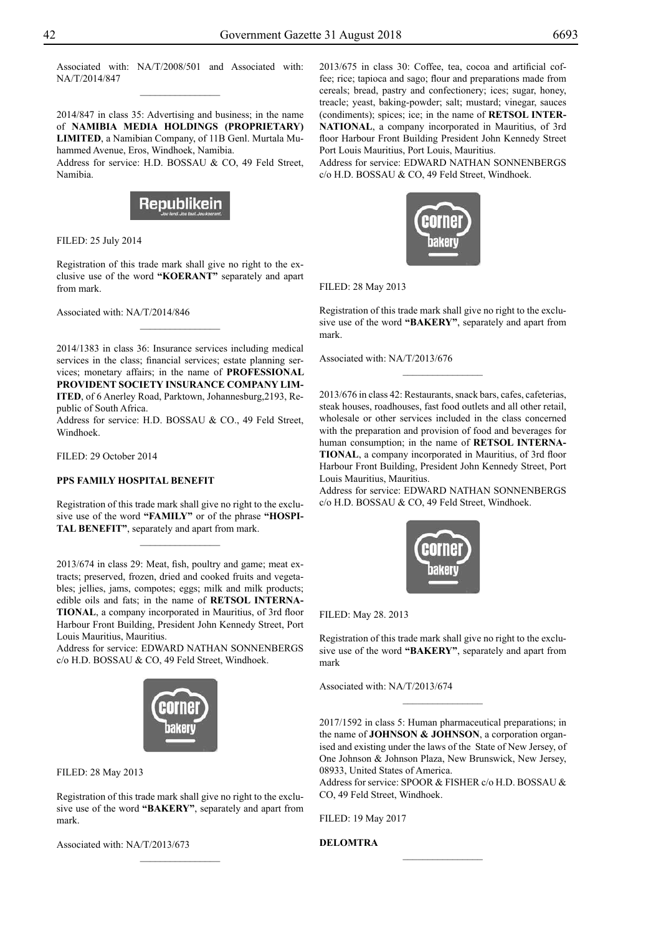Associated with: NA/T/2008/501 and Associated with: NA/T/2014/847  $\frac{1}{2}$ 

2014/847 in class 35: Advertising and business; in the name of **NAMIBIA MEDIA HOLDINGS (PROPRIETARY) LIMITED**, a Namibian Company, of 11B Genl. Murtala Muhammed Avenue, Eros, Windhoek, Namibia.

Address for service: H.D. BOSSAU & CO, 49 Feld Street, Namibia.

![](_page_41_Picture_5.jpeg)

Filed: 25 July 2014

Registration of this trade mark shall give no right to the exclusive use of the word **"KOERANT"** separately and apart from mark.

 $\frac{1}{2}$ 

Associated with: NA/T/2014/846

2014/1383 in class 36: Insurance services including medical services in the class; financial services; estate planning services; monetary affairs; in the name of **PROFESSIONAL PROVIDENT SOCIETY INSURANCE COMPANY LIM-ITED**, of 6 Anerley Road, Parktown, Johannesburg,2193, Republic of South Africa.

Address for service: H.D. BOSSAU & CO., 49 Feld Street, Windhoek.

Filed: 29 October 2014

## **PPS FAMILY HOSPITAL BENEFIT**

Registration of this trade mark shall give no right to the exclusive use of the word **"FAMILY"** or of the phrase **"HOSPI-TAL BENEFIT"**, separately and apart from mark.

 $\frac{1}{2}$ 

2013/674 in class 29: Meat, fish, poultry and game; meat extracts; preserved, frozen, dried and cooked fruits and vegetables; jellies, jams, compotes; eggs; milk and milk products; edible oils and fats; in the name of **RETSOL INTERNA-TIONAL**, a company incorporated in Mauritius, of 3rd floor Harbour Front Building, President John Kennedy Street, Port Louis Mauritius, Mauritius.

Address for service: EDWARD NATHAN SONNENBERGS c/o H.D. BOSSAU & CO, 49 Feld Street, Windhoek.

![](_page_41_Picture_16.jpeg)

Filed: 28 May 2013

Registration of this trade mark shall give no right to the exclusive use of the word **"BAKERY"**, separately and apart from mark.

Associated with: NA/T/2013/673

2013/675 in class 30: Coffee, tea, cocoa and artificial coffee; rice; tapioca and sago; flour and preparations made from cereals; bread, pastry and confectionery; ices; sugar, honey, treacle; yeast, baking-powder; salt; mustard; vinegar, sauces (condiments); spices; ice; in the name of **RETSOL INTER-NATIONAL**, a company incorporated in Mauritius, of 3rd floor Harbour Front Building President John Kennedy Street Port Louis Mauritius, Port Louis, Mauritius.

Address for service: EDWARD NATHAN SONNENBERGS c/o H.D. BOSSAU & CO, 49 Feld Street, Windhoek.

![](_page_41_Picture_22.jpeg)

Filed: 28 May 2013

Registration of this trade mark shall give no right to the exclusive use of the word **"BAKERY"**, separately and apart from mark.

 $\overline{\phantom{a}}$  , where  $\overline{\phantom{a}}$ 

Associated with: NA/T/2013/676

2013/676 in class 42: Restaurants, snack bars, cafes, cafeterias, steak houses, roadhouses, fast food outlets and all other retail, wholesale or other services included in the class concerned with the preparation and provision of food and beverages for human consumption; in the name of **RETSOL INTERNA-TIONAL**, a company incorporated in Mauritius, of 3rd floor Harbour Front Building, President John Kennedy Street, Port Louis Mauritius, Mauritius.

Address for service: EDWARD NATHAN SONNENBERGS c/o H.D. BOSSAU & CO, 49 Feld Street, Windhoek.

![](_page_41_Picture_28.jpeg)

Filed: May 28. 2013

Registration of this trade mark shall give no right to the exclusive use of the word **"BAKERY"**, separately and apart from mark

Associated with: NA/T/2013/674

2017/1592 in class 5: Human pharmaceutical preparations; in the name of **JOHNSON & JOHNSON**, a corporation organised and existing under the laws of the State of New Jersey, of One Johnson & Johnson Plaza, New Brunswick, New Jersey, 08933, United States of America.

 $\frac{1}{2}$ 

Address for service: SPOOR & FISHER c/o H.D. BOSSAU & Co, 49 Feld Street, Windhoek.

 $\frac{1}{2}$ 

Filed: 19 May 2017

**DELOMTRA**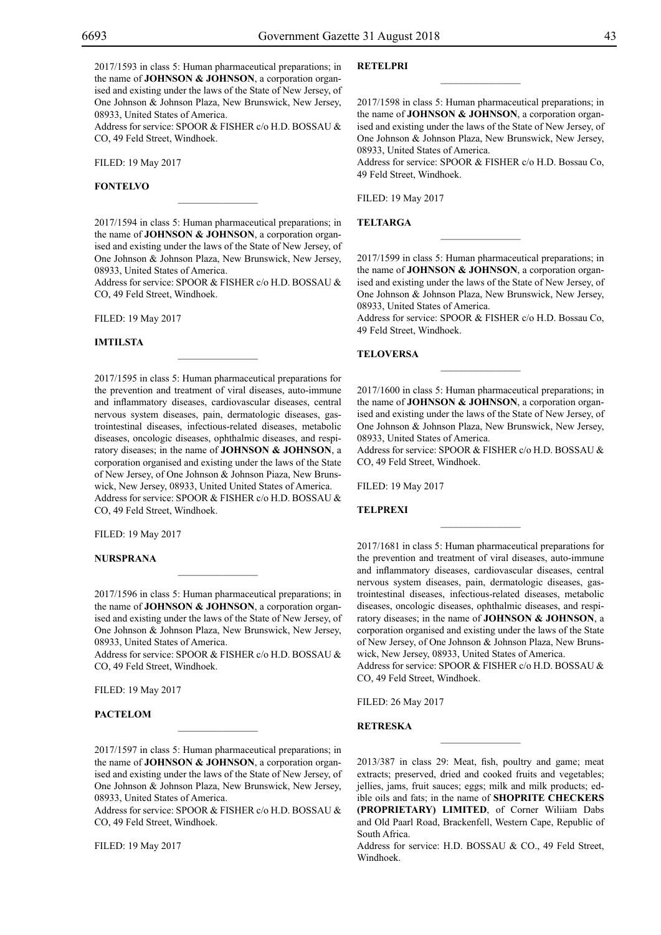2017/1593 in class 5: Human pharmaceutical preparations; in the name of **JOHNSON & JOHNSON**, a corporation organised and existing under the laws of the State of New Jersey, of One Johnson & Johnson Plaza, New Brunswick, New Jersey, 08933, United States of America.

Address for service: SPOOR & FISHER c/o H.D. BOSSAU & CO, 49 Feld Street, Windhoek.

Filed: 19 May 2017

## **FONTELVO**

2017/1594 in class 5: Human pharmaceutical preparations; in the name of **JOHNSON & JOHNSON**, a corporation organised and existing under the laws of the State of New Jersey, of One Johnson & Johnson Plaza, New Brunswick, New Jersey, 08933, United States of America.

 $\mathcal{L}=\mathcal{L}^{\mathcal{L}}$ 

Address for service: SPOOR & FISHER c/o H.D. BOSSAU & Co, 49 Feld Street, Windhoek.

 $\overline{\phantom{a}}$  , where  $\overline{\phantom{a}}$ 

Filed: 19 May 2017

#### **IMTILSTA**

2017/1595 in class 5: Human pharmaceutical preparations for the prevention and treatment of viral diseases, auto-immune and inflammatory diseases, cardiovascular diseases, central nervous system diseases, pain, dermatologic diseases, gastrointestinal diseases, infectious-related diseases, metabolic diseases, oncologic diseases, ophthalmic diseases, and respiratory diseases; in the name of **JOHNSON & JOHNSON**, a corporation organised and existing under the laws of the State of New Jersey, of One Johnson & Johnson Piaza, New Brunswick, New Jersey, 08933, United United States of America. Address for service: SPOOR & FISHER c/o H.D. BOSSAU & Co, 49 Feld Street, Windhoek.

Filed: 19 May 2017

#### **NURSPRANA**

2017/1596 in class 5: Human pharmaceutical preparations; in the name of **JOHNSON & JOHNSON**, a corporation organised and existing under the laws of the State of New Jersey, of One Johnson & Johnson Plaza, New Brunswick, New Jersey, 08933, United States of America.

 $\mathcal{L}=\mathcal{L}^{\mathcal{L}}$ 

Address for service: SPOOR & FISHER c/o H.D. BOSSAU & Co, 49 Feld Street, Windhoek.

Filed: 19 May 2017

## **PACTELOM**

2017/1597 in class 5: Human pharmaceutical preparations; in the name of **JOHNSON & JOHNSON**, a corporation organised and existing under the laws of the State of New Jersey, of One Johnson & Johnson Plaza, New Brunswick, New Jersey, 08933, United States of America.

 $\mathcal{L}=\mathcal{L}^{\mathcal{L}}$ 

Address for service: SPOOR & FISHER c/o H.D. BOSSAU & Co, 49 Feld Street, Windhoek.

Filed: 19 May 2017

## **RETELPRI**

2017/1598 in class 5: Human pharmaceutical preparations; in the name of **JOHNSON & JOHNSON**, a corporation organised and existing under the laws of the State of New Jersey, of One Johnson & Johnson Plaza, New Brunswick, New Jersey, 08933, United States of America.

 $\overline{\phantom{a}}$  , we can also the set of  $\overline{\phantom{a}}$ 

Address for service: SPOOR & FISHER c/o H.D. Bossau Co, 49 Feld Street, Windhoek.

Filed: 19 May 2017

#### **TELTARGA**

2017/1599 in class 5: Human pharmaceutical preparations; in the name of **JOHNSON & JOHNSON**, a corporation organised and existing under the laws of the State of New Jersey, of One Johnson & Johnson Plaza, New Brunswick, New Jersey, 08933, United States of America.

 $\frac{1}{2}$ 

Address for service: SPOOR & FISHER c/o H.D. Bossau Co, 49 Feld Street, Windhoek.

 $\frac{1}{2}$ 

#### **TELOVERSA**

2017/1600 in class 5: Human pharmaceutical preparations; in the name of **JOHNSON & JOHNSON**, a corporation organised and existing under the laws of the State of New Jersey, of One Johnson & Johnson Plaza, New Brunswick, New Jersey, 08933, United States of America.

Address for service: SPOOR & FISHER c/o H.D. BOSSAU & CO, 49 Feld Street, Windhoek.

 $\overline{\phantom{a}}$  , we can also the set of  $\overline{\phantom{a}}$ 

Filed: 19 May 2017

#### **TELPREXI**

2017/1681 in class 5: Human pharmaceutical preparations for the prevention and treatment of viral diseases, auto-immune and inflammatory diseases, cardiovascular diseases, central nervous system diseases, pain, dermatologic diseases, gastrointestinal diseases, infectious-related diseases, metabolic diseases, oncologic diseases, ophthalmic diseases, and respiratory diseases; in the name of **JOHNSON & JOHNSON**, a corporation organised and existing under the laws of the State of New Jersey, of One Johnson & Johnson Plaza, New Brunswick, New Jersey, 08933, United States of America.

Address for service: SPOOR & FISHER c/o H.D. BOSSAU & Co, 49 Feld Street, Windhoek.

Filed: 26 May 2017

## **RETRESKA**

2013/387 in class 29: Meat, fish, poultry and game; meat extracts; preserved, dried and cooked fruits and vegetables; jellies, jams, fruit sauces; eggs; milk and milk products; edible oils and fats; in the name of **SHOPRITE CHECKERS (PROPRIETARY) LIMITED**, of Corner Wiliiam Dabs and Old Paarl Road, Brackenfell, Western Cape, Republic of South Africa.

Address for service: H.D. BOSSAU & CO., 49 Feld Street, Windhoek.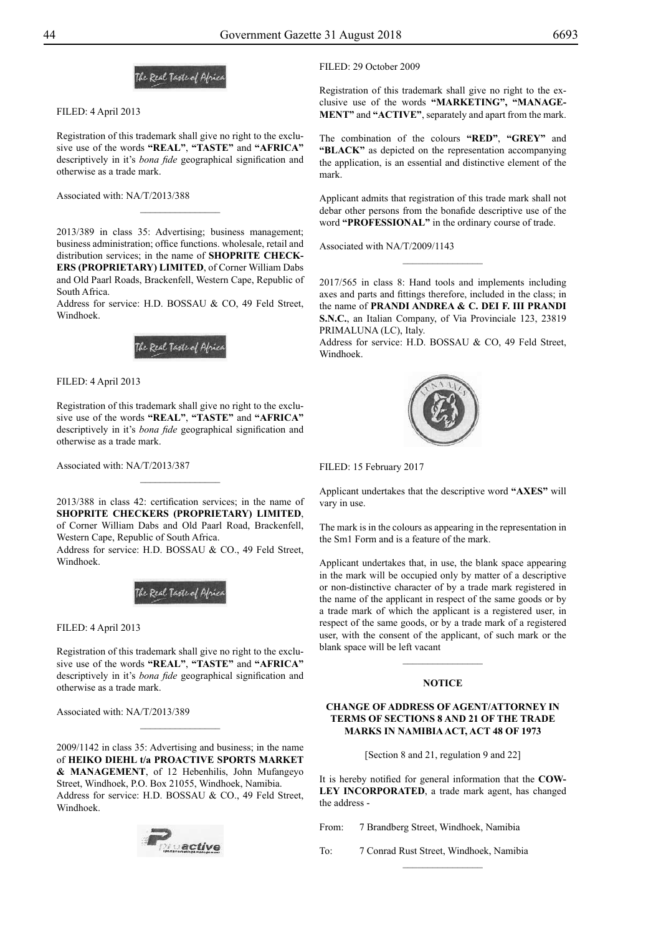![](_page_43_Picture_3.jpeg)

Filed: 4 April 2013

Registration of this trademark shall give no right to the exclusive use of the words **"REAL"**, **"TASTE"** and **"AFRICA"** descriptively in it's *bona fide* geographical signification and otherwise as a trade mark.

 $\frac{1}{2}$ 

Associated with: NA/T/2013/388

2013/389 in class 35: Advertising; business management; business administration; office functions. wholesale, retail and distribution services; in the name of **SHOPRITE CHECK-ERS (PROPRIETARY) LIMITED**, of Corner William Dabs and Old Paarl Roads, Brackenfell, Western Cape, Republic of South Africa.

Address for service: H.D. BOSSAU & CO, 49 Feld Street, Windhoek.

![](_page_43_Picture_9.jpeg)

Filed: 4 April 2013

Registration of this trademark shall give no right to the exclusive use of the words **"REAL"**, **"TASTE"** and **"AFRICA"** descriptively in it's *bona fide* geographical signification and otherwise as a trade mark.

Associated with: NA/T/2013/387

2013/388 in class 42: certification services; in the name of **SHOPRITE CHECKERS (PROPRIETARY) LIMITED**, of Corner William Dabs and Old Paarl Road, Brackenfell, Western Cape, Republic of South Africa.

 $\frac{1}{2}$ 

Address for service: H.D. BOSSAU & CO., 49 Feld Street, Windhoek.

![](_page_43_Picture_15.jpeg)

Filed: 4 April 2013

Registration of this trademark shall give no right to the exclusive use of the words **"REAL"**, **"TASTE"** and **"AFRICA"** descriptively in it's *bona fide* geographical signification and otherwise as a trade mark.

Associated with: NA/T/2013/389

2009/1142 in class 35: Advertising and business; in the name of **HEIKO DIEHL t/a PROACTIVE SPORTS MARKET & MANAGEMENT**, of 12 Hebenhilis, John Mufangeyo Street, Windhoek, P.O. Box 21055, Windhoek, Namibia. Address for service: H.D. BOSSAU & CO., 49 Feld Street, Windhoek.

 $\overline{\phantom{a}}$  , where  $\overline{\phantom{a}}$ 

![](_page_43_Picture_20.jpeg)

FILED: 29 October 2009

Registration of this trademark shall give no right to the exclusive use of the words **"MARKETING", "MANAGE-MENT"** and **"ACTIVE"**, separately and apart from the mark.

The combination of the colours **"RED"**, **"GREY"** and **"BLACK"** as depicted on the representation accompanying the application, is an essential and distinctive element of the mark.

Applicant admits that registration of this trade mark shall not debar other persons from the bonafide descriptive use of the word **"PROFESSIONAL"** in the ordinary course of trade.

Associated with NA/T/2009/1143

2017/565 in class 8: Hand tools and implements including axes and parts and fittings therefore, included in the class; in the name of **PRANDI ANDREA & C. DEI F. III PRANDI S.N.C.**, an Italian Company, of Via Provinciale 123, 23819 PRIMALUNA (LC), Italy.

 $\frac{1}{2}$ 

Address for service: H.D. BOSSAU & CO, 49 Feld Street, Windhoek.

![](_page_43_Picture_28.jpeg)

Filed: 15 February 2017

Applicant undertakes that the descriptive word **"AXES"** will vary in use.

The mark is in the colours as appearing in the representation in the Sm1 Form and is a feature of the mark.

Applicant undertakes that, in use, the blank space appearing in the mark will be occupied only by matter of a descriptive or non-distinctive character of by a trade mark registered in the name of the applicant in respect of the same goods or by a trade mark of which the applicant is a registered user, in respect of the same goods, or by a trade mark of a registered user, with the consent of the applicant, of such mark or the blank space will be left vacant

## **NOTICE**

## **CHANGE OF ADDRESS OF AGENT/ATTORNEY IN TERMS OF SECTIONS 8 AND 21 OF THE TRADE MARKS IN NAMIBIA ACT, ACT 48 OF 1973**

[Section 8 and 21, regulation 9 and 22]

It is hereby notified for general information that the **COW-LEY INCORPORATED**, a trade mark agent, has changed the address -

From: 7 Brandberg Street, Windhoek, Namibia

To: 7 Conrad Rust Street, Windhoek, Namibia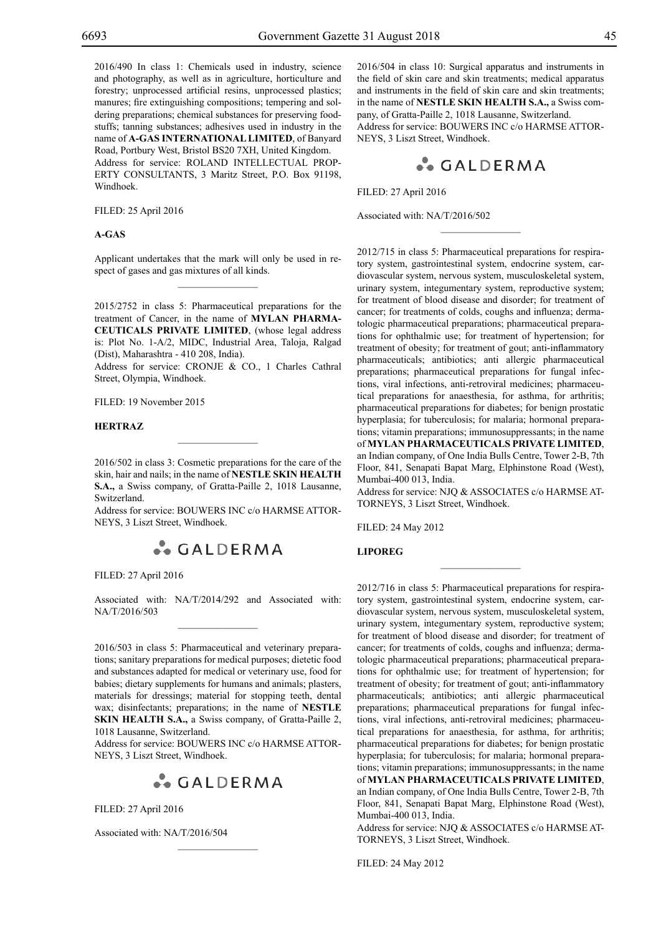2016/490 In class 1: Chemicals used in industry, science and photography, as well as in agriculture, horticulture and forestry; unprocessed artificial resins, unprocessed plastics; manures; fire extinguishing compositions; tempering and soldering preparations; chemical substances for preserving foodstuffs; tanning substances; adhesives used in industry in the name of **A-GAS INTERNATIONAL LIMITED**, of Banyard Road, Portbury West, Bristol BS20 7XH, United Kingdom. Address for service: ROLAND INTELLECTUAL PROP-ERTY CONSULTANTS, 3 Maritz Street, P.O. Box 91198, Windhoek.

Filed: 25 April 2016

## **A-GAS**

Applicant undertakes that the mark will only be used in respect of gases and gas mixtures of all kinds.  $\mathcal{L}=\mathcal{L}^{\mathcal{L}}$ 

2015/2752 in class 5: Pharmaceutical preparations for the treatment of Cancer, in the name of **MYLAN PHARMA-CEUTICALS PRIVATE LIMITED**, (whose legal address is: Plot No. 1-A/2, MIDC, Industrial Area, Taloja, Ralgad (Dist), Maharashtra - 410 208, India).

Address for service: CRONJE & CO., 1 Charles Cathral Street, Olympia, Windhoek.

Filed: 19 November 2015

#### **HERTRAZ**

2016/502 in class 3: Cosmetic preparations for the care of the skin, hair and nails; in the name of **NESTLE SKIN HEALTH S.A.,** a Swiss company, of Gratta-Paille 2, 1018 Lausanne, Switzerland.

Address for service: BOUWERS INC c/o HARMSE ATTORneys, 3 Liszt Street, Windhoek.

![](_page_44_Picture_12.jpeg)

Filed: 27 April 2016

Associated with: NA/T/2014/292 and Associated with: NA/T/2016/503  $\mathcal{L}=\mathcal{L}^{\mathcal{L}}$ 

2016/503 in class 5: Pharmaceutical and veterinary preparations; sanitary preparations for medical purposes; dietetic food and substances adapted for medical or veterinary use, food for babies; dietary supplements for humans and animals; plasters, materials for dressings; material for stopping teeth, dental wax; disinfectants; preparations; in the name of **NESTLE SKIN HEALTH S.A., a Swiss company, of Gratta-Paille 2,** 1018 Lausanne, Switzerland.

Address for service: BOUWERS INC c/o HARMSE ATTOR-NEYS, 3 Liszt Street, Windhoek.

## **CALDERMA**

 $\mathcal{L}=\mathcal{L}^{\mathcal{L}}$ 

Filed: 27 April 2016

Associated with: NA/T/2016/504

2016/504 in class 10: Surgical apparatus and instruments in the field of skin care and skin treatments; medical apparatus and instruments in the field of skin care and skin treatments; in the name of **NESTLE SKIN HEALTH S.A.,** a Swiss company, of Gratta-Paille 2, 1018 Lausanne, Switzerland. Address for service: BOUWERS INC c/o HARMSE ATTORneys, 3 Liszt Street, Windhoek.

## **CALDERMA**

 $\overline{\phantom{a}}$  , we can also the set of  $\overline{\phantom{a}}$ 

Filed: 27 April 2016

Associated with: NA/T/2016/502

2012/715 in class 5: Pharmaceutical preparations for respiratory system, gastrointestinal system, endocrine system, cardiovascular system, nervous system, musculoskeletal system, urinary system, integumentary system, reproductive system; for treatment of blood disease and disorder; for treatment of cancer; for treatments of colds, coughs and influenza; dermatologic pharmaceutical preparations; pharmaceutical preparations for ophthalmic use; for treatment of hypertension; for treatment of obesity; for treatment of gout; anti-inflammatory pharmaceuticals; antibiotics; anti allergic pharmaceutical preparations; pharmaceutical preparations for fungal infections, viral infections, anti-retroviral medicines; pharmaceutical preparations for anaesthesia, for asthma, for arthritis; pharmaceutical preparations for diabetes; for benign prostatic hyperplasia; for tuberculosis; for malaria; hormonal preparations; vitamin preparations; immunosuppressants; in the name of **MYLAN PHARMACEUTICALS PRIVATE LIMITED**, an Indian company, of One India Bulls Centre, Tower 2-B, 7th Floor, 841, Senapati Bapat Marg, Elphinstone Road (West), Mumbai-400 013, India.

Address for service: NJQ & ASSOCIATES c/o HARMSE AT-TORNEYS, 3 Liszt Street, Windhoek.

 $\frac{1}{2}$ 

Filed: 24 May 2012

### **Liporeg**

2012/716 in class 5: Pharmaceutical preparations for respiratory system, gastrointestinal system, endocrine system, cardiovascular system, nervous system, musculoskeletal system, urinary system, integumentary system, reproductive system; for treatment of blood disease and disorder; for treatment of cancer; for treatments of colds, coughs and influenza; dermatologic pharmaceutical preparations; pharmaceutical preparations for ophthalmic use; for treatment of hypertension; for treatment of obesity; for treatment of gout; anti-inflammatory pharmaceuticals; antibiotics; anti allergic pharmaceutical preparations; pharmaceutical preparations for fungal infections, viral infections, anti-retroviral medicines; pharmaceutical preparations for anaesthesia, for asthma, for arthritis; pharmaceutical preparations for diabetes; for benign prostatic hyperplasia; for tuberculosis; for malaria; hormonal preparations; vitamin preparations; immunosuppressants; in the name of **MYLAN PHARMACEUTICALS PRIVATE LIMITED**, an Indian company, of One India Bulls Centre, Tower 2-B, 7th Floor, 841, Senapati Bapat Marg, Elphinstone Road (West), Mumbai-400 013, India.

Address for service: NJQ & ASSOCIATES c/o HARMSE AT-TORNEYS, 3 Liszt Street, Windhoek.

Filed: 24 May 2012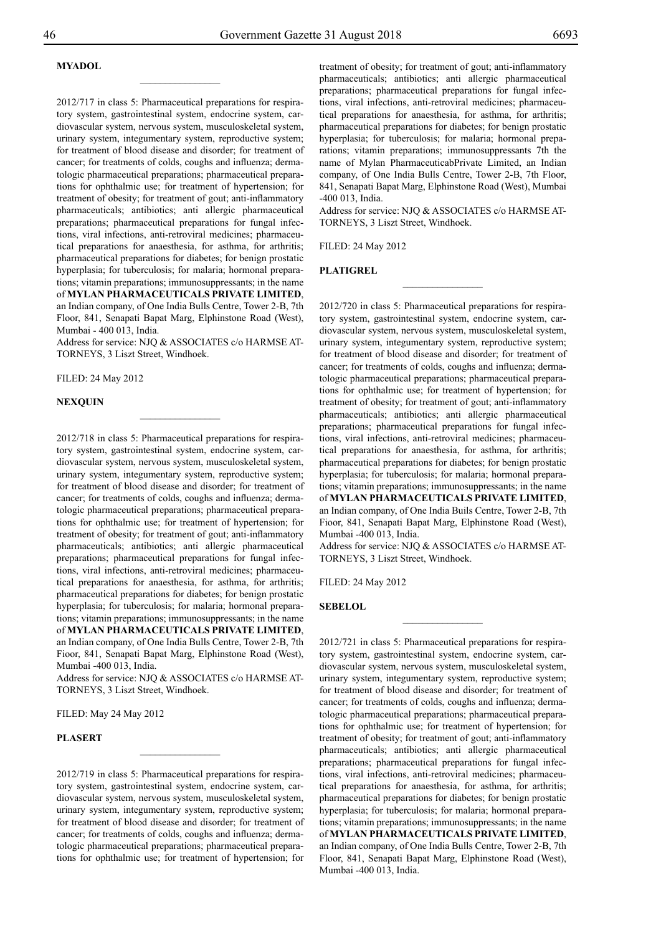## **Myadol**

2012/717 in class 5: Pharmaceutical preparations for respiratory system, gastrointestinal system, endocrine system, cardiovascular system, nervous system, musculoskeletal system, urinary system, integumentary system, reproductive system; for treatment of blood disease and disorder; for treatment of cancer; for treatments of colds, coughs and influenza; dermatologic pharmaceutical preparations; pharmaceutical preparations for ophthalmic use; for treatment of hypertension; for treatment of obesity; for treatment of gout; anti-inflammatory pharmaceuticals; antibiotics; anti allergic pharmaceutical preparations; pharmaceutical preparations for fungal infections, viral infections, anti-retroviral medicines; pharmaceutical preparations for anaesthesia, for asthma, for arthritis; pharmaceutical preparations for diabetes; for benign prostatic hyperplasia; for tuberculosis; for malaria; hormonal preparations; vitamin preparations; immunosuppressants; in the name of **MYLAN PHARMACEUTICALS PRIVATE LIMITED**, an Indian company, of One India Bulls Centre, Tower 2-B, 7th Floor, 841, Senapati Bapat Marg, Elphinstone Road (West), Mumbai - 400 013, India.

 $\overline{\phantom{a}}$  , where  $\overline{\phantom{a}}$ 

Address for service: NJQ & ASSOCIATES c/o HARMSE AT-TORNEYS, 3 Liszt Street, Windhoek.

Filed: 24 May 2012

#### **Nexquin**

2012/718 in class 5: Pharmaceutical preparations for respiratory system, gastrointestinal system, endocrine system, cardiovascular system, nervous system, musculoskeletal system, urinary system, integumentary system, reproductive system; for treatment of blood disease and disorder; for treatment of cancer; for treatments of colds, coughs and influenza; dermatologic pharmaceutical preparations; pharmaceutical preparations for ophthalmic use; for treatment of hypertension; for treatment of obesity; for treatment of gout; anti-inflammatory pharmaceuticals; antibiotics; anti allergic pharmaceutical preparations; pharmaceutical preparations for fungal infections, viral infections, anti-retroviral medicines; pharmaceutical preparations for anaesthesia, for asthma, for arthritis; pharmaceutical preparations for diabetes; for benign prostatic hyperplasia; for tuberculosis; for malaria; hormonal preparations; vitamin preparations; immunosuppressants; in the name of **MYLAN PHARMACEUTICALS PRIVATE LIMITED**,

an Indian company, of One India Bulls Centre, Tower 2-B, 7th Fioor, 841, Senapati Bapat Marg, Elphinstone Road (West), Mumbai -400 013, India.

Address for service: NJQ & ASSOCIATES c/o HARMSE AT-TORNEYS, 3 Liszt Street, Windhoek.

Filed: May 24 May 2012

## **Plasert**

2012/719 in class 5: Pharmaceutical preparations for respiratory system, gastrointestinal system, endocrine system, cardiovascular system, nervous system, musculoskeletal system, urinary system, integumentary system, reproductive system; for treatment of blood disease and disorder; for treatment of cancer; for treatments of colds, coughs and influenza; dermatologic pharmaceutical preparations; pharmaceutical preparations for ophthalmic use; for treatment of hypertension; for

 $\frac{1}{2}$ 

treatment of obesity; for treatment of gout; anti-inflammatory pharmaceuticals; antibiotics; anti allergic pharmaceutical preparations; pharmaceutical preparations for fungal infections, viral infections, anti-retroviral medicines; pharmaceutical preparations for anaesthesia, for asthma, for arthritis; pharmaceutical preparations for diabetes; for benign prostatic hyperplasia; for tuberculosis; for malaria; hormonal preparations; vitamin preparations; immunosuppressants 7th the name of Mylan PharmaceuticabPrivate Limited, an Indian company, of One India Bulls Centre, Tower 2-B, 7th Floor, 841, Senapati Bapat Marg, Elphinstone Road (West), Mumbai -400 013, India.

Address for service: NJQ & ASSOCIATES c/o HARMSE AT-TORNEYS, 3 Liszt Street, Windhoek.

 $\frac{1}{2}$ 

Filed: 24 May 2012

**Platigrel**

2012/720 in class 5: Pharmaceutical preparations for respiratory system, gastrointestinal system, endocrine system, cardiovascular system, nervous system, musculoskeletal system, urinary system, integumentary system, reproductive system; for treatment of blood disease and disorder; for treatment of cancer; for treatments of colds, coughs and influenza; dermatologic pharmaceutical preparations; pharmaceutical preparations for ophthalmic use; for treatment of hypertension; for treatment of obesity; for treatment of gout; anti-inflammatory pharmaceuticals; antibiotics; anti allergic pharmaceutical preparations; pharmaceutical preparations for fungal infections, viral infections, anti-retroviral medicines; pharmaceutical preparations for anaesthesia, for asthma, for arthritis; pharmaceutical preparations for diabetes; for benign prostatic hyperplasia; for tuberculosis; for malaria; hormonal preparations; vitamin preparations; immunosuppressants; in the name of **MYLAN PHARMACEUTICALS PRIVATE LIMITED**, an Indian company, of One India Buils Centre, Tower 2-B, 7th Fioor, 841, Senapati Bapat Marg, Elphinstone Road (West), Mumbai -400 013, India.

Address for service: NJQ & ASSOCIATES c/o HARMSE AT-TORNEYS, 3 Liszt Street, Windhoek.

Filed: 24 May 2012

**SEBELOL**

2012/721 in class 5: Pharmaceutical preparations for respiratory system, gastrointestinal system, endocrine system, cardiovascular system, nervous system, musculoskeletal system, urinary system, integumentary system, reproductive system; for treatment of blood disease and disorder; for treatment of cancer; for treatments of colds, coughs and influenza; dermatologic pharmaceutical preparations; pharmaceutical preparations for ophthalmic use; for treatment of hypertension; for treatment of obesity; for treatment of gout; anti-inflammatory pharmaceuticals; antibiotics; anti allergic pharmaceutical preparations; pharmaceutical preparations for fungal infections, viral infections, anti-retroviral medicines; pharmaceutical preparations for anaesthesia, for asthma, for arthritis; pharmaceutical preparations for diabetes; for benign prostatic hyperplasia; for tuberculosis; for malaria; hormonal preparations; vitamin preparations; immunosuppressants; in the name of **MYLAN PHARMACEUTICALS PRIVATE LIMITED**, an Indian company, of One India Bulls Centre, Tower 2-B, 7th Floor, 841, Senapati Bapat Marg, Elphinstone Road (West), Mumbai -400 013, India.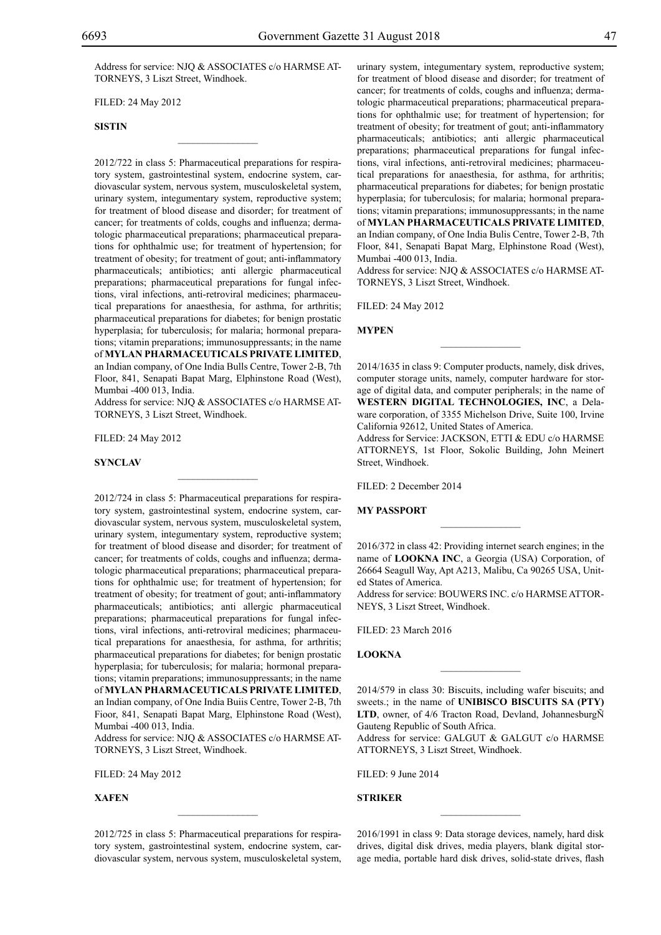Address for service: NJQ & ASSOCIATES c/o HARMSE AT-TORNEYS, 3 Liszt Street, Windhoek.

 $\mathcal{L}=\mathcal{L}^{\mathcal{L}}$ 

Filed: 24 May 2012

#### **SISTIN**

2012/722 in class 5: Pharmaceutical preparations for respiratory system, gastrointestinal system, endocrine system, cardiovascular system, nervous system, musculoskeletal system, urinary system, integumentary system, reproductive system; for treatment of blood disease and disorder; for treatment of cancer; for treatments of colds, coughs and influenza; dermatologic pharmaceutical preparations; pharmaceutical preparations for ophthalmic use; for treatment of hypertension; for treatment of obesity; for treatment of gout; anti-inflammatory pharmaceuticals; antibiotics; anti allergic pharmaceutical preparations; pharmaceutical preparations for fungal infections, viral infections, anti-retroviral medicines; pharmaceutical preparations for anaesthesia, for asthma, for arthritis; pharmaceutical preparations for diabetes; for benign prostatic hyperplasia; for tuberculosis; for malaria; hormonal preparations; vitamin preparations; immunosuppressants; in the name of **MYLAN PHARMACEUTICALS PRIVATE LIMITED**, an Indian company, of One India Bulls Centre, Tower 2-B, 7th Floor, 841, Senapati Bapat Marg, Elphinstone Road (West), Mumbai -400 013, India.

Address for service: NJQ & ASSOCIATES c/o HARMSE AT-TORNEYS, 3 Liszt Street, Windhoek.

 $\mathcal{L}=\mathcal{L}^{\mathcal{L}}$ 

Filed: 24 May 2012

#### **SYNCLAV**

2012/724 in class 5: Pharmaceutical preparations for respiratory system, gastrointestinal system, endocrine system, cardiovascular system, nervous system, musculoskeletal system, urinary system, integumentary system, reproductive system; for treatment of blood disease and disorder; for treatment of cancer; for treatments of colds, coughs and influenza; dermatologic pharmaceutical preparations; pharmaceutical preparations for ophthalmic use; for treatment of hypertension; for treatment of obesity; for treatment of gout; anti-inflammatory pharmaceuticals; antibiotics; anti allergic pharmaceutical preparations; pharmaceutical preparations for fungal infections, viral infections, anti-retroviral medicines; pharmaceutical preparations for anaesthesia, for asthma, for arthritis; pharmaceutical preparations for diabetes; for benign prostatic hyperplasia; for tuberculosis; for malaria; hormonal preparations; vitamin preparations; immunosuppressants; in the name of **MYLAN PHARMACEUTICALS PRIVATE LIMITED**, an Indian company, of One India Buiis Centre, Tower 2-B, 7th Fioor, 841, Senapati Bapat Marg, Elphinstone Road (West), Mumbai -400 013, India.

Address for service: NJQ & ASSOCIATES c/o HARMSE AT-TORNEYS, 3 Liszt Street, Windhoek.

Filed: 24 May 2012

**XAFEN**

2012/725 in class 5: Pharmaceutical preparations for respiratory system, gastrointestinal system, endocrine system, cardiovascular system, nervous system, musculoskeletal system,

 $\mathcal{L}=\mathcal{L}^{\mathcal{L}}$ 

urinary system, integumentary system, reproductive system; for treatment of blood disease and disorder; for treatment of cancer; for treatments of colds, coughs and influenza; dermatologic pharmaceutical preparations; pharmaceutical preparations for ophthalmic use; for treatment of hypertension; for treatment of obesity; for treatment of gout; anti-inflammatory pharmaceuticals; antibiotics; anti allergic pharmaceutical preparations; pharmaceutical preparations for fungal infections, viral infections, anti-retroviral medicines; pharmaceutical preparations for anaesthesia, for asthma, for arthritis; pharmaceutical preparations for diabetes; for benign prostatic hyperplasia; for tuberculosis; for malaria; hormonal preparations; vitamin preparations; immunosuppressants; in the name of **MYLAN PHARMACEUTICALS PRIVATE LIMITED**, an Indian company, of One India Bulis Centre, Tower 2-B, 7th Floor, 841, Senapati Bapat Marg, Elphinstone Road (West), Mumbai -400 013, India.

Address for service: NJQ & ASSOCIATES c/o HARMSE AT-TORNEYS, 3 Liszt Street, Windhoek.

Filed: 24 May 2012

#### **Mypen**

2014/1635 in class 9: Computer products, namely, disk drives, computer storage units, namely, computer hardware for storage of digital data, and computer peripherals; in the name of **WESTERN DIGITAL TECHNOLOGIES, INC**, a Delaware corporation, of 3355 Michelson Drive, Suite 100, Irvine California 92612, United States of America.

 $\frac{1}{2}$ 

Address for Service: JACKSON, ETTI & EDU c/o HARMSE ATTORNEYS, 1st Floor, Sokolic Building, John Meinert Street, Windhoek.

Filed: 2 December 2014

#### **MY PASSPORT**

2016/372 in class 42: Providing internet search engines; in the name of **LOOKNA INC**, a Georgia (USA) Corporation, of 26664 Seagull Way, Apt A213, Malibu, Ca 90265 USA, United States of America.

 $\frac{1}{2}$ 

Address for service: BOUWERS INC. c/o HARMSE ATTORneys, 3 Liszt Street, Windhoek.

Filed: 23 March 2016

## **LOOKNA**

2014/579 in class 30: Biscuits, including wafer biscuits; and sweets.; in the name of **UNIBISCO BISCUITS SA (PTY) LTD**, owner, of 4/6 Tracton Road, Devland, JohannesburgÑ Gauteng Republic of South Africa.

 $\frac{1}{2}$ 

Address for service: GALGUT & GALGUT c/o HARMSE ATTORNEYS, 3 Liszt Street, Windhoek.

Filed: 9 June 2014

## **STRIKER**

2016/1991 in class 9: Data storage devices, namely, hard disk drives, digital disk drives, media players, blank digital storage media, portable hard disk drives, solid-state drives, flash

 $\frac{1}{2}$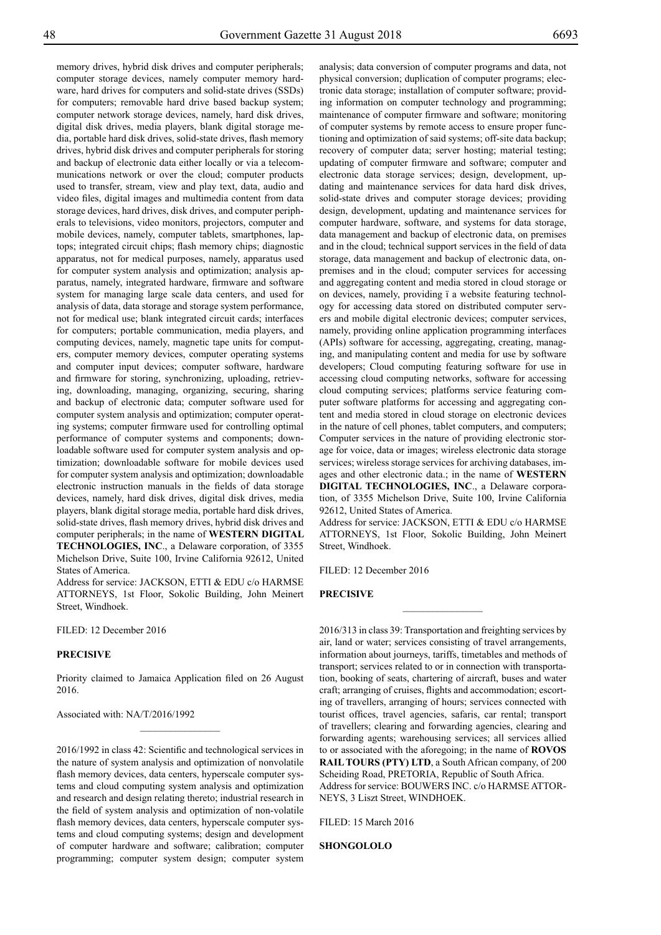memory drives, hybrid disk drives and computer peripherals; computer storage devices, namely computer memory hardware, hard drives for computers and solid-state drives (SSDs) for computers; removable hard drive based backup system; computer network storage devices, namely, hard disk drives, digital disk drives, media players, blank digital storage media, portable hard disk drives, solid-state drives, flash memory drives, hybrid disk drives and computer peripherals for storing and backup of electronic data either locally or via a telecommunications network or over the cloud; computer products used to transfer, stream, view and play text, data, audio and video files, digital images and multimedia content from data storage devices, hard drives, disk drives, and computer peripherals to televisions, video monitors, projectors, computer and mobile devices, namely, computer tablets, smartphones, laptops; integrated circuit chips; flash memory chips; diagnostic apparatus, not for medical purposes, namely, apparatus used for computer system analysis and optimization; analysis apparatus, namely, integrated hardware, firmware and software system for managing large scale data centers, and used for analysis of data, data storage and storage system performance, not for medical use; blank integrated circuit cards; interfaces for computers; portable communication, media players, and computing devices, namely, magnetic tape units for computers, computer memory devices, computer operating systems and computer input devices; computer software, hardware and firmware for storing, synchronizing, uploading, retrieving, downloading, managing, organizing, securing, sharing and backup of electronic data; computer software used for computer system analysis and optimization; computer operating systems; computer firmware used for controlling optimal performance of computer systems and components; downloadable software used for computer system analysis and optimization; downloadable software for mobile devices used for computer system analysis and optimization; downloadable electronic instruction manuals in the fields of data storage devices, namely, hard disk drives, digital disk drives, media players, blank digital storage media, portable hard disk drives, solid-state drives, flash memory drives, hybrid disk drives and computer peripherals; in the name of **WESTERN DIGITAL TECHNOLOGIES, INC**., a Delaware corporation, of 3355 Michelson Drive, Suite 100, Irvine California 92612, United States of America.

Address for service: JACKSON, ETTI & EDU c/o HARMSE ATTORNEYS, 1st Floor, Sokolic Building, John Meinert Street, Windhoek.

Filed: 12 December 2016

## **PRECISIVE**

Priority claimed to Jamaica Application filed on 26 August 2016.

 $\frac{1}{2}$ 

Associated with: NA/T/2016/1992

2016/1992 in class 42: Scientific and technological services in the nature of system analysis and optimization of nonvolatile flash memory devices, data centers, hyperscale computer systems and cloud computing system analysis and optimization and research and design relating thereto; industrial research in the field of system analysis and optimization of non-volatile flash memory devices, data centers, hyperscale computer systems and cloud computing systems; design and development of computer hardware and software; calibration; computer programming; computer system design; computer system

analysis; data conversion of computer programs and data, not physical conversion; duplication of computer programs; electronic data storage; installation of computer software; providing information on computer technology and programming; maintenance of computer firmware and software; monitoring of computer systems by remote access to ensure proper functioning and optimization of said systems; off-site data backup; recovery of computer data; server hosting; material testing; updating of computer firmware and software; computer and electronic data storage services; design, development, updating and maintenance services for data hard disk drives, solid-state drives and computer storage devices; providing design, development, updating and maintenance services for computer hardware, software, and systems for data storage, data management and backup of electronic data, on premises and in the cloud; technical support services in the field of data storage, data management and backup of electronic data, onpremises and in the cloud; computer services for accessing and aggregating content and media stored in cloud storage or on devices, namely, providing ï a website featuring technology for accessing data stored on distributed computer servers and mobile digital electronic devices; computer services, namely, providing online application programming interfaces (APIs) software for accessing, aggregating, creating, managing, and manipulating content and media for use by software developers; Cloud computing featuring software for use in accessing cloud computing networks, software for accessing cloud computing services; platforms service featuring computer software platforms for accessing and aggregating content and media stored in cloud storage on electronic devices in the nature of cell phones, tablet computers, and computers; Computer services in the nature of providing electronic storage for voice, data or images; wireless electronic data storage services; wireless storage services for archiving databases, images and other electronic data.; in the name of **WESTERN DIGITAL TECHNOLOGIES, INC**., a Delaware corporation, of 3355 Michelson Drive, Suite 100, Irvine California 92612, United States of America.

Address for service: JACKSON, ETTI & EDU c/o HARMSE ATTORNEYS, 1st Floor, Sokolic Building, John Meinert Street, Windhoek.

 $\overline{\phantom{a}}$  , where  $\overline{\phantom{a}}$ 

FILED: 12 December 2016

#### **PRECISIVE**

2016/313 in class 39: Transportation and freighting services by air, land or water; services consisting of travel arrangements, information about journeys, tariffs, timetables and methods of transport; services related to or in connection with transportation, booking of seats, chartering of aircraft, buses and water craft; arranging of cruises, flights and accommodation; escorting of travellers, arranging of hours; services connected with tourist offices, travel agencies, safaris, car rental; transport of travellers; clearing and forwarding agencies, clearing and forwarding agents; warehousing services; all services allied to or associated with the aforegoing; in the name of **ROVOS RAIL TOURS (PTY) LTD**, a South African company, of 200 Scheiding Road, PRETORIA, Republic of South Africa. Address for service: BOUWERS INC. c/o HARMSE ATTOR-

NEYS, 3 Liszt Street, WINDHOEK.

Filed: 15 March 2016

**SHONGOLOLO**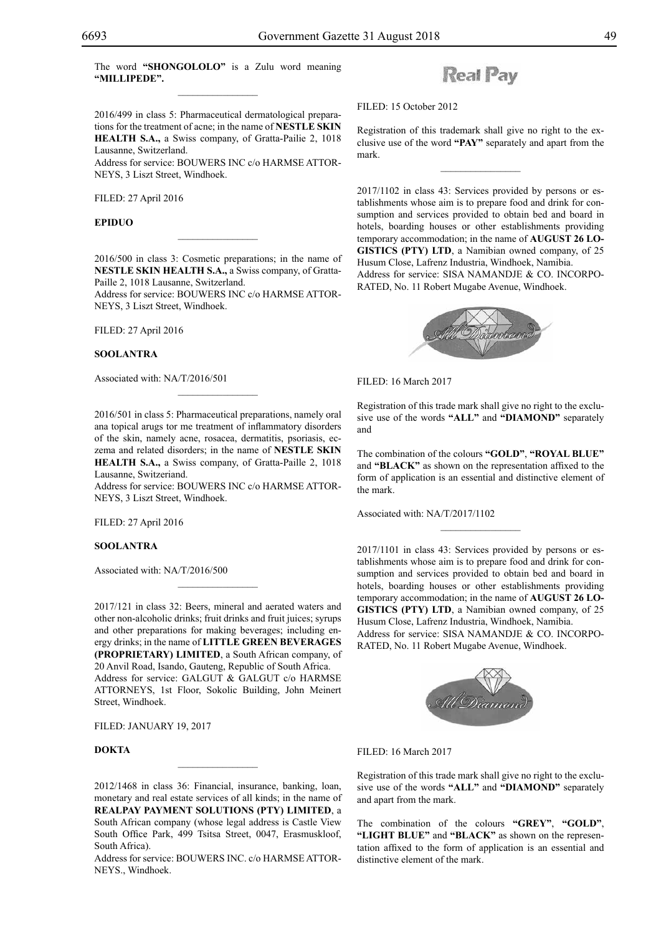2016/499 in class 5: Pharmaceutical dermatological preparations for the treatment of acne; in the name of **NESTLE SKIN HEALTH S.A.,** a Swiss company, of Gratta-Pailie 2, 1018 Lausanne, Switzerland.

Address for service: BOUWERS INC c/o HARMSE ATTORneys, 3 Liszt Street, Windhoek.

Filed: 27 April 2016

### **EPIDUO**

2016/500 in class 3: Cosmetic preparations; in the name of **NESTLE SKIN HEALTH S.A.,** a Swiss company, of Gratta-Paille 2, 1018 Lausanne, Switzerland.

 $\overline{\phantom{a}}$  , where  $\overline{\phantom{a}}$ 

Address for service: BOUWERS INC c/o HARMSE ATTORneys, 3 Liszt Street, Windhoek.

Filed: 27 April 2016

#### **SOOLANTRA**

Associated with: NA/T/2016/501

2016/501 in class 5: Pharmaceutical preparations, namely oral ana topical arugs tor me treatment of inflammatory disorders of the skin, namely acne, rosacea, dermatitis, psoriasis, eczema and related disorders; in the name of **NESTLE SKIN HEALTH S.A.,** a Swiss company, of Gratta-Paille 2, 1018 Lausanne, Switzeriand.

 $\mathcal{L}=\mathcal{L}^{\mathcal{L}}$ 

Address for service: BOUWERS INC c/o HARMSE ATTORneys, 3 Liszt Street, Windhoek.

Filed: 27 April 2016

## **SOOLANTRA**

Associated with: NA/T/2016/500

2017/121 in class 32: Beers, mineral and aerated waters and other non-alcoholic drinks; fruit drinks and fruit juices; syrups and other preparations for making beverages; including energy drinks; in the name of **LITTLE GREEN BEVERAGES (PROPRIETARY) LIMITED**, a South African company, of 20 Anvil Road, Isando, Gauteng, Republic of South Africa. Address for service: GALGUT & GALGUT c/o HARMSE ATTORNEYS, 1st Floor, Sokolic Building, John Meinert Street, Windhoek.

 $\mathcal{L}=\mathcal{L}^{\mathcal{L}}$ 

Filed: January 19, 2017

## **DOKTA**

2012/1468 in class 36: Financial, insurance, banking, loan, monetary and real estate services of all kinds; in the name of **REALPAY PAYMENT SOLUTIONS (PTY) LIMITED**, a South African company (whose legal address is Castle View South Office Park, 499 Tsitsa Street, 0047, Erasmuskloof, South Africa).

Address for service: BOUWERS INC. c/o HARMSE ATTOR-NEYS., Windhoek.

## **Real Pay**

Filed: 15 October 2012

Registration of this trademark shall give no right to the exclusive use of the word **"PAY"** separately and apart from the mark.

 $\overline{\phantom{a}}$  , we can also the set of  $\overline{\phantom{a}}$ 

2017/1102 in class 43: Services provided by persons or establishments whose aim is to prepare food and drink for consumption and services provided to obtain bed and board in hotels, boarding houses or other establishments providing temporary accommodation; in the name of **AUGUST 26 LO-GISTICS (PTY) LTD**, a Namibian owned company, of 25 Husum Close, Lafrenz Industria, Windhoek, Namibia. Address for service: SISA NAMANDJE & CO. INCORPO-RATED, No. 11 Robert Mugabe Avenue, Windhoek.

![](_page_48_Picture_26.jpeg)

Filed: 16 March 2017

Registration of this trade mark shall give no right to the exclusive use of the words **"ALL"** and **"DIAMOND"** separately and

The combination of the colours **"GOLD"**, **"ROYAL BLUE"**  and **"BLACK"** as shown on the representation affixed to the form of application is an essential and distinctive element of the mark.

Associated with: NA/T/2017/1102

2017/1101 in class 43: Services provided by persons or establishments whose aim is to prepare food and drink for consumption and services provided to obtain bed and board in hotels, boarding houses or other establishments providing temporary accommodation; in the name of **AUGUST 26 LO-GISTICS (PTY) LTD**, a Namibian owned company, of 25 Husum Close, Lafrenz Industria, Windhoek, Namibia. Address for service: SISA NAMANDJE & CO. INCORPO-RATED, No. 11 Robert Mugabe Avenue, Windhoek.

![](_page_48_Picture_32.jpeg)

Filed: 16 March 2017

Registration of this trade mark shall give no right to the exclusive use of the words **"ALL"** and **"DIAMOND"** separately and apart from the mark.

The combination of the colours **"GREY"**, **"GOLD"**, **"LIGHT BLUE"** and **"BLACK"** as shown on the representation affixed to the form of application is an essential and distinctive element of the mark.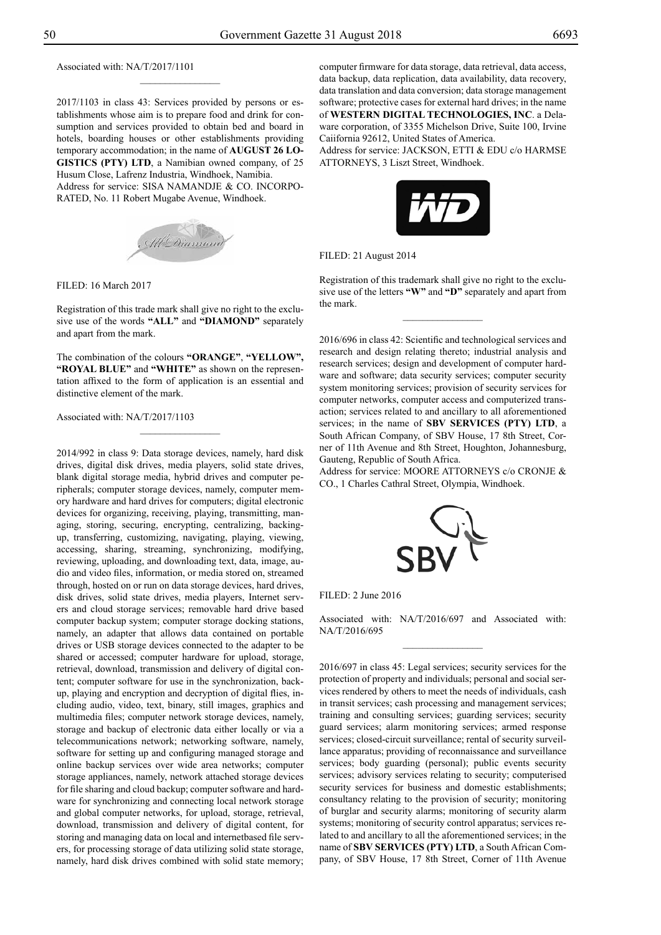Associated with: NA/T/2017/1101

2017/1103 in class 43: Services provided by persons or establishments whose aim is to prepare food and drink for consumption and services provided to obtain bed and board in hotels, boarding houses or other establishments providing temporary accommodation; in the name of **AUGUST 26 LO-GISTICS (PTY) LTD**, a Namibian owned company, of 25 Husum Close, Lafrenz Industria, Windhoek, Namibia.

 $\frac{1}{2}$ 

Address for service: SISA NAMANDJE & CO. INCORPO-RATED, No. 11 Robert Mugabe Avenue, Windhoek.

![](_page_49_Picture_5.jpeg)

Filed: 16 March 2017

Registration of this trade mark shall give no right to the exclusive use of the words **"ALL"** and **"DIAMOND"** separately and apart from the mark.

The combination of the colours **"ORANGE"**, **"YELLOW", "ROYAL BLUE"** and **"WHITE"** as shown on the representation affixed to the form of application is an essential and distinctive element of the mark.

Associated with: NA/T/2017/1103

2014/992 in class 9: Data storage devices, namely, hard disk drives, digital disk drives, media players, solid state drives, blank digital storage media, hybrid drives and computer peripherals; computer storage devices, namely, computer memory hardware and hard drives for computers; digital electronic devices for organizing, receiving, playing, transmitting, managing, storing, securing, encrypting, centralizing, backingup, transferring, customizing, navigating, playing, viewing, accessing, sharing, streaming, synchronizing, modifying, reviewing, uploading, and downloading text, data, image, audio and video files, information, or media stored on, streamed through, hosted on or run on data storage devices, hard drives, disk drives, solid state drives, media players, Internet servers and cloud storage services; removable hard drive based computer backup system; computer storage docking stations, namely, an adapter that allows data contained on portable drives or USB storage devices connected to the adapter to be shared or accessed; computer hardware for upload, storage, retrieval, download, transmission and delivery of digital content; computer software for use in the synchronization, backup, playing and encryption and decryption of digital flies, including audio, video, text, binary, still images, graphics and multimedia files; computer network storage devices, namely, storage and backup of electronic data either locally or via a telecommunications network; networking software, namely, software for setting up and configuring managed storage and online backup services over wide area networks; computer storage appliances, namely, network attached storage devices for file sharing and cloud backup; computer software and hardware for synchronizing and connecting local network storage and global computer networks, for upload, storage, retrieval, download, transmission and delivery of digital content, for storing and managing data on local and internetbased file servers, for processing storage of data utilizing solid state storage, namely, hard disk drives combined with solid state memory;

computer firmware for data storage, data retrieval, data access, data backup, data replication, data availability, data recovery, data translation and data conversion; data storage management software; protective cases for external hard drives; in the name of **WESTERN DIGITAL TECHNOLOGIES, INC**. a Delaware corporation, of 3355 Michelson Drive, Suite 100, Irvine Caiifornia 92612, United States of America.

Address for service: JACKSON, ETTI & EDU c/o HARMSE ATTORNEYS, 3 Liszt Street, Windhoek.

![](_page_49_Picture_13.jpeg)

Filed: 21 August 2014

Registration of this trademark shall give no right to the exclusive use of the letters **"W"** and **"D"** separately and apart from the mark.

 $\overline{\phantom{a}}$  , where  $\overline{\phantom{a}}$ 

2016/696 in class 42: Scientific and technological services and research and design relating thereto; industrial analysis and research services; design and development of computer hardware and software; data security services; computer security system monitoring services; provision of security services for computer networks, computer access and computerized transaction; services related to and ancillary to all aforementioned services; in the name of **SBV SERVICES (PTY) LTD**, a South African Company, of SBV House, 17 8th Street, Corner of 11th Avenue and 8th Street, Houghton, Johannesburg, Gauteng, Republic of South Africa.

Address for service: MOORE ATTORNEYS c/o CRONJE & Co., 1 Charles Cathral Street, Olympia, Windhoek.

![](_page_49_Picture_18.jpeg)

| FILED: 2 June 2016 |  |  |  |  |  |
|--------------------|--|--|--|--|--|
|--------------------|--|--|--|--|--|

Associated with: NA/T/2016/697 and Associated with: NA/T/2016/695

2016/697 in class 45: Legal services; security services for the protection of property and individuals; personal and social services rendered by others to meet the needs of individuals, cash in transit services; cash processing and management services; training and consulting services; guarding services; security guard services; alarm monitoring services; armed response services; closed-circuit surveillance; rental of security surveillance apparatus; providing of reconnaissance and surveillance services; body guarding (personal); public events security services; advisory services relating to security; computerised security services for business and domestic establishments; consultancy relating to the provision of security; monitoring of burglar and security alarms; monitoring of security alarm systems; monitoring of security control apparatus; services related to and ancillary to all the aforementioned services; in the name of **SBV SERVICES (PTY) LTD**, a South African Company, of SBV House, 17 8th Street, Corner of 11th Avenue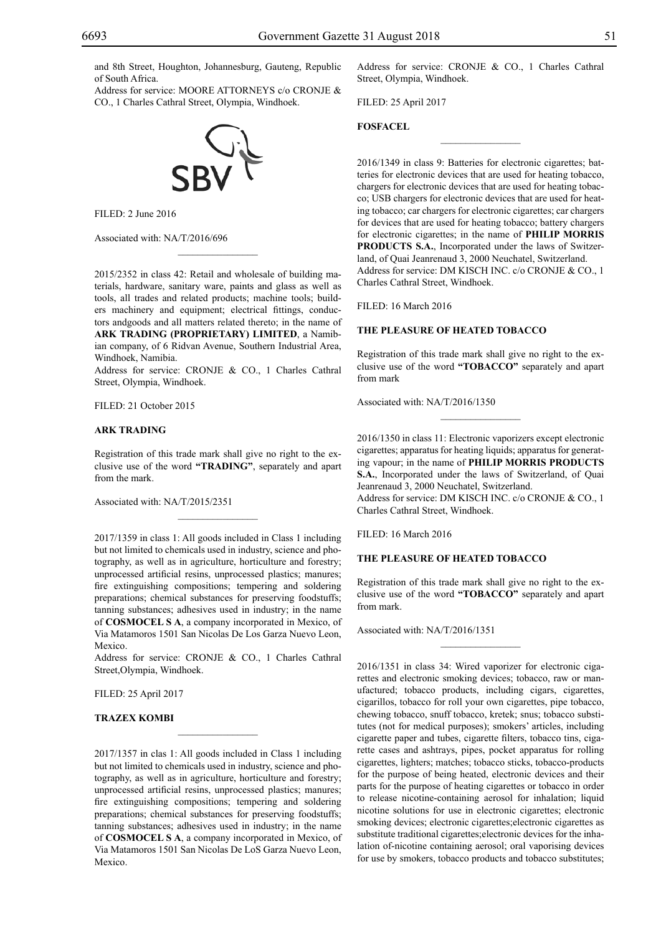and 8th Street, Houghton, Johannesburg, Gauteng, Republic of South Africa.

Address for service: MOORE ATTORNEYS c/o CRONJE & Co., 1 Charles Cathral Street, Olympia, Windhoek.

![](_page_50_Picture_3.jpeg)

Filed: 2 June 2016

Associated with: NA/T/2016/696

2015/2352 in class 42: Retail and wholesale of building materials, hardware, sanitary ware, paints and glass as well as tools, all trades and related products; machine tools; builders machinery and equipment; electrical fittings, conductors andgoods and all matters related thereto; in the name of **ARK TRADING (PROPRIETARY) LIMITED**, a Namibian company, of 6 Ridvan Avenue, Southern Industrial Area, Windhoek, Namibia.

 $\mathcal{L}=\mathcal{L}^{\mathcal{L}}$ 

Address for service: CRONJE & CO., 1 Charles Cathral Street, Olympia, Windhoek.

Filed: 21 October 2015

## **ARK TRADING**

Registration of this trade mark shall give no right to the exclusive use of the word **"TRADING"**, separately and apart from the mark.

 $\mathcal{L}=\mathcal{L}^{\mathcal{L}}$ 

Associated with: NA/T/2015/2351

2017/1359 in class 1: All goods included in Class 1 including but not limited to chemicals used in industry, science and photography, as well as in agriculture, horticulture and forestry; unprocessed artificial resins, unprocessed plastics; manures; fire extinguishing compositions; tempering and soldering preparations; chemical substances for preserving foodstuffs; tanning substances; adhesives used in industry; in the name of **COSMOCEL S A**, a company incorporated in Mexico, of Via Matamoros 1501 San Nicolas De Los Garza Nuevo Leon, Mexico.

Address for service: CRONJE & CO., 1 Charles Cathral Street,Olympia, Windhoek.

 $\overline{\phantom{a}}$  , where  $\overline{\phantom{a}}$ 

Filed: 25 April 2017

#### **TRAZEX KOMBI**

2017/1357 in clas 1: All goods included in Class 1 including but not limited to chemicals used in industry, science and photography, as well as in agriculture, horticulture and forestry; unprocessed artificial resins, unprocessed plastics; manures; fire extinguishing compositions; tempering and soldering preparations; chemical substances for preserving foodstuffs; tanning substances; adhesives used in industry; in the name of **COSMOCEL S A**, a company incorporated in Mexico, of Via Matamoros 1501 San Nicolas De LoS Garza Nuevo Leon, Mexico.

Address for service: CRONJE & CO., 1 Charles Cathral Street, Olympia, Windhoek.

 $\frac{1}{2}$ 

Filed: 25 April 2017

## **FOSFACEL**

2016/1349 in class 9: Batteries for electronic cigarettes; batteries for electronic devices that are used for heating tobacco, chargers for electronic devices that are used for heating tobacco; USB chargers for electronic devices that are used for heating tobacco; car chargers for electronic cigarettes; car chargers for devices that are used for heating tobacco; battery chargers for electronic cigarettes; in the name of **PHILIP MORRIS PRODUCTS S.A.**, Incorporated under the laws of Switzerland, of Quai Jeanrenaud 3, 2000 Neuchatel, Switzerland. Address for service: DM KISCH INC. c/o CRONJE & CO., 1 Charles Cathral Street, Windhoek.

Filed: 16 March 2016

## **THE PLEASURE OF HEATED TOBACCO**

Registration of this trade mark shall give no right to the exclusive use of the word **"TOBACCO"** separately and apart from mark

 $\overline{\phantom{a}}$  , we can also the set of  $\overline{\phantom{a}}$ 

Associated with: NA/T/2016/1350

2016/1350 in class 11: Electronic vaporizers except electronic cigarettes; apparatus for heating liquids; apparatus for generating vapour; in the name of **PHILIP MORRIS PRODUCTS S.A.**, Incorporated under the laws of Switzerland, of Quai Jeanrenaud 3, 2000 Neuchatel, Switzerland. Address for service: DM KISCH INC. c/o CRONJE & CO., 1 Charles Cathral Street, Windhoek.

Filed: 16 March 2016

## **THE PLEASURE OF HEATED TOBACCO**

Registration of this trade mark shall give no right to the exclusive use of the word **"TOBACCO"** separately and apart from mark.

 $\frac{1}{2}$ 

Associated with: NA/T/2016/1351

2016/1351 in class 34: Wired vaporizer for electronic cigarettes and electronic smoking devices; tobacco, raw or manufactured; tobacco products, including cigars, cigarettes, cigarillos, tobacco for roll your own cigarettes, pipe tobacco, chewing tobacco, snuff tobacco, kretek; snus; tobacco substitutes (not for medical purposes); smokers' articles, including cigarette paper and tubes, cigarette filters, tobacco tins, cigarette cases and ashtrays, pipes, pocket apparatus for rolling cigarettes, lighters; matches; tobacco sticks, tobacco-products for the purpose of being heated, electronic devices and their parts for the purpose of heating cigarettes or tobacco in order to release nicotine-containing aerosol for inhalation; liquid nicotine solutions for use in electronic cigarettes; electronic smoking devices; electronic cigarettes;electronic cigarettes as substitute traditional cigarettes;electronic devices for the inhalation of-nicotine containing aerosol; oral vaporising devices for use by smokers, tobacco products and tobacco substitutes;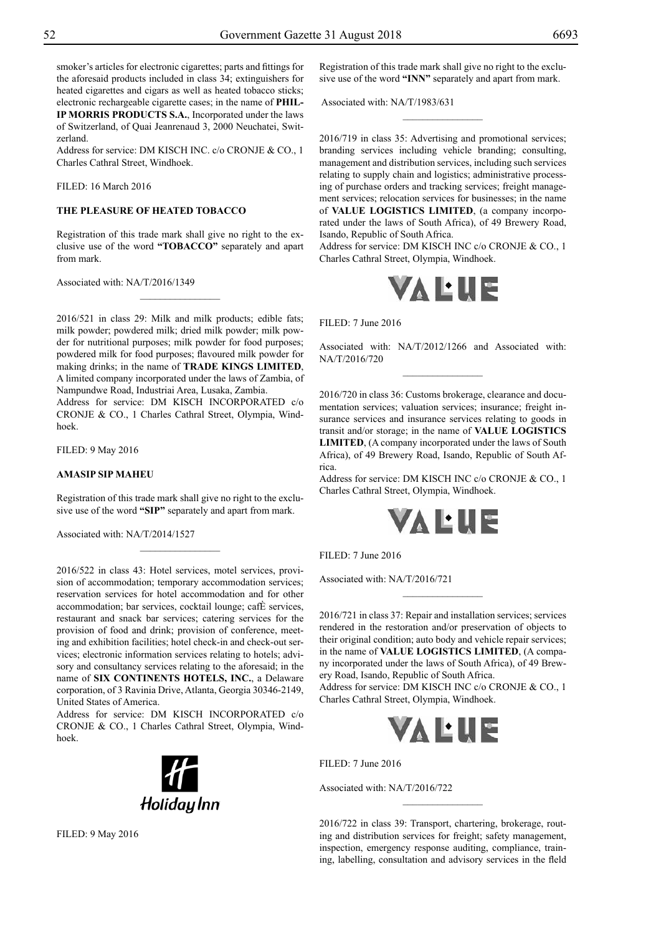smoker's articles for electronic cigarettes; parts and fittings for the aforesaid products included in class 34; extinguishers for heated cigarettes and cigars as well as heated tobacco sticks; electronic rechargeable cigarette cases; in the name of **PHIL-IP MORRIS PRODUCTS S.A.**, Incorporated under the laws of Switzerland, of Quai Jeanrenaud 3, 2000 Neuchatei, Switzerland.

Address for service: DM KISCH INC. c/o CRONJE & CO., 1 Charles Cathral Street, Windhoek.

Filed: 16 March 2016

## **THE PLEASURE OF HEATED TOBACCO**

Registration of this trade mark shall give no right to the exclusive use of the word **"TOBACCO"** separately and apart from mark.

 $\overline{\phantom{a}}$  , where  $\overline{\phantom{a}}$ 

Associated with: NA/T/2016/1349

2016/521 in class 29: Milk and milk products; edible fats; milk powder; powdered milk; dried milk powder; milk powder for nutritional purposes; milk powder for food purposes; powdered milk for food purposes; flavoured milk powder for making drinks; in the name of **TRADE KINGS LIMITED**, A limited company incorporated under the laws of Zambia, of Nampundwe Road, Industriai Area, Lusaka, Zambia.

Address for service: DM KISCH INCORPORATED c/o CRONJE & CO., 1 Charles Cathral Street, Olympia, Windhoek.

Filed: 9 May 2016

## **AMASIP SIP MAHEU**

Registration of this trade mark shall give no right to the exclusive use of the word **"SIP"** separately and apart from mark.

 $\overline{\phantom{a}}$  , where  $\overline{\phantom{a}}$ 

Associated with: NA/T/2014/1527

2016/522 in class 43: Hotel services, motel services, provision of accommodation; temporary accommodation services; reservation services for hotel accommodation and for other accommodation; bar services, cocktail lounge; cafÈ services, restaurant and snack bar services; catering services for the provision of food and drink; provision of conference, meeting and exhibition facilities; hotel check-in and check-out services; electronic information services relating to hotels; advisory and consultancy services relating to the aforesaid; in the name of **SIX CONTINENTS HOTELS, INC.**, a Delaware corporation, of 3 Ravinia Drive, Atlanta, Georgia 30346-2149, United States of America.

Address for service: DM KISCH INCORPORATED  $c/\sigma$ CRONJE & CO., 1 Charles Cathral Street, Olympia, Windhoek.

![](_page_51_Picture_17.jpeg)

Filed: 9 May 2016

Registration of this trade mark shall give no right to the exclusive use of the word **"INN"** separately and apart from mark.

 $\overline{\phantom{a}}$  , where  $\overline{\phantom{a}}$ 

Associated with: NA/T/1983/631

2016/719 in class 35: Advertising and promotional services; branding services including vehicle branding; consulting, management and distribution services, including such services relating to supply chain and logistics; administrative processing of purchase orders and tracking services; freight management services; relocation services for businesses; in the name of **VALUE LOGISTICS LIMITED**, (a company incorporated under the laws of South Africa), of 49 Brewery Road, Isando, Republic of South Africa.

Address for service: DM KISCH INC c/o CRONJE & CO., 1 Charles Cathral Street, Olympia, Windhoek.

![](_page_51_Picture_23.jpeg)

Filed: 7 June 2016

Associated with: NA/T/2012/1266 and Associated with: NA/T/2016/720

2016/720 in class 36: Customs brokerage, clearance and documentation services; valuation services; insurance; freight insurance services and insurance services relating to goods in transit and/or storage; in the name of **VALUE LOGISTICS LIMITED**, (A company incorporated under the laws of South Africa), of 49 Brewery Road, Isando, Republic of South Africa.

Address for service: DM KISCH INC c/o CRONJE & CO., 1 Charles Cathral Street, Olympia, Windhoek.

![](_page_51_Picture_28.jpeg)

Filed: 7 June 2016

Associated with: NA/T/2016/721

2016/721 in class 37: Repair and installation services; services rendered in the restoration and/or preservation of objects to their original condition; auto body and vehicle repair services; in the name of **VALUE LOGISTICS LIMITED**, (A company incorporated under the laws of South Africa), of 49 Brewery Road, Isando, Republic of South Africa.

 $\frac{1}{2}$ 

Address for service: DM KISCH INC c/o CRONJE & CO., 1 Charles Cathral Street, Olympia, Windhoek.

![](_page_51_Picture_33.jpeg)

 $FILED: 7 June 2016$ 

Associated with: NA/T/2016/722

2016/722 in class 39: Transport, chartering, brokerage, routing and distribution services for freight; safety management, inspection, emergency response auditing, compliance, training, labelling, consultation and advisory services in the fleld